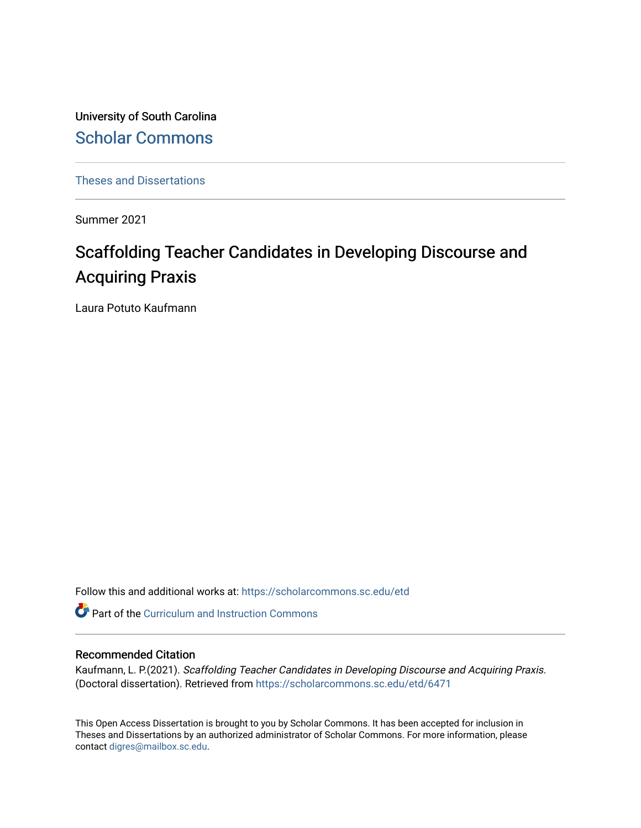University of South Carolina [Scholar Commons](https://scholarcommons.sc.edu/) 

[Theses and Dissertations](https://scholarcommons.sc.edu/etd)

Summer 2021

# Scaffolding Teacher Candidates in Developing Discourse and Acquiring Praxis

Laura Potuto Kaufmann

Follow this and additional works at: [https://scholarcommons.sc.edu/etd](https://scholarcommons.sc.edu/etd?utm_source=scholarcommons.sc.edu%2Fetd%2F6471&utm_medium=PDF&utm_campaign=PDFCoverPages)

**Part of the Curriculum and Instruction Commons** 

#### Recommended Citation

Kaufmann, L. P.(2021). Scaffolding Teacher Candidates in Developing Discourse and Acquiring Praxis. (Doctoral dissertation). Retrieved from [https://scholarcommons.sc.edu/etd/6471](https://scholarcommons.sc.edu/etd/6471?utm_source=scholarcommons.sc.edu%2Fetd%2F6471&utm_medium=PDF&utm_campaign=PDFCoverPages)

This Open Access Dissertation is brought to you by Scholar Commons. It has been accepted for inclusion in Theses and Dissertations by an authorized administrator of Scholar Commons. For more information, please contact [digres@mailbox.sc.edu.](mailto:digres@mailbox.sc.edu)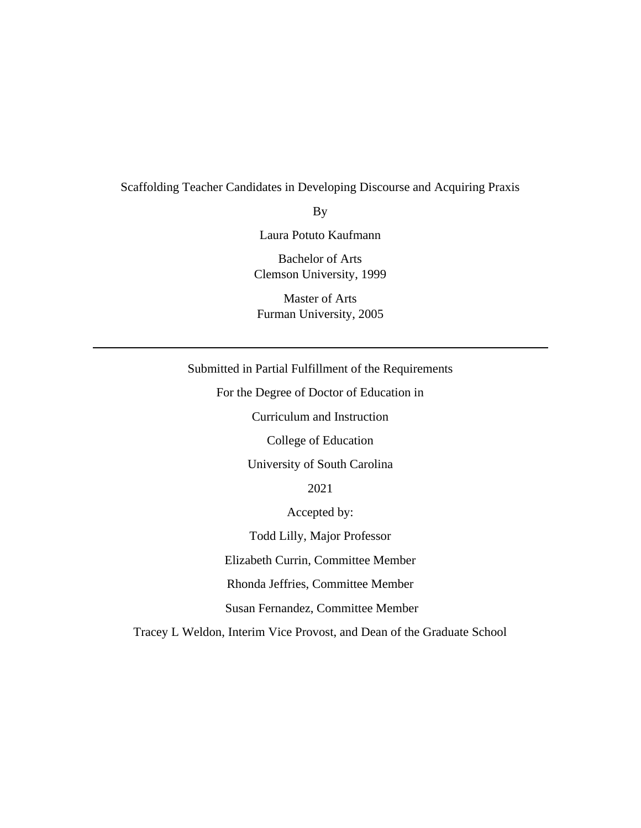# Scaffolding Teacher Candidates in Developing Discourse and Acquiring Praxis

By

Laura Potuto Kaufmann

Bachelor of Arts Clemson University, 1999

Master of Arts Furman University, 2005

# Submitted in Partial Fulfillment of the Requirements

For the Degree of Doctor of Education in

Curriculum and Instruction

College of Education

University of South Carolina

2021

Accepted by:

Todd Lilly, Major Professor

Elizabeth Currin, Committee Member

Rhonda Jeffries, Committee Member

Susan Fernandez, Committee Member

Tracey L Weldon, Interim Vice Provost, and Dean of the Graduate School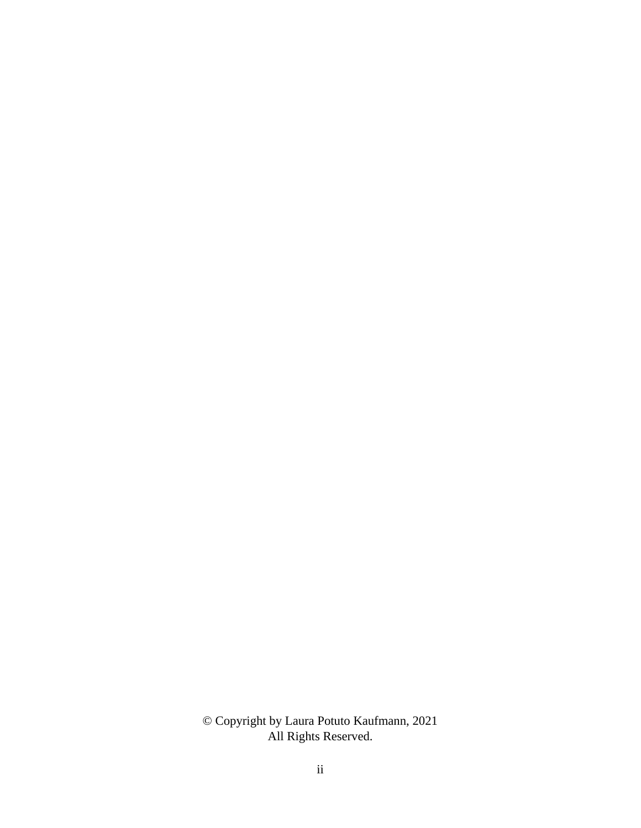© Copyright by Laura Potuto Kaufmann, 2021 All Rights Reserved.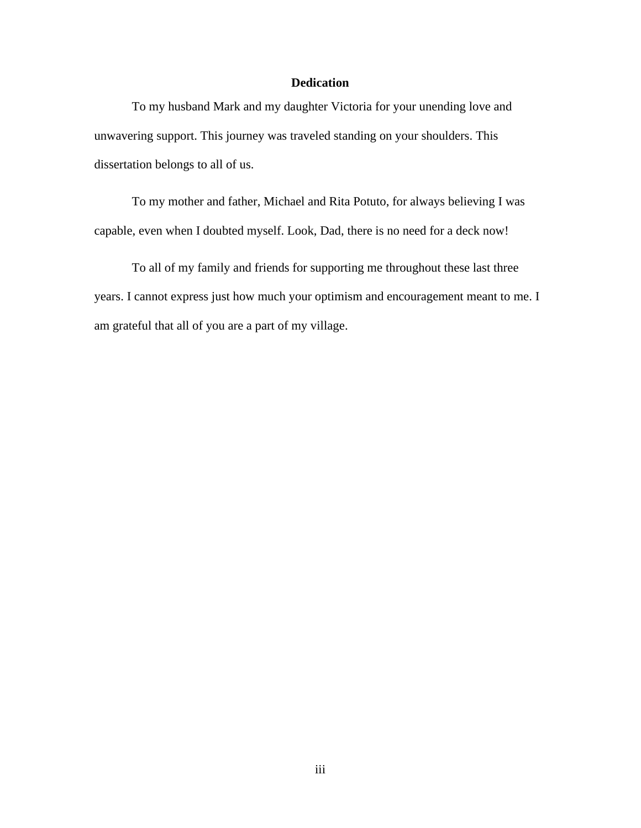# **Dedication**

To my husband Mark and my daughter Victoria for your unending love and unwavering support. This journey was traveled standing on your shoulders. This dissertation belongs to all of us.

To my mother and father, Michael and Rita Potuto, for always believing I was capable, even when I doubted myself. Look, Dad, there is no need for a deck now!

To all of my family and friends for supporting me throughout these last three years. I cannot express just how much your optimism and encouragement meant to me. I am grateful that all of you are a part of my village.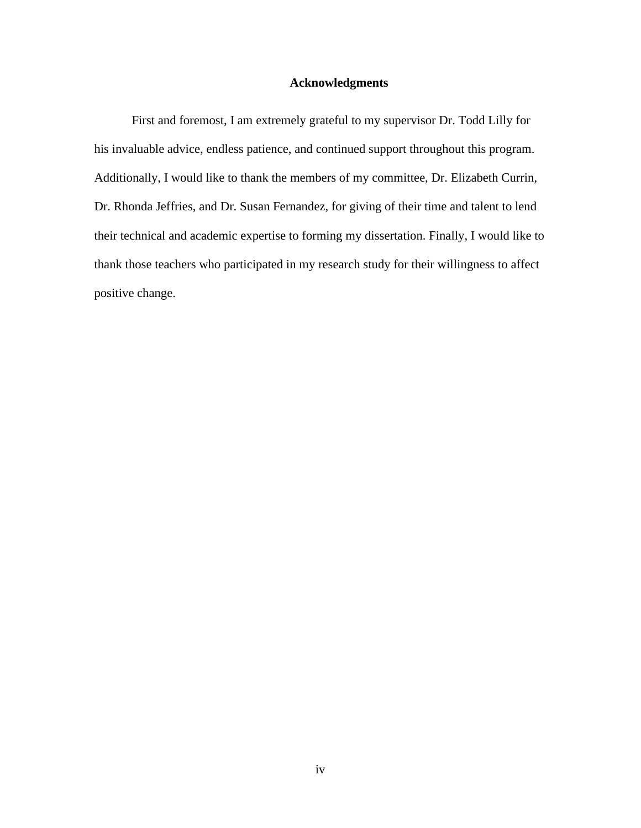# **Acknowledgments**

First and foremost, I am extremely grateful to my supervisor Dr. Todd Lilly for his invaluable advice, endless patience, and continued support throughout this program. Additionally, I would like to thank the members of my committee, Dr. Elizabeth Currin, Dr. Rhonda Jeffries, and Dr. Susan Fernandez, for giving of their time and talent to lend their technical and academic expertise to forming my dissertation. Finally, I would like to thank those teachers who participated in my research study for their willingness to affect positive change.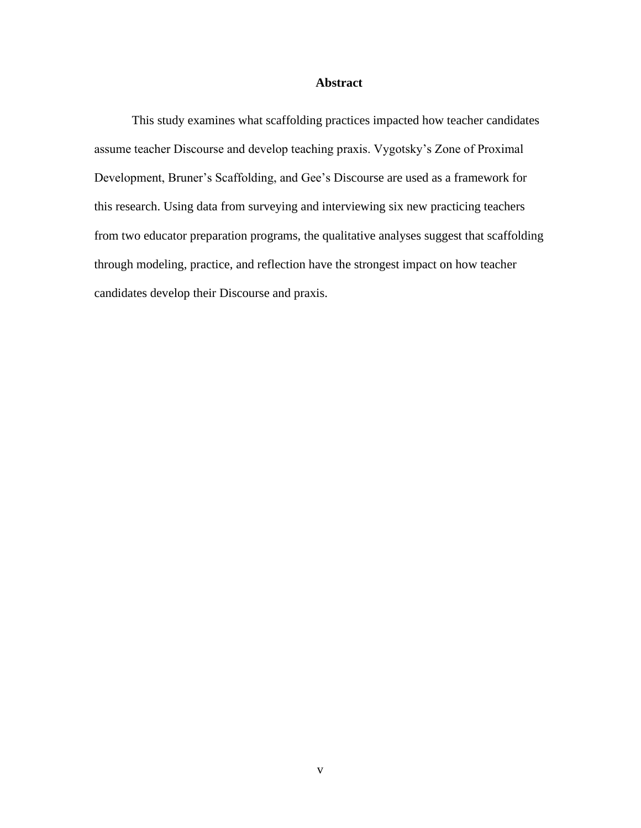#### **Abstract**

This study examines what scaffolding practices impacted how teacher candidates assume teacher Discourse and develop teaching praxis. Vygotsky's Zone of Proximal Development, Bruner's Scaffolding, and Gee's Discourse are used as a framework for this research. Using data from surveying and interviewing six new practicing teachers from two educator preparation programs, the qualitative analyses suggest that scaffolding through modeling, practice, and reflection have the strongest impact on how teacher candidates develop their Discourse and praxis.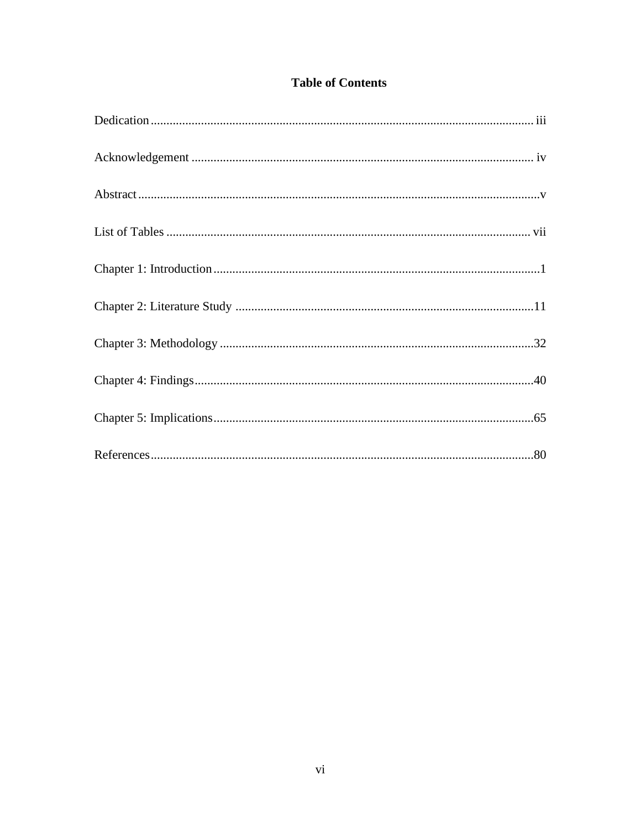| <b>Table of Contents</b> |
|--------------------------|
|--------------------------|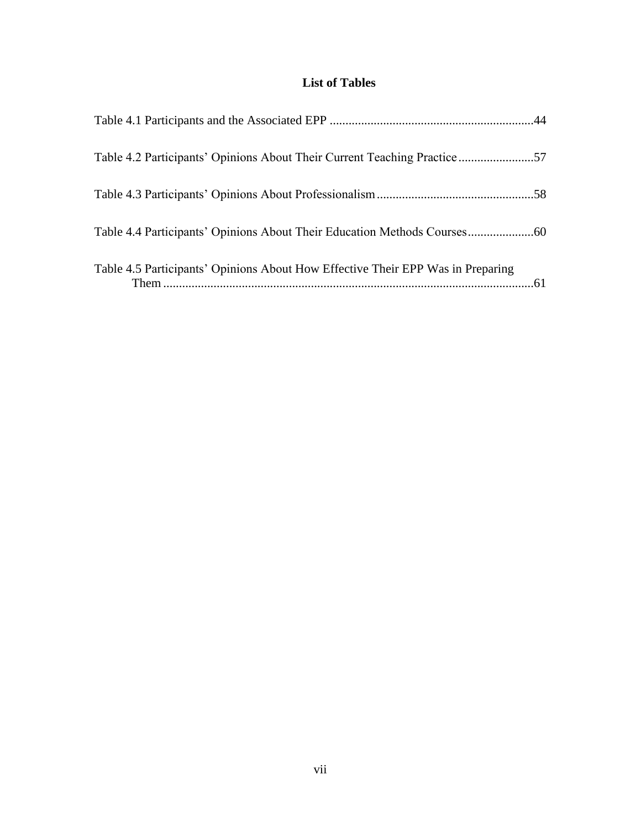# **List of Tables**

| Table 4.2 Participants' Opinions About Their Current Teaching Practice57        |  |
|---------------------------------------------------------------------------------|--|
|                                                                                 |  |
|                                                                                 |  |
| Table 4.5 Participants' Opinions About How Effective Their EPP Was in Preparing |  |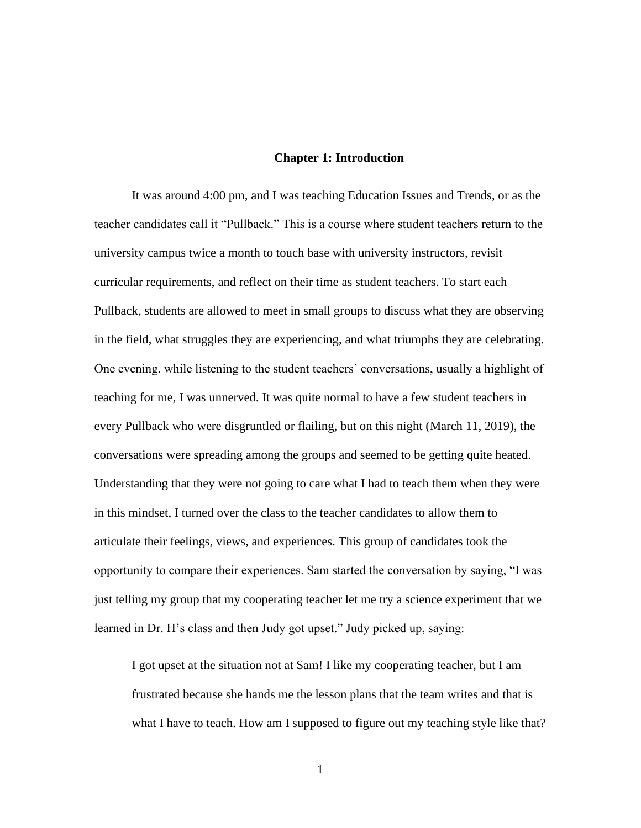#### **Chapter 1: Introduction**

It was around 4:00 pm, and I was teaching Education Issues and Trends, or as the teacher candidates call it "Pullback." This is a course where student teachers return to the university campus twice a month to touch base with university instructors, revisit curricular requirements, and reflect on their time as student teachers. To start each Pullback, students are allowed to meet in small groups to discuss what they are observing in the field, what struggles they are experiencing, and what triumphs they are celebrating. One evening. while listening to the student teachers' conversations, usually a highlight of teaching for me, I was unnerved. It was quite normal to have a few student teachers in every Pullback who were disgruntled or flailing, but on this night (March 11, 2019), the conversations were spreading among the groups and seemed to be getting quite heated. Understanding that they were not going to care what I had to teach them when they were in this mindset, I turned over the class to the teacher candidates to allow them to articulate their feelings, views, and experiences. This group of candidates took the opportunity to compare their experiences. Sam started the conversation by saying, "I was just telling my group that my cooperating teacher let me try a science experiment that we learned in Dr. H's class and then Judy got upset." Judy picked up, saying:

I got upset at the situation not at Sam! I like my cooperating teacher, but I am frustrated because she hands me the lesson plans that the team writes and that is what I have to teach. How am I supposed to figure out my teaching style like that?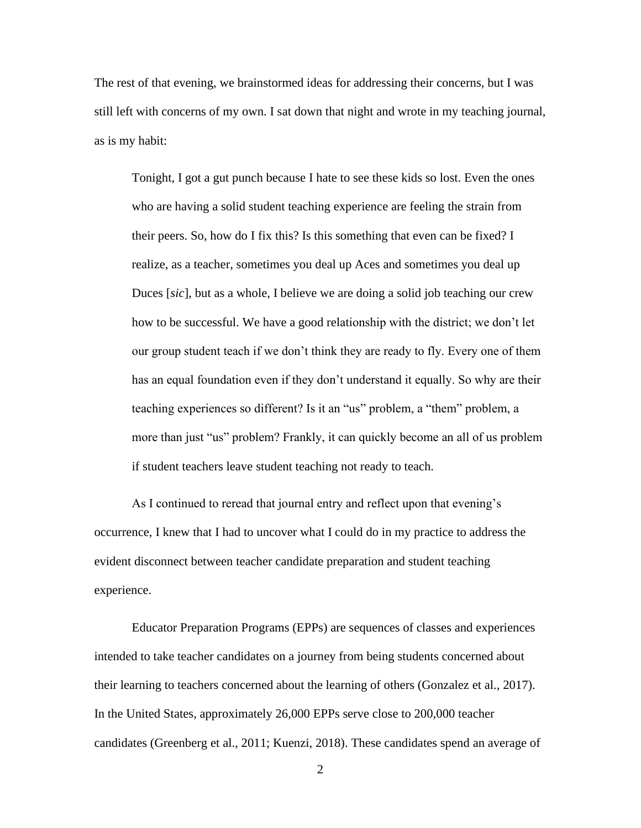The rest of that evening, we brainstormed ideas for addressing their concerns, but I was still left with concerns of my own. I sat down that night and wrote in my teaching journal, as is my habit:

Tonight, I got a gut punch because I hate to see these kids so lost. Even the ones who are having a solid student teaching experience are feeling the strain from their peers. So, how do I fix this? Is this something that even can be fixed? I realize, as a teacher, sometimes you deal up Aces and sometimes you deal up Duces [*sic*], but as a whole, I believe we are doing a solid job teaching our crew how to be successful. We have a good relationship with the district; we don't let our group student teach if we don't think they are ready to fly. Every one of them has an equal foundation even if they don't understand it equally. So why are their teaching experiences so different? Is it an "us" problem, a "them" problem, a more than just "us" problem? Frankly, it can quickly become an all of us problem if student teachers leave student teaching not ready to teach.

As I continued to reread that journal entry and reflect upon that evening's occurrence, I knew that I had to uncover what I could do in my practice to address the evident disconnect between teacher candidate preparation and student teaching experience.

Educator Preparation Programs (EPPs) are sequences of classes and experiences intended to take teacher candidates on a journey from being students concerned about their learning to teachers concerned about the learning of others (Gonzalez et al., 2017). In the United States, approximately 26,000 EPPs serve close to 200,000 teacher candidates (Greenberg et al., 2011; Kuenzi, 2018). These candidates spend an average of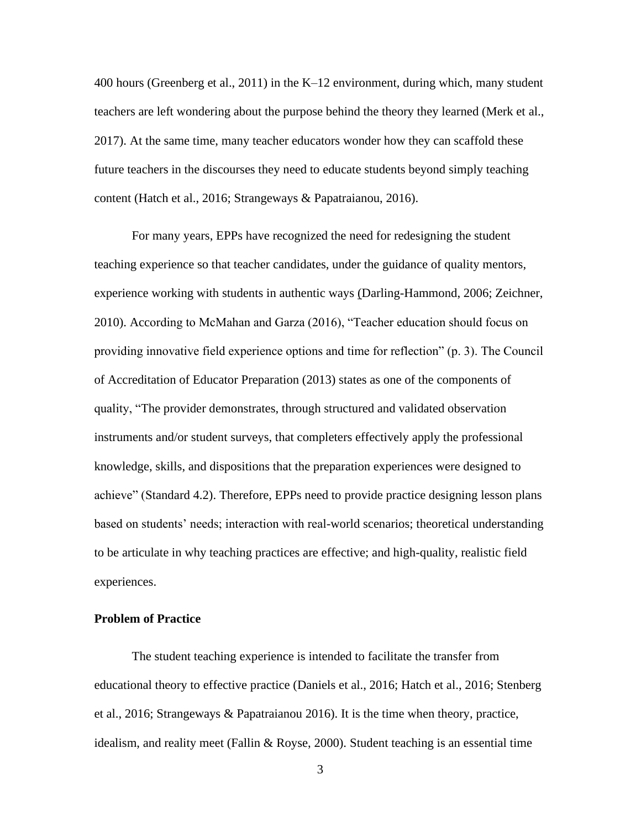400 hours (Greenberg et al., 2011) in the K–12 environment, during which, many student teachers are left wondering about the purpose behind the theory they learned (Merk et al., 2017). At the same time, many teacher educators wonder how they can scaffold these future teachers in the discourses they need to educate students beyond simply teaching content (Hatch et al., 2016; Strangeways & Papatraianou, 2016).

For many years, EPPs have recognized the need for redesigning the student teaching experience so that teacher candidates, under the guidance of quality mentors, experience working with students in authentic ways (Darling-Hammond, 2006; Zeichner, 2010). According to McMahan and Garza (2016), "Teacher education should focus on providing innovative field experience options and time for reflection" (p. 3). The Council of Accreditation of Educator Preparation (2013) states as one of the components of quality, "The provider demonstrates, through structured and validated observation instruments and/or student surveys, that completers effectively apply the professional knowledge, skills, and dispositions that the preparation experiences were designed to achieve" (Standard 4.2). Therefore, EPPs need to provide practice designing lesson plans based on students' needs; interaction with real-world scenarios; theoretical understanding to be articulate in why teaching practices are effective; and high-quality, realistic field experiences.

#### **Problem of Practice**

The student teaching experience is intended to facilitate the transfer from educational theory to effective practice (Daniels et al., 2016; Hatch et al., 2016; Stenberg et al., 2016; Strangeways & Papatraianou 2016). It is the time when theory, practice, idealism, and reality meet (Fallin  $& Royse, 2000$ ). Student teaching is an essential time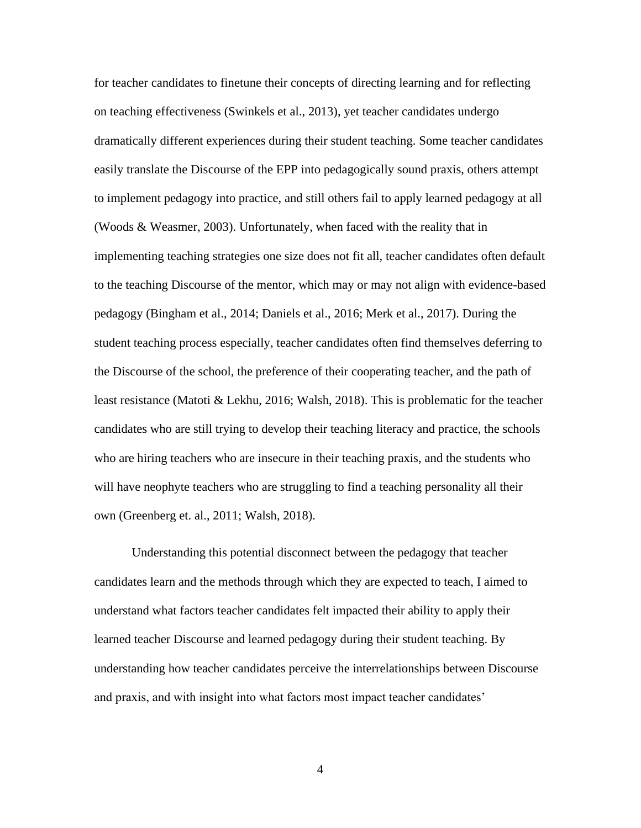for teacher candidates to finetune their concepts of directing learning and for reflecting on teaching effectiveness (Swinkels et al., 2013), yet teacher candidates undergo dramatically different experiences during their student teaching. Some teacher candidates easily translate the Discourse of the EPP into pedagogically sound praxis, others attempt to implement pedagogy into practice, and still others fail to apply learned pedagogy at all (Woods & Weasmer, 2003). Unfortunately, when faced with the reality that in implementing teaching strategies one size does not fit all, teacher candidates often default to the teaching Discourse of the mentor, which may or may not align with evidence-based pedagogy (Bingham et al., 2014; Daniels et al., 2016; Merk et al., 2017). During the student teaching process especially, teacher candidates often find themselves deferring to the Discourse of the school, the preference of their cooperating teacher, and the path of least resistance (Matoti & Lekhu, 2016; Walsh, 2018). This is problematic for the teacher candidates who are still trying to develop their teaching literacy and practice, the schools who are hiring teachers who are insecure in their teaching praxis, and the students who will have neophyte teachers who are struggling to find a teaching personality all their own (Greenberg et. al., 2011; Walsh, 2018).

Understanding this potential disconnect between the pedagogy that teacher candidates learn and the methods through which they are expected to teach, I aimed to understand what factors teacher candidates felt impacted their ability to apply their learned teacher Discourse and learned pedagogy during their student teaching. By understanding how teacher candidates perceive the interrelationships between Discourse and praxis, and with insight into what factors most impact teacher candidates'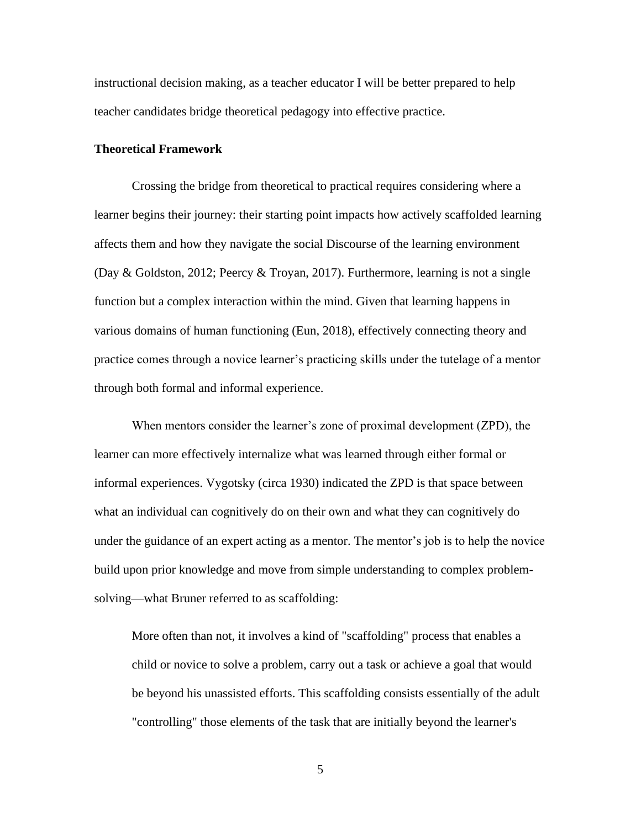instructional decision making, as a teacher educator I will be better prepared to help teacher candidates bridge theoretical pedagogy into effective practice.

#### **Theoretical Framework**

Crossing the bridge from theoretical to practical requires considering where a learner begins their journey: their starting point impacts how actively scaffolded learning affects them and how they navigate the social Discourse of the learning environment (Day & Goldston, 2012; Peercy & Troyan, 2017). Furthermore, learning is not a single function but a complex interaction within the mind. Given that learning happens in various domains of human functioning (Eun, 2018), effectively connecting theory and practice comes through a novice learner's practicing skills under the tutelage of a mentor through both formal and informal experience.

When mentors consider the learner's zone of proximal development (ZPD), the learner can more effectively internalize what was learned through either formal or informal experiences. Vygotsky (circa 1930) indicated the ZPD is that space between what an individual can cognitively do on their own and what they can cognitively do under the guidance of an expert acting as a mentor. The mentor's job is to help the novice build upon prior knowledge and move from simple understanding to complex problemsolving—what Bruner referred to as scaffolding:

More often than not, it involves a kind of "scaffolding" process that enables a child or novice to solve a problem, carry out a task or achieve a goal that would be beyond his unassisted efforts. This scaffolding consists essentially of the adult "controlling" those elements of the task that are initially beyond the learner's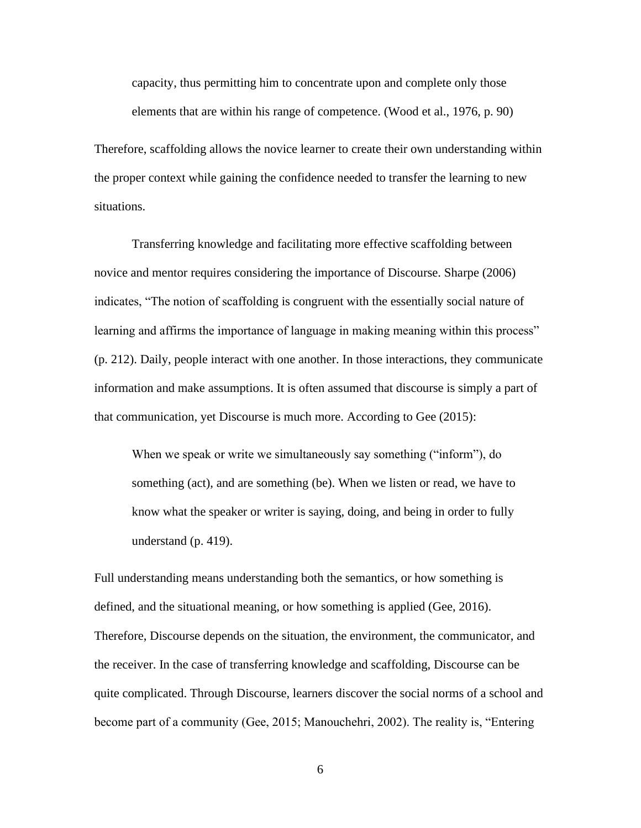capacity, thus permitting him to concentrate upon and complete only those elements that are within his range of competence. (Wood et al., 1976, p. 90)

Therefore, scaffolding allows the novice learner to create their own understanding within the proper context while gaining the confidence needed to transfer the learning to new situations.

Transferring knowledge and facilitating more effective scaffolding between novice and mentor requires considering the importance of Discourse. Sharpe (2006) indicates, "The notion of scaffolding is congruent with the essentially social nature of learning and affirms the importance of language in making meaning within this process" (p. 212). Daily, people interact with one another. In those interactions, they communicate information and make assumptions. It is often assumed that discourse is simply a part of that communication, yet Discourse is much more. According to Gee (2015):

When we speak or write we simultaneously say something ("inform"), do something (act), and are something (be). When we listen or read, we have to know what the speaker or writer is saying, doing, and being in order to fully understand (p. 419).

Full understanding means understanding both the semantics, or how something is defined, and the situational meaning, or how something is applied (Gee, 2016). Therefore, Discourse depends on the situation, the environment, the communicator, and the receiver. In the case of transferring knowledge and scaffolding, Discourse can be quite complicated. Through Discourse, learners discover the social norms of a school and become part of a community (Gee, 2015; Manouchehri, 2002). The reality is, "Entering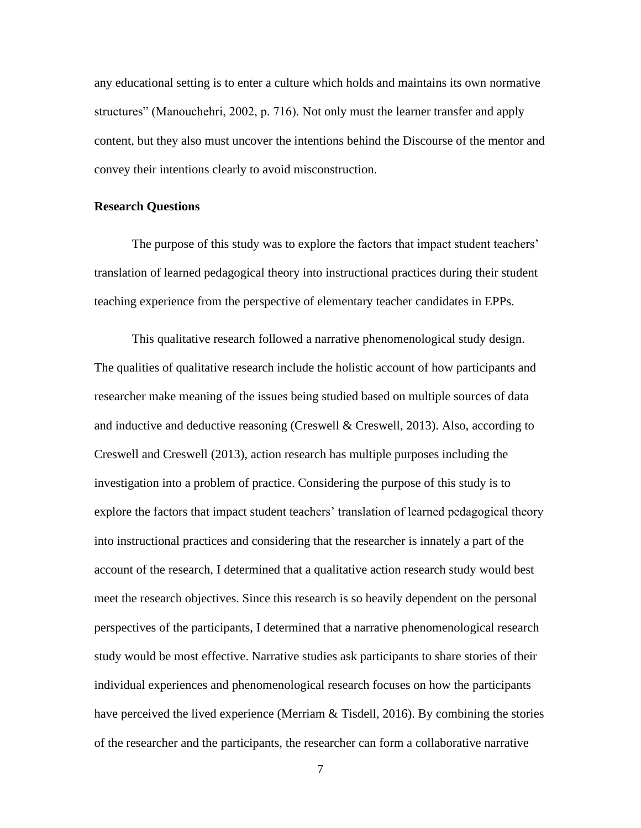any educational setting is to enter a culture which holds and maintains its own normative structures" (Manouchehri, 2002, p. 716). Not only must the learner transfer and apply content, but they also must uncover the intentions behind the Discourse of the mentor and convey their intentions clearly to avoid misconstruction.

#### **Research Questions**

The purpose of this study was to explore the factors that impact student teachers' translation of learned pedagogical theory into instructional practices during their student teaching experience from the perspective of elementary teacher candidates in EPPs.

This qualitative research followed a narrative phenomenological study design. The qualities of qualitative research include the holistic account of how participants and researcher make meaning of the issues being studied based on multiple sources of data and inductive and deductive reasoning (Creswell & Creswell, 2013). Also, according to Creswell and Creswell (2013), action research has multiple purposes including the investigation into a problem of practice. Considering the purpose of this study is to explore the factors that impact student teachers' translation of learned pedagogical theory into instructional practices and considering that the researcher is innately a part of the account of the research, I determined that a qualitative action research study would best meet the research objectives. Since this research is so heavily dependent on the personal perspectives of the participants, I determined that a narrative phenomenological research study would be most effective. Narrative studies ask participants to share stories of their individual experiences and phenomenological research focuses on how the participants have perceived the lived experience (Merriam  $&$  Tisdell, 2016). By combining the stories of the researcher and the participants, the researcher can form a collaborative narrative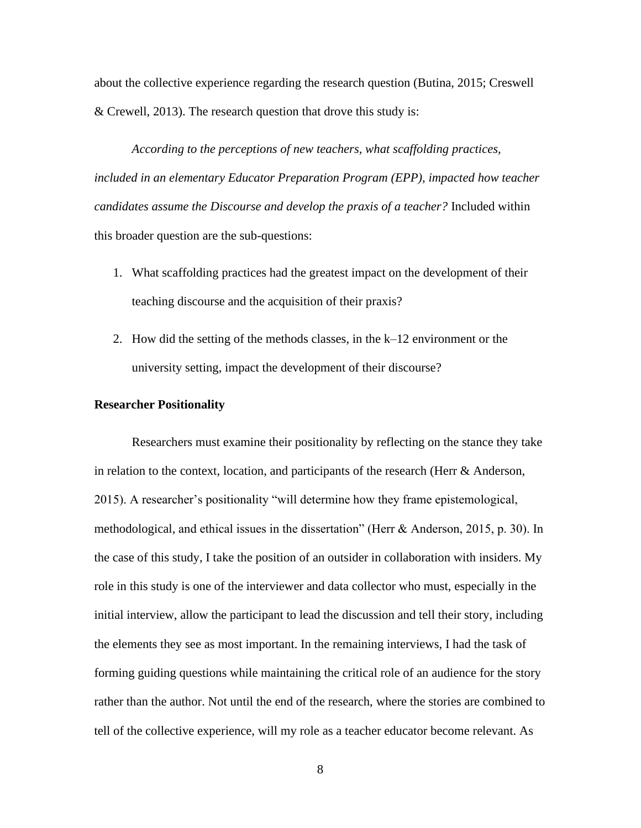about the collective experience regarding the research question (Butina, 2015; Creswell & Crewell, 2013). The research question that drove this study is:

*According to the perceptions of new teachers, what scaffolding practices, included in an elementary Educator Preparation Program (EPP), impacted how teacher candidates assume the Discourse and develop the praxis of a teacher?* Included within this broader question are the sub-questions:

- 1. What scaffolding practices had the greatest impact on the development of their teaching discourse and the acquisition of their praxis?
- 2. How did the setting of the methods classes, in the k–12 environment or the university setting, impact the development of their discourse?

#### **Researcher Positionality**

Researchers must examine their positionality by reflecting on the stance they take in relation to the context, location, and participants of the research (Herr & Anderson, 2015). A researcher's positionality "will determine how they frame epistemological, methodological, and ethical issues in the dissertation" (Herr & Anderson, 2015, p. 30). In the case of this study, I take the position of an outsider in collaboration with insiders. My role in this study is one of the interviewer and data collector who must, especially in the initial interview, allow the participant to lead the discussion and tell their story, including the elements they see as most important. In the remaining interviews, I had the task of forming guiding questions while maintaining the critical role of an audience for the story rather than the author. Not until the end of the research, where the stories are combined to tell of the collective experience, will my role as a teacher educator become relevant. As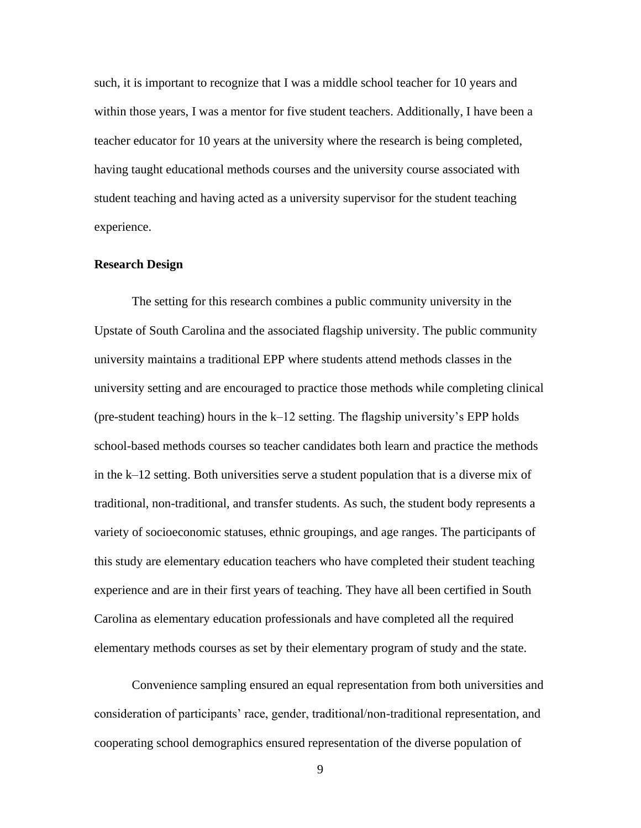such, it is important to recognize that I was a middle school teacher for 10 years and within those years, I was a mentor for five student teachers. Additionally, I have been a teacher educator for 10 years at the university where the research is being completed, having taught educational methods courses and the university course associated with student teaching and having acted as a university supervisor for the student teaching experience.

#### **Research Design**

The setting for this research combines a public community university in the Upstate of South Carolina and the associated flagship university. The public community university maintains a traditional EPP where students attend methods classes in the university setting and are encouraged to practice those methods while completing clinical (pre-student teaching) hours in the k–12 setting. The flagship university's EPP holds school-based methods courses so teacher candidates both learn and practice the methods in the k–12 setting. Both universities serve a student population that is a diverse mix of traditional, non-traditional, and transfer students. As such, the student body represents a variety of socioeconomic statuses, ethnic groupings, and age ranges. The participants of this study are elementary education teachers who have completed their student teaching experience and are in their first years of teaching. They have all been certified in South Carolina as elementary education professionals and have completed all the required elementary methods courses as set by their elementary program of study and the state.

Convenience sampling ensured an equal representation from both universities and consideration of participants' race, gender, traditional/non-traditional representation, and cooperating school demographics ensured representation of the diverse population of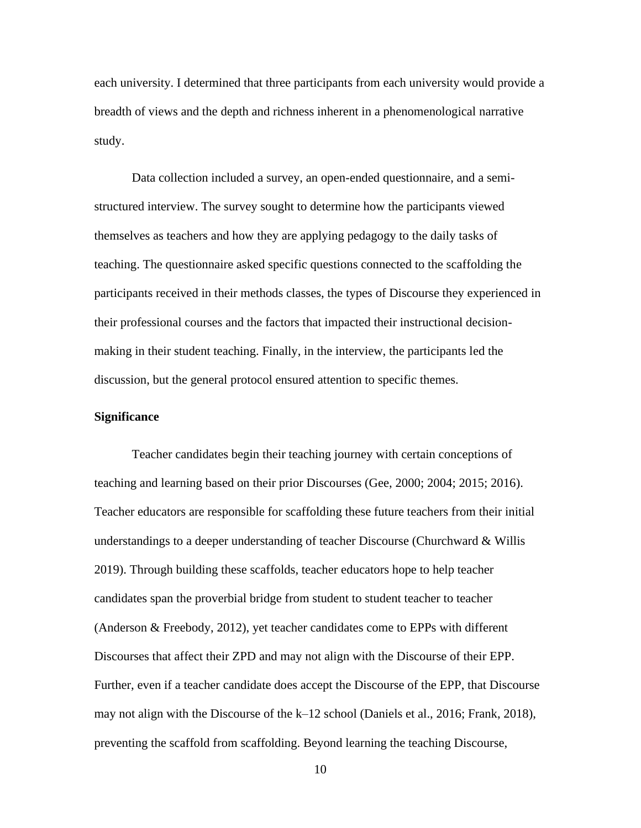each university. I determined that three participants from each university would provide a breadth of views and the depth and richness inherent in a phenomenological narrative study.

Data collection included a survey, an open-ended questionnaire, and a semistructured interview. The survey sought to determine how the participants viewed themselves as teachers and how they are applying pedagogy to the daily tasks of teaching. The questionnaire asked specific questions connected to the scaffolding the participants received in their methods classes, the types of Discourse they experienced in their professional courses and the factors that impacted their instructional decisionmaking in their student teaching. Finally, in the interview, the participants led the discussion, but the general protocol ensured attention to specific themes.

#### **Significance**

Teacher candidates begin their teaching journey with certain conceptions of teaching and learning based on their prior Discourses (Gee, 2000; 2004; 2015; 2016). Teacher educators are responsible for scaffolding these future teachers from their initial understandings to a deeper understanding of teacher Discourse (Churchward & Willis 2019). Through building these scaffolds, teacher educators hope to help teacher candidates span the proverbial bridge from student to student teacher to teacher (Anderson & Freebody, 2012), yet teacher candidates come to EPPs with different Discourses that affect their ZPD and may not align with the Discourse of their EPP. Further, even if a teacher candidate does accept the Discourse of the EPP, that Discourse may not align with the Discourse of the k–12 school (Daniels et al., 2016; Frank, 2018), preventing the scaffold from scaffolding. Beyond learning the teaching Discourse,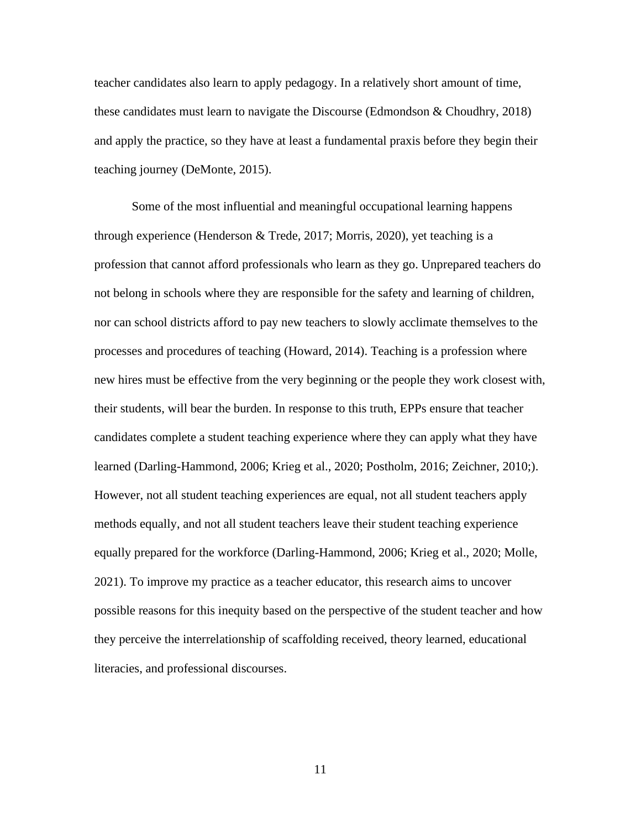teacher candidates also learn to apply pedagogy. In a relatively short amount of time, these candidates must learn to navigate the Discourse (Edmondson & Choudhry, 2018) and apply the practice, so they have at least a fundamental praxis before they begin their teaching journey (DeMonte, 2015).

Some of the most influential and meaningful occupational learning happens through experience (Henderson & Trede, 2017; Morris, 2020), yet teaching is a profession that cannot afford professionals who learn as they go. Unprepared teachers do not belong in schools where they are responsible for the safety and learning of children, nor can school districts afford to pay new teachers to slowly acclimate themselves to the processes and procedures of teaching (Howard, 2014). Teaching is a profession where new hires must be effective from the very beginning or the people they work closest with, their students, will bear the burden. In response to this truth, EPPs ensure that teacher candidates complete a student teaching experience where they can apply what they have learned (Darling-Hammond, 2006; Krieg et al., 2020; Postholm, 2016; Zeichner, 2010;). However, not all student teaching experiences are equal, not all student teachers apply methods equally, and not all student teachers leave their student teaching experience equally prepared for the workforce (Darling-Hammond, 2006; Krieg et al., 2020; Molle, 2021). To improve my practice as a teacher educator, this research aims to uncover possible reasons for this inequity based on the perspective of the student teacher and how they perceive the interrelationship of scaffolding received, theory learned, educational literacies, and professional discourses.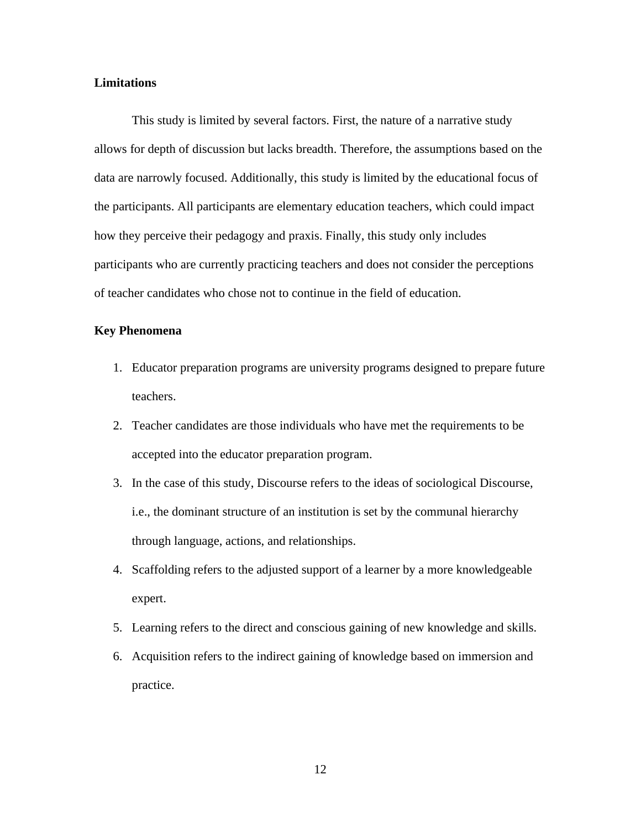#### **Limitations**

This study is limited by several factors. First, the nature of a narrative study allows for depth of discussion but lacks breadth. Therefore, the assumptions based on the data are narrowly focused. Additionally, this study is limited by the educational focus of the participants. All participants are elementary education teachers, which could impact how they perceive their pedagogy and praxis. Finally, this study only includes participants who are currently practicing teachers and does not consider the perceptions of teacher candidates who chose not to continue in the field of education.

#### **Key Phenomena**

- 1. Educator preparation programs are university programs designed to prepare future teachers.
- 2. Teacher candidates are those individuals who have met the requirements to be accepted into the educator preparation program.
- 3. In the case of this study, Discourse refers to the ideas of sociological Discourse, i.e., the dominant structure of an institution is set by the communal hierarchy through language, actions, and relationships.
- 4. Scaffolding refers to the adjusted support of a learner by a more knowledgeable expert.
- 5. Learning refers to the direct and conscious gaining of new knowledge and skills.
- 6. Acquisition refers to the indirect gaining of knowledge based on immersion and practice.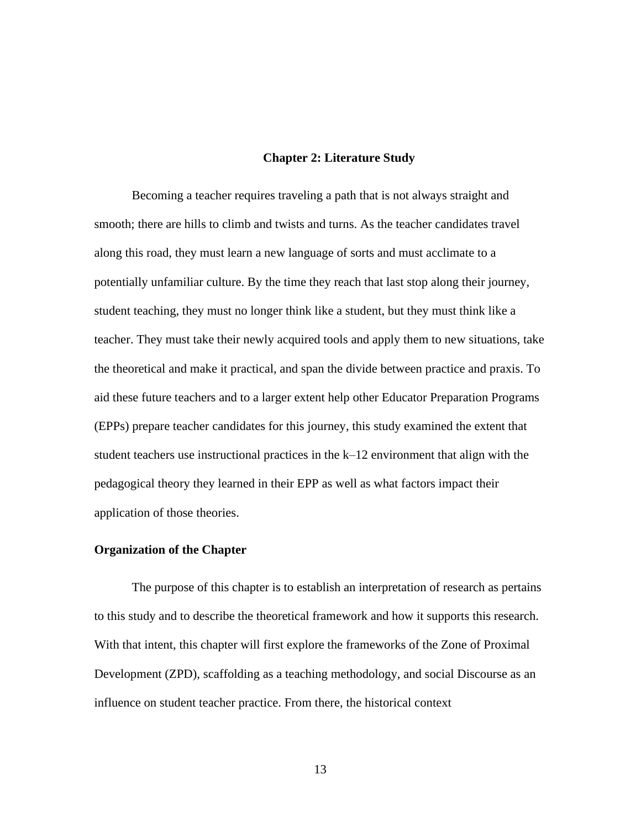#### **Chapter 2: Literature Study**

Becoming a teacher requires traveling a path that is not always straight and smooth; there are hills to climb and twists and turns. As the teacher candidates travel along this road, they must learn a new language of sorts and must acclimate to a potentially unfamiliar culture. By the time they reach that last stop along their journey, student teaching, they must no longer think like a student, but they must think like a teacher. They must take their newly acquired tools and apply them to new situations, take the theoretical and make it practical, and span the divide between practice and praxis. To aid these future teachers and to a larger extent help other Educator Preparation Programs (EPPs) prepare teacher candidates for this journey, this study examined the extent that student teachers use instructional practices in the k–12 environment that align with the pedagogical theory they learned in their EPP as well as what factors impact their application of those theories.

#### **Organization of the Chapter**

The purpose of this chapter is to establish an interpretation of research as pertains to this study and to describe the theoretical framework and how it supports this research. With that intent, this chapter will first explore the frameworks of the Zone of Proximal Development (ZPD), scaffolding as a teaching methodology, and social Discourse as an influence on student teacher practice. From there, the historical context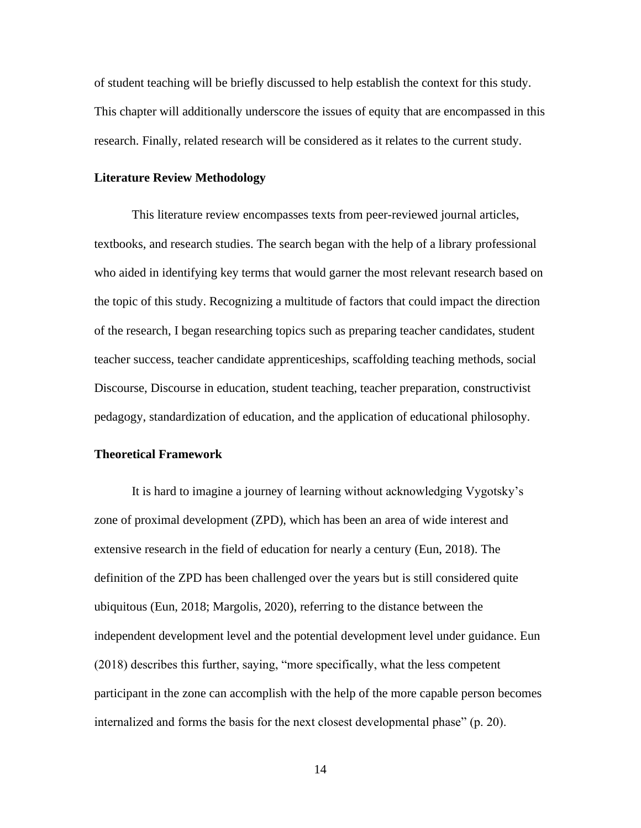of student teaching will be briefly discussed to help establish the context for this study. This chapter will additionally underscore the issues of equity that are encompassed in this research. Finally, related research will be considered as it relates to the current study.

#### **Literature Review Methodology**

This literature review encompasses texts from peer-reviewed journal articles, textbooks, and research studies. The search began with the help of a library professional who aided in identifying key terms that would garner the most relevant research based on the topic of this study. Recognizing a multitude of factors that could impact the direction of the research, I began researching topics such as preparing teacher candidates, student teacher success, teacher candidate apprenticeships, scaffolding teaching methods, social Discourse, Discourse in education, student teaching, teacher preparation, constructivist pedagogy, standardization of education, and the application of educational philosophy.

### **Theoretical Framework**

It is hard to imagine a journey of learning without acknowledging Vygotsky's zone of proximal development (ZPD), which has been an area of wide interest and extensive research in the field of education for nearly a century (Eun, 2018). The definition of the ZPD has been challenged over the years but is still considered quite ubiquitous (Eun, 2018; Margolis, 2020), referring to the distance between the independent development level and the potential development level under guidance. Eun (2018) describes this further, saying, "more specifically, what the less competent participant in the zone can accomplish with the help of the more capable person becomes internalized and forms the basis for the next closest developmental phase" (p. 20).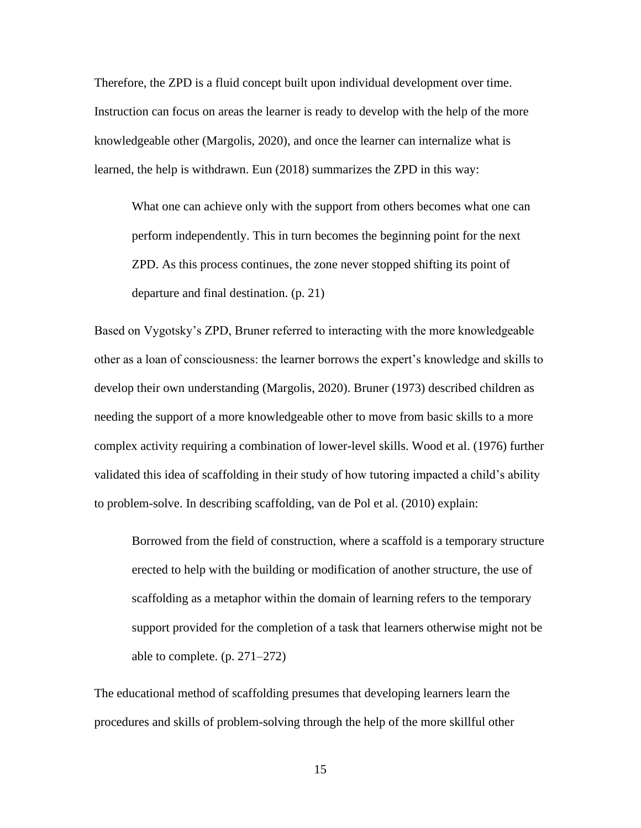Therefore, the ZPD is a fluid concept built upon individual development over time. Instruction can focus on areas the learner is ready to develop with the help of the more knowledgeable other (Margolis, 2020), and once the learner can internalize what is learned, the help is withdrawn. Eun (2018) summarizes the ZPD in this way:

What one can achieve only with the support from others becomes what one can perform independently. This in turn becomes the beginning point for the next ZPD. As this process continues, the zone never stopped shifting its point of departure and final destination. (p. 21)

Based on Vygotsky's ZPD, Bruner referred to interacting with the more knowledgeable other as a loan of consciousness: the learner borrows the expert's knowledge and skills to develop their own understanding (Margolis, 2020). Bruner (1973) described children as needing the support of a more knowledgeable other to move from basic skills to a more complex activity requiring a combination of lower-level skills. Wood et al. (1976) further validated this idea of scaffolding in their study of how tutoring impacted a child's ability to problem-solve. In describing scaffolding, van de Pol et al. (2010) explain:

Borrowed from the field of construction, where a scaffold is a temporary structure erected to help with the building or modification of another structure, the use of scaffolding as a metaphor within the domain of learning refers to the temporary support provided for the completion of a task that learners otherwise might not be able to complete. (p. 271–272)

The educational method of scaffolding presumes that developing learners learn the procedures and skills of problem-solving through the help of the more skillful other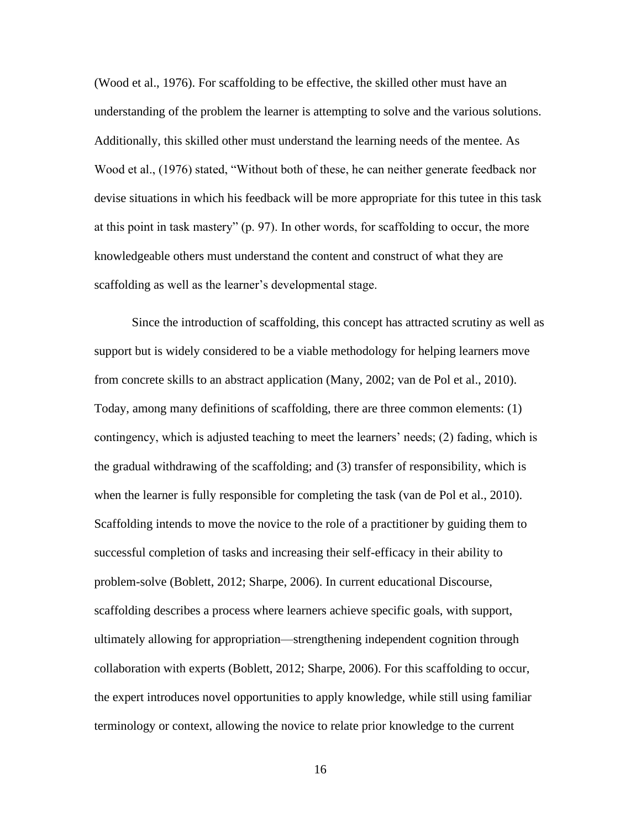(Wood et al., 1976). For scaffolding to be effective, the skilled other must have an understanding of the problem the learner is attempting to solve and the various solutions. Additionally, this skilled other must understand the learning needs of the mentee. As Wood et al., (1976) stated, "Without both of these, he can neither generate feedback nor devise situations in which his feedback will be more appropriate for this tutee in this task at this point in task mastery" (p. 97). In other words, for scaffolding to occur, the more knowledgeable others must understand the content and construct of what they are scaffolding as well as the learner's developmental stage.

Since the introduction of scaffolding, this concept has attracted scrutiny as well as support but is widely considered to be a viable methodology for helping learners move from concrete skills to an abstract application (Many, 2002; van de Pol et al., 2010). Today, among many definitions of scaffolding, there are three common elements: (1) contingency, which is adjusted teaching to meet the learners' needs; (2) fading, which is the gradual withdrawing of the scaffolding; and (3) transfer of responsibility, which is when the learner is fully responsible for completing the task (van de Pol et al., 2010). Scaffolding intends to move the novice to the role of a practitioner by guiding them to successful completion of tasks and increasing their self-efficacy in their ability to problem-solve (Boblett, 2012; Sharpe, 2006). In current educational Discourse, scaffolding describes a process where learners achieve specific goals, with support, ultimately allowing for appropriation—strengthening independent cognition through collaboration with experts (Boblett, 2012; Sharpe, 2006). For this scaffolding to occur, the expert introduces novel opportunities to apply knowledge, while still using familiar terminology or context, allowing the novice to relate prior knowledge to the current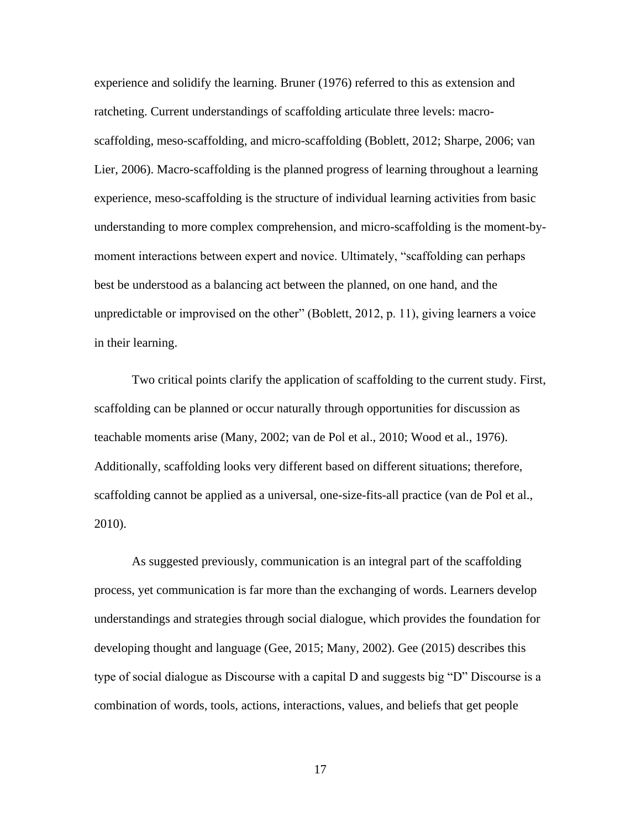experience and solidify the learning. Bruner (1976) referred to this as extension and ratcheting. Current understandings of scaffolding articulate three levels: macroscaffolding, meso-scaffolding, and micro-scaffolding (Boblett, 2012; Sharpe, 2006; van Lier, 2006). Macro-scaffolding is the planned progress of learning throughout a learning experience, meso-scaffolding is the structure of individual learning activities from basic understanding to more complex comprehension, and micro-scaffolding is the moment-bymoment interactions between expert and novice. Ultimately, "scaffolding can perhaps best be understood as a balancing act between the planned, on one hand, and the unpredictable or improvised on the other" (Boblett, 2012, p. 11), giving learners a voice in their learning.

Two critical points clarify the application of scaffolding to the current study. First, scaffolding can be planned or occur naturally through opportunities for discussion as teachable moments arise (Many, 2002; van de Pol et al., 2010; Wood et al., 1976). Additionally, scaffolding looks very different based on different situations; therefore, scaffolding cannot be applied as a universal, one-size-fits-all practice (van de Pol et al., 2010).

As suggested previously, communication is an integral part of the scaffolding process, yet communication is far more than the exchanging of words. Learners develop understandings and strategies through social dialogue, which provides the foundation for developing thought and language (Gee, 2015; Many, 2002). Gee (2015) describes this type of social dialogue as Discourse with a capital D and suggests big "D" Discourse is a combination of words, tools, actions, interactions, values, and beliefs that get people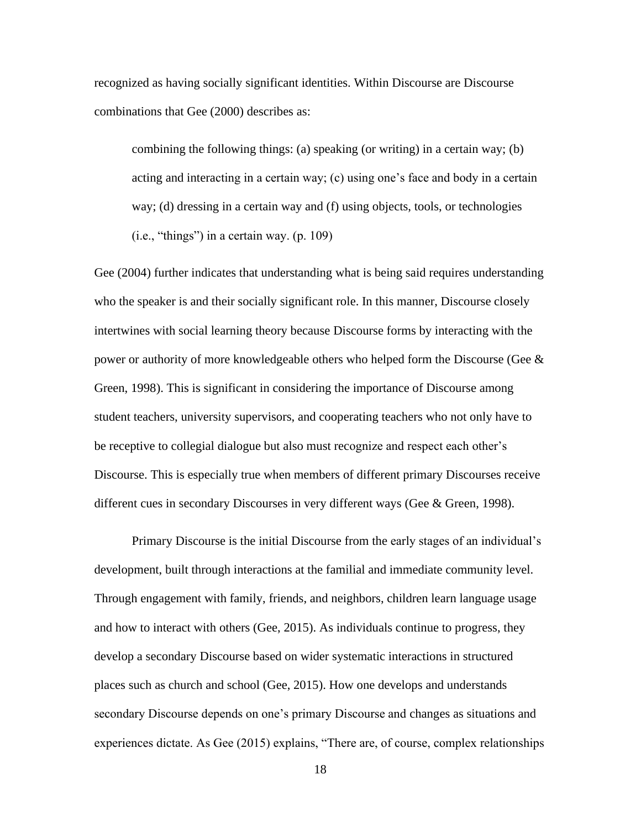recognized as having socially significant identities. Within Discourse are Discourse combinations that Gee (2000) describes as:

combining the following things: (a) speaking (or writing) in a certain way; (b) acting and interacting in a certain way; (c) using one's face and body in a certain way; (d) dressing in a certain way and (f) using objects, tools, or technologies  $(i.e., "things")$  in a certain way.  $(p. 109)$ 

Gee (2004) further indicates that understanding what is being said requires understanding who the speaker is and their socially significant role. In this manner, Discourse closely intertwines with social learning theory because Discourse forms by interacting with the power or authority of more knowledgeable others who helped form the Discourse (Gee & Green, 1998). This is significant in considering the importance of Discourse among student teachers, university supervisors, and cooperating teachers who not only have to be receptive to collegial dialogue but also must recognize and respect each other's Discourse. This is especially true when members of different primary Discourses receive different cues in secondary Discourses in very different ways (Gee & Green, 1998).

Primary Discourse is the initial Discourse from the early stages of an individual's development, built through interactions at the familial and immediate community level. Through engagement with family, friends, and neighbors, children learn language usage and how to interact with others (Gee, 2015). As individuals continue to progress, they develop a secondary Discourse based on wider systematic interactions in structured places such as church and school (Gee, 2015). How one develops and understands secondary Discourse depends on one's primary Discourse and changes as situations and experiences dictate. As Gee (2015) explains, "There are, of course, complex relationships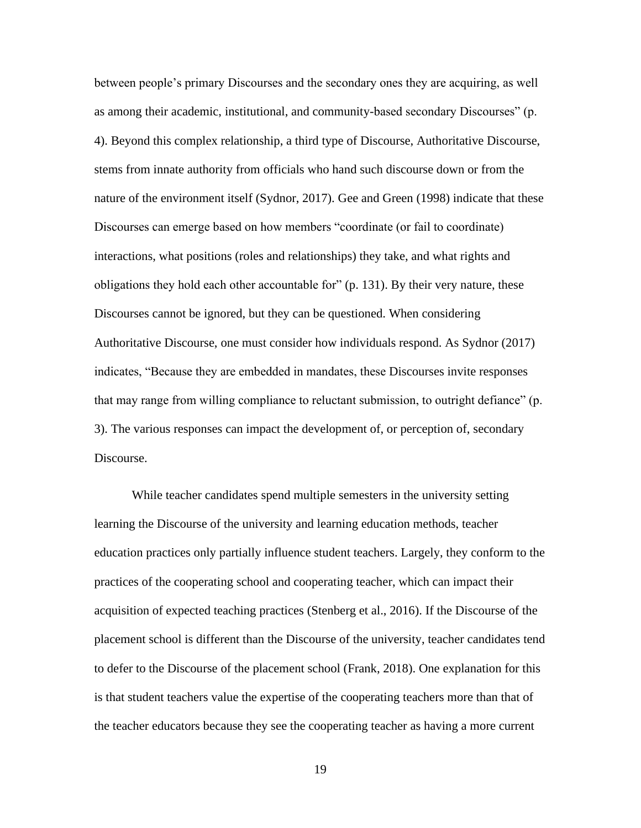between people's primary Discourses and the secondary ones they are acquiring, as well as among their academic, institutional, and community-based secondary Discourses" (p. 4). Beyond this complex relationship, a third type of Discourse, Authoritative Discourse, stems from innate authority from officials who hand such discourse down or from the nature of the environment itself (Sydnor, 2017). Gee and Green (1998) indicate that these Discourses can emerge based on how members "coordinate (or fail to coordinate) interactions, what positions (roles and relationships) they take, and what rights and obligations they hold each other accountable for" (p. 131). By their very nature, these Discourses cannot be ignored, but they can be questioned. When considering Authoritative Discourse, one must consider how individuals respond. As Sydnor (2017) indicates, "Because they are embedded in mandates, these Discourses invite responses that may range from willing compliance to reluctant submission, to outright defiance" (p. 3). The various responses can impact the development of, or perception of, secondary Discourse.

While teacher candidates spend multiple semesters in the university setting learning the Discourse of the university and learning education methods, teacher education practices only partially influence student teachers. Largely, they conform to the practices of the cooperating school and cooperating teacher, which can impact their acquisition of expected teaching practices (Stenberg et al., 2016). If the Discourse of the placement school is different than the Discourse of the university, teacher candidates tend to defer to the Discourse of the placement school (Frank, 2018). One explanation for this is that student teachers value the expertise of the cooperating teachers more than that of the teacher educators because they see the cooperating teacher as having a more current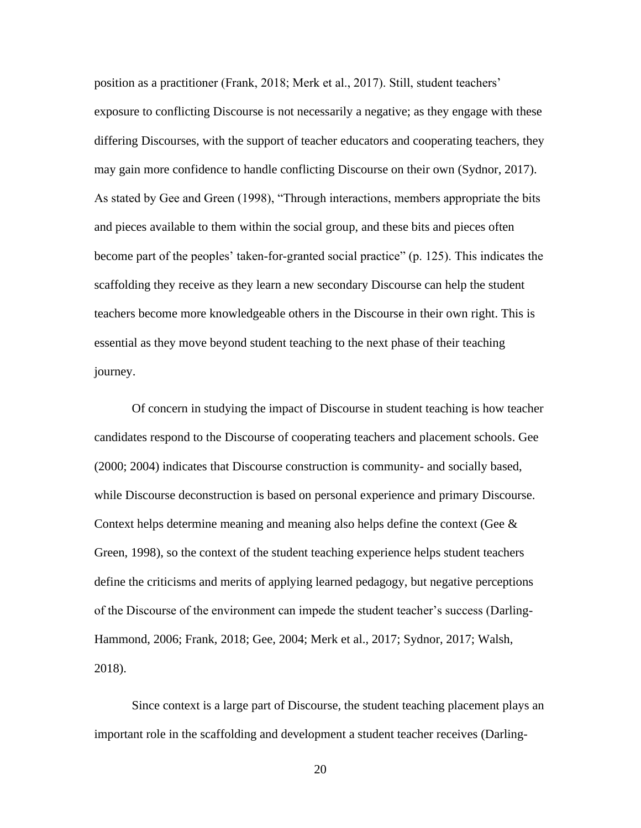position as a practitioner (Frank, 2018; Merk et al., 2017). Still, student teachers' exposure to conflicting Discourse is not necessarily a negative; as they engage with these differing Discourses, with the support of teacher educators and cooperating teachers, they may gain more confidence to handle conflicting Discourse on their own (Sydnor, 2017). As stated by Gee and Green (1998), "Through interactions, members appropriate the bits and pieces available to them within the social group, and these bits and pieces often become part of the peoples' taken-for-granted social practice" (p. 125). This indicates the scaffolding they receive as they learn a new secondary Discourse can help the student teachers become more knowledgeable others in the Discourse in their own right. This is essential as they move beyond student teaching to the next phase of their teaching journey.

Of concern in studying the impact of Discourse in student teaching is how teacher candidates respond to the Discourse of cooperating teachers and placement schools. Gee (2000; 2004) indicates that Discourse construction is community- and socially based, while Discourse deconstruction is based on personal experience and primary Discourse. Context helps determine meaning and meaning also helps define the context (Gee  $\&$ Green, 1998), so the context of the student teaching experience helps student teachers define the criticisms and merits of applying learned pedagogy, but negative perceptions of the Discourse of the environment can impede the student teacher's success (Darling-Hammond, 2006; Frank, 2018; Gee, 2004; Merk et al., 2017; Sydnor, 2017; Walsh, 2018).

Since context is a large part of Discourse, the student teaching placement plays an important role in the scaffolding and development a student teacher receives (Darling-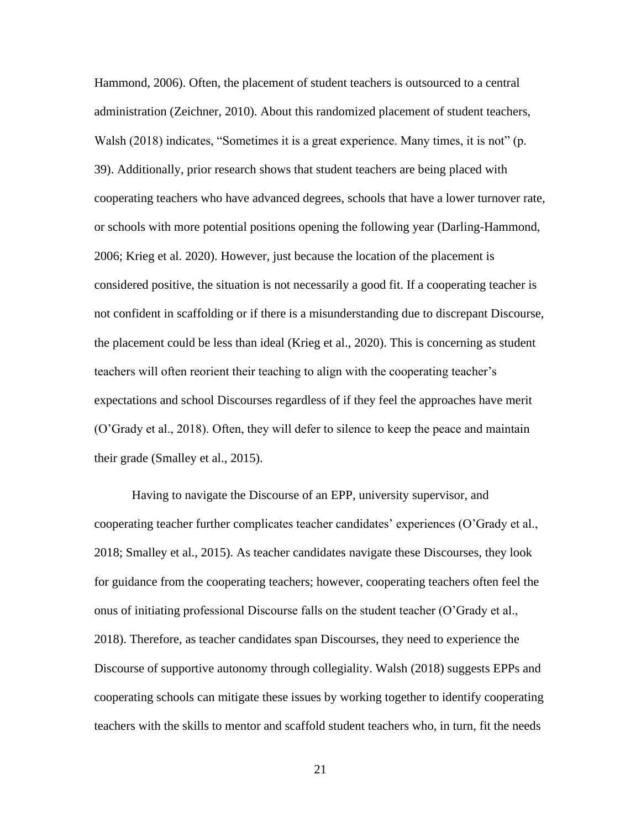Hammond, 2006). Often, the placement of student teachers is outsourced to a central administration (Zeichner, 2010). About this randomized placement of student teachers, Walsh (2018) indicates, "Sometimes it is a great experience. Many times, it is not" (p. 39). Additionally, prior research shows that student teachers are being placed with cooperating teachers who have advanced degrees, schools that have a lower turnover rate, or schools with more potential positions opening the following year (Darling-Hammond, 2006; Krieg et al. 2020). However, just because the location of the placement is considered positive, the situation is not necessarily a good fit. If a cooperating teacher is not confident in scaffolding or if there is a misunderstanding due to discrepant Discourse, the placement could be less than ideal (Krieg et al., 2020). This is concerning as student teachers will often reorient their teaching to align with the cooperating teacher's expectations and school Discourses regardless of if they feel the approaches have merit (O'Grady et al., 2018). Often, they will defer to silence to keep the peace and maintain their grade (Smalley et al., 2015).

Having to navigate the Discourse of an EPP, university supervisor, and cooperating teacher further complicates teacher candidates' experiences (O'Grady et al., 2018; Smalley et al., 2015). As teacher candidates navigate these Discourses, they look for guidance from the cooperating teachers; however, cooperating teachers often feel the onus of initiating professional Discourse falls on the student teacher (O'Grady et al., 2018). Therefore, as teacher candidates span Discourses, they need to experience the Discourse of supportive autonomy through collegiality. Walsh (2018) suggests EPPs and cooperating schools can mitigate these issues by working together to identify cooperating teachers with the skills to mentor and scaffold student teachers who, in turn, fit the needs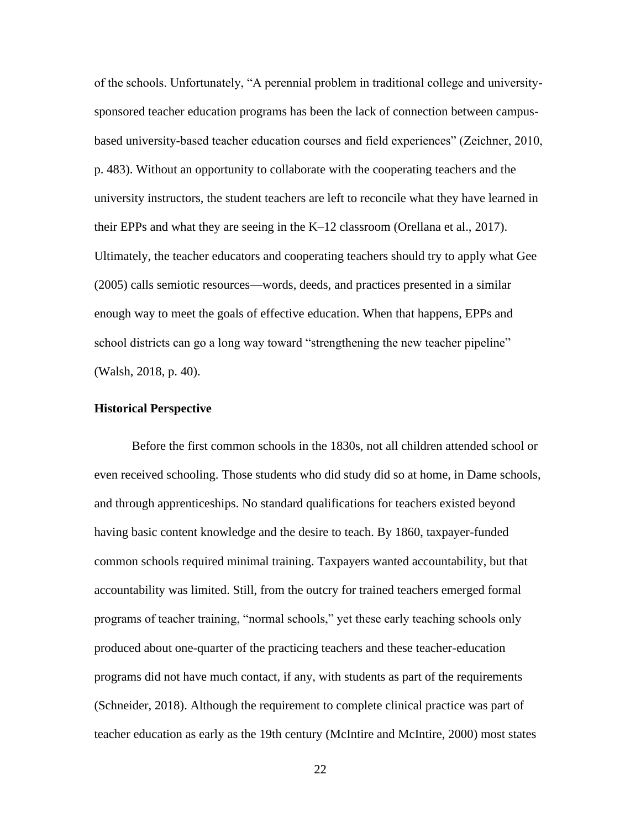of the schools. Unfortunately, "A perennial problem in traditional college and universitysponsored teacher education programs has been the lack of connection between campusbased university-based teacher education courses and field experiences" (Zeichner, 2010, p. 483). Without an opportunity to collaborate with the cooperating teachers and the university instructors, the student teachers are left to reconcile what they have learned in their EPPs and what they are seeing in the K–12 classroom (Orellana et al., 2017). Ultimately, the teacher educators and cooperating teachers should try to apply what Gee (2005) calls semiotic resources—words, deeds, and practices presented in a similar enough way to meet the goals of effective education. When that happens, EPPs and school districts can go a long way toward "strengthening the new teacher pipeline" (Walsh, 2018, p. 40).

#### **Historical Perspective**

Before the first common schools in the 1830s, not all children attended school or even received schooling. Those students who did study did so at home, in Dame schools, and through apprenticeships. No standard qualifications for teachers existed beyond having basic content knowledge and the desire to teach. By 1860, taxpayer-funded common schools required minimal training. Taxpayers wanted accountability, but that accountability was limited. Still, from the outcry for trained teachers emerged formal programs of teacher training, "normal schools," yet these early teaching schools only produced about one-quarter of the practicing teachers and these teacher-education programs did not have much contact, if any, with students as part of the requirements (Schneider, 2018). Although the requirement to complete clinical practice was part of teacher education as early as the 19th century (McIntire and McIntire, 2000) most states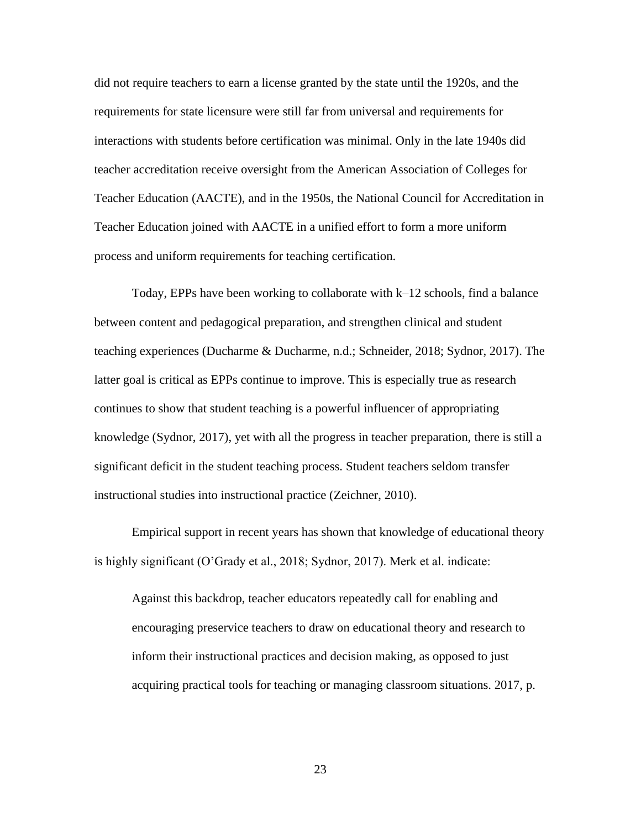did not require teachers to earn a license granted by the state until the 1920s, and the requirements for state licensure were still far from universal and requirements for interactions with students before certification was minimal. Only in the late 1940s did teacher accreditation receive oversight from the American Association of Colleges for Teacher Education (AACTE), and in the 1950s, the National Council for Accreditation in Teacher Education joined with AACTE in a unified effort to form a more uniform process and uniform requirements for teaching certification.

Today, EPPs have been working to collaborate with k–12 schools, find a balance between content and pedagogical preparation, and strengthen clinical and student teaching experiences (Ducharme & Ducharme, n.d.; Schneider, 2018; Sydnor, 2017). The latter goal is critical as EPPs continue to improve. This is especially true as research continues to show that student teaching is a powerful influencer of appropriating knowledge (Sydnor, 2017), yet with all the progress in teacher preparation, there is still a significant deficit in the student teaching process. Student teachers seldom transfer instructional studies into instructional practice (Zeichner, 2010).

Empirical support in recent years has shown that knowledge of educational theory is highly significant (O'Grady et al., 2018; Sydnor, 2017). Merk et al. indicate:

Against this backdrop, teacher educators repeatedly call for enabling and encouraging preservice teachers to draw on educational theory and research to inform their instructional practices and decision making, as opposed to just acquiring practical tools for teaching or managing classroom situations. 2017, p.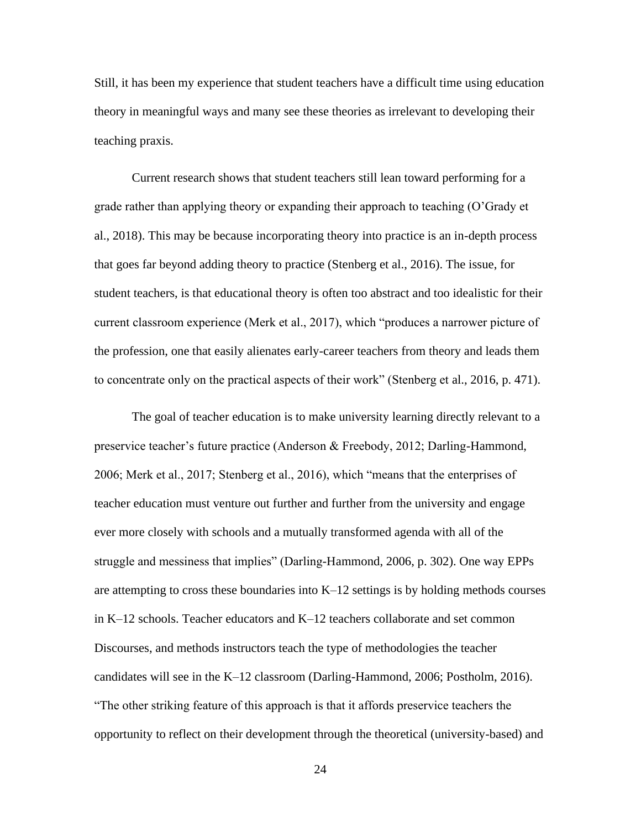Still, it has been my experience that student teachers have a difficult time using education theory in meaningful ways and many see these theories as irrelevant to developing their teaching praxis.

Current research shows that student teachers still lean toward performing for a grade rather than applying theory or expanding their approach to teaching (O'Grady et al., 2018). This may be because incorporating theory into practice is an in-depth process that goes far beyond adding theory to practice (Stenberg et al., 2016). The issue, for student teachers, is that educational theory is often too abstract and too idealistic for their current classroom experience (Merk et al., 2017), which "produces a narrower picture of the profession, one that easily alienates early-career teachers from theory and leads them to concentrate only on the practical aspects of their work" (Stenberg et al., 2016, p. 471).

The goal of teacher education is to make university learning directly relevant to a preservice teacher's future practice (Anderson & Freebody, 2012; Darling-Hammond, 2006; Merk et al., 2017; Stenberg et al., 2016), which "means that the enterprises of teacher education must venture out further and further from the university and engage ever more closely with schools and a mutually transformed agenda with all of the struggle and messiness that implies" (Darling-Hammond, 2006, p. 302). One way EPPs are attempting to cross these boundaries into K–12 settings is by holding methods courses in K–12 schools. Teacher educators and K–12 teachers collaborate and set common Discourses, and methods instructors teach the type of methodologies the teacher candidates will see in the K–12 classroom (Darling-Hammond, 2006; Postholm, 2016). "The other striking feature of this approach is that it affords preservice teachers the opportunity to reflect on their development through the theoretical (university-based) and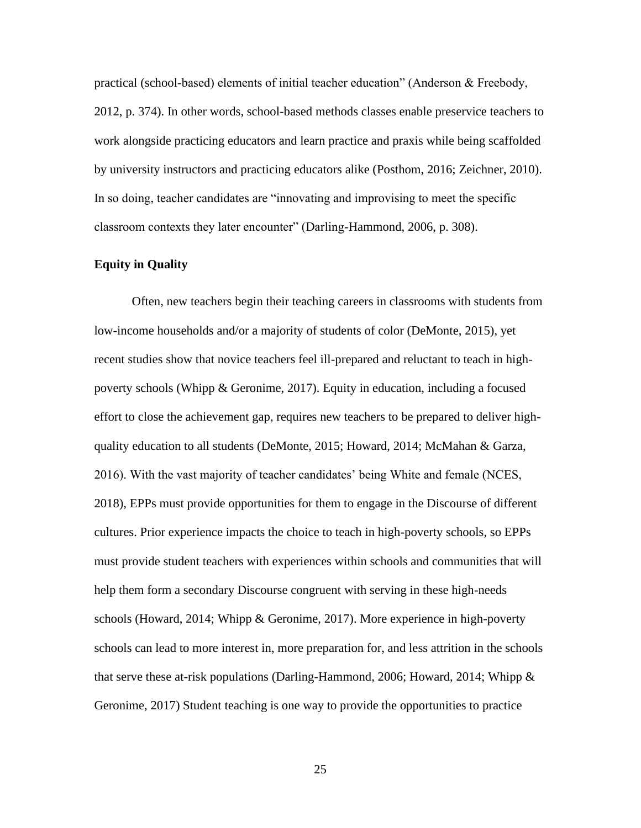practical (school-based) elements of initial teacher education" (Anderson & Freebody, 2012, p. 374). In other words, school-based methods classes enable preservice teachers to work alongside practicing educators and learn practice and praxis while being scaffolded by university instructors and practicing educators alike (Posthom, 2016; Zeichner, 2010). In so doing, teacher candidates are "innovating and improvising to meet the specific classroom contexts they later encounter" (Darling-Hammond, 2006, p. 308).

#### **Equity in Quality**

Often, new teachers begin their teaching careers in classrooms with students from low-income households and/or a majority of students of color (DeMonte, 2015), yet recent studies show that novice teachers feel ill-prepared and reluctant to teach in highpoverty schools (Whipp & Geronime, 2017). Equity in education, including a focused effort to close the achievement gap, requires new teachers to be prepared to deliver highquality education to all students (DeMonte, 2015; Howard, 2014; McMahan & Garza, 2016). With the vast majority of teacher candidates' being White and female (NCES, 2018), EPPs must provide opportunities for them to engage in the Discourse of different cultures. Prior experience impacts the choice to teach in high-poverty schools, so EPPs must provide student teachers with experiences within schools and communities that will help them form a secondary Discourse congruent with serving in these high-needs schools (Howard, 2014; Whipp & Geronime, 2017). More experience in high-poverty schools can lead to more interest in, more preparation for, and less attrition in the schools that serve these at-risk populations (Darling-Hammond, 2006; Howard, 2014; Whipp  $\&$ Geronime, 2017) Student teaching is one way to provide the opportunities to practice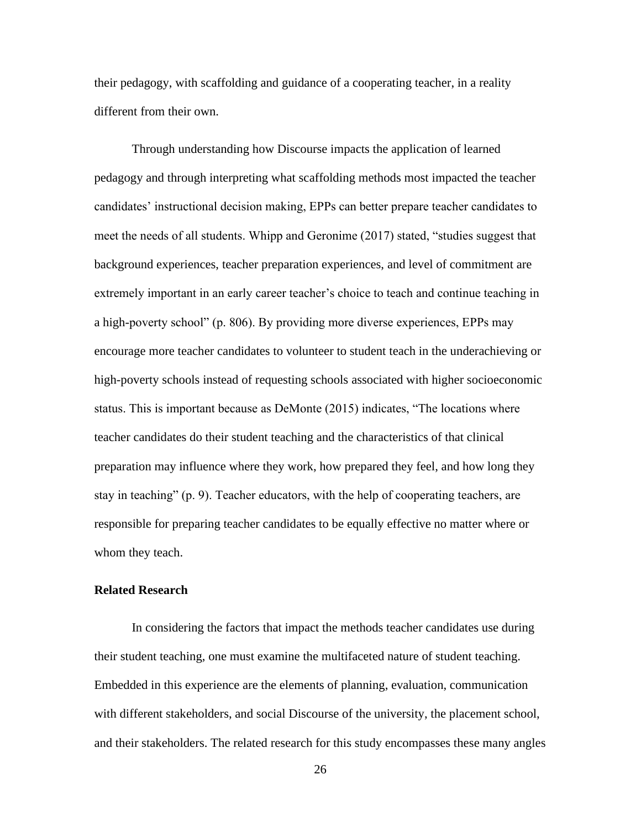their pedagogy, with scaffolding and guidance of a cooperating teacher, in a reality different from their own.

Through understanding how Discourse impacts the application of learned pedagogy and through interpreting what scaffolding methods most impacted the teacher candidates' instructional decision making, EPPs can better prepare teacher candidates to meet the needs of all students. Whipp and Geronime (2017) stated, "studies suggest that background experiences, teacher preparation experiences, and level of commitment are extremely important in an early career teacher's choice to teach and continue teaching in a high-poverty school" (p. 806). By providing more diverse experiences, EPPs may encourage more teacher candidates to volunteer to student teach in the underachieving or high-poverty schools instead of requesting schools associated with higher socioeconomic status. This is important because as DeMonte (2015) indicates, "The locations where teacher candidates do their student teaching and the characteristics of that clinical preparation may influence where they work, how prepared they feel, and how long they stay in teaching" (p. 9). Teacher educators, with the help of cooperating teachers, are responsible for preparing teacher candidates to be equally effective no matter where or whom they teach.

#### **Related Research**

In considering the factors that impact the methods teacher candidates use during their student teaching, one must examine the multifaceted nature of student teaching. Embedded in this experience are the elements of planning, evaluation, communication with different stakeholders, and social Discourse of the university, the placement school, and their stakeholders. The related research for this study encompasses these many angles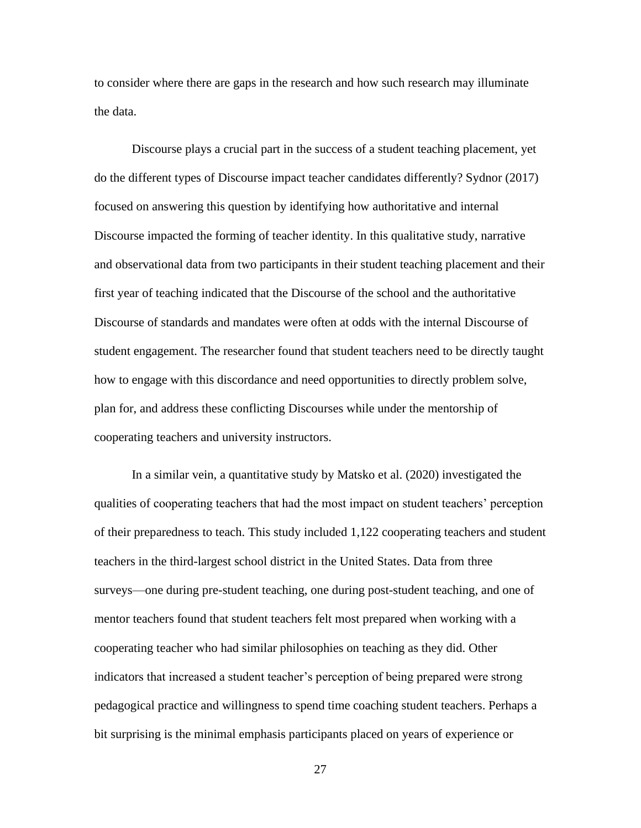to consider where there are gaps in the research and how such research may illuminate the data.

Discourse plays a crucial part in the success of a student teaching placement, yet do the different types of Discourse impact teacher candidates differently? Sydnor (2017) focused on answering this question by identifying how authoritative and internal Discourse impacted the forming of teacher identity. In this qualitative study, narrative and observational data from two participants in their student teaching placement and their first year of teaching indicated that the Discourse of the school and the authoritative Discourse of standards and mandates were often at odds with the internal Discourse of student engagement. The researcher found that student teachers need to be directly taught how to engage with this discordance and need opportunities to directly problem solve, plan for, and address these conflicting Discourses while under the mentorship of cooperating teachers and university instructors.

In a similar vein, a quantitative study by Matsko et al. (2020) investigated the qualities of cooperating teachers that had the most impact on student teachers' perception of their preparedness to teach. This study included 1,122 cooperating teachers and student teachers in the third-largest school district in the United States. Data from three surveys—one during pre-student teaching, one during post-student teaching, and one of mentor teachers found that student teachers felt most prepared when working with a cooperating teacher who had similar philosophies on teaching as they did. Other indicators that increased a student teacher's perception of being prepared were strong pedagogical practice and willingness to spend time coaching student teachers. Perhaps a bit surprising is the minimal emphasis participants placed on years of experience or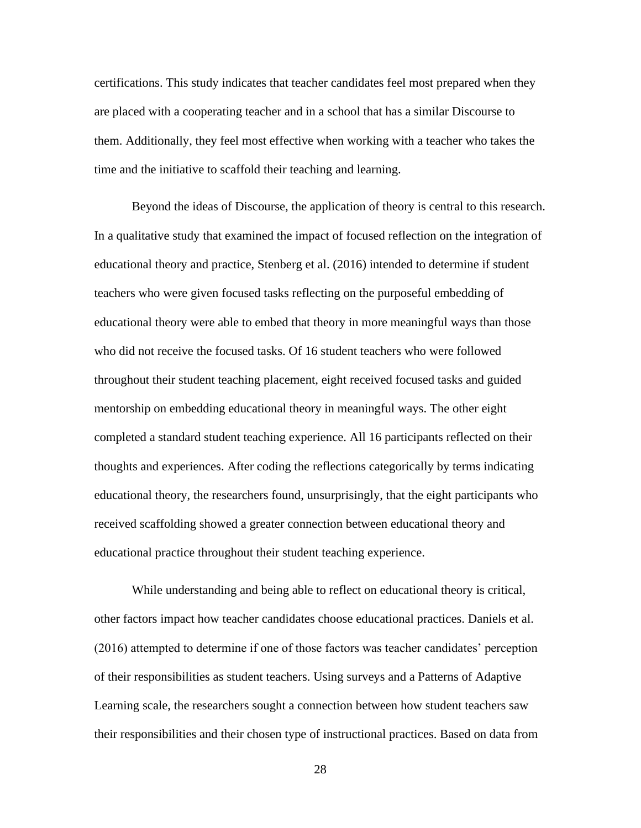certifications. This study indicates that teacher candidates feel most prepared when they are placed with a cooperating teacher and in a school that has a similar Discourse to them. Additionally, they feel most effective when working with a teacher who takes the time and the initiative to scaffold their teaching and learning.

Beyond the ideas of Discourse, the application of theory is central to this research. In a qualitative study that examined the impact of focused reflection on the integration of educational theory and practice, Stenberg et al. (2016) intended to determine if student teachers who were given focused tasks reflecting on the purposeful embedding of educational theory were able to embed that theory in more meaningful ways than those who did not receive the focused tasks. Of 16 student teachers who were followed throughout their student teaching placement, eight received focused tasks and guided mentorship on embedding educational theory in meaningful ways. The other eight completed a standard student teaching experience. All 16 participants reflected on their thoughts and experiences. After coding the reflections categorically by terms indicating educational theory, the researchers found, unsurprisingly, that the eight participants who received scaffolding showed a greater connection between educational theory and educational practice throughout their student teaching experience.

While understanding and being able to reflect on educational theory is critical, other factors impact how teacher candidates choose educational practices. Daniels et al. (2016) attempted to determine if one of those factors was teacher candidates' perception of their responsibilities as student teachers. Using surveys and a Patterns of Adaptive Learning scale, the researchers sought a connection between how student teachers saw their responsibilities and their chosen type of instructional practices. Based on data from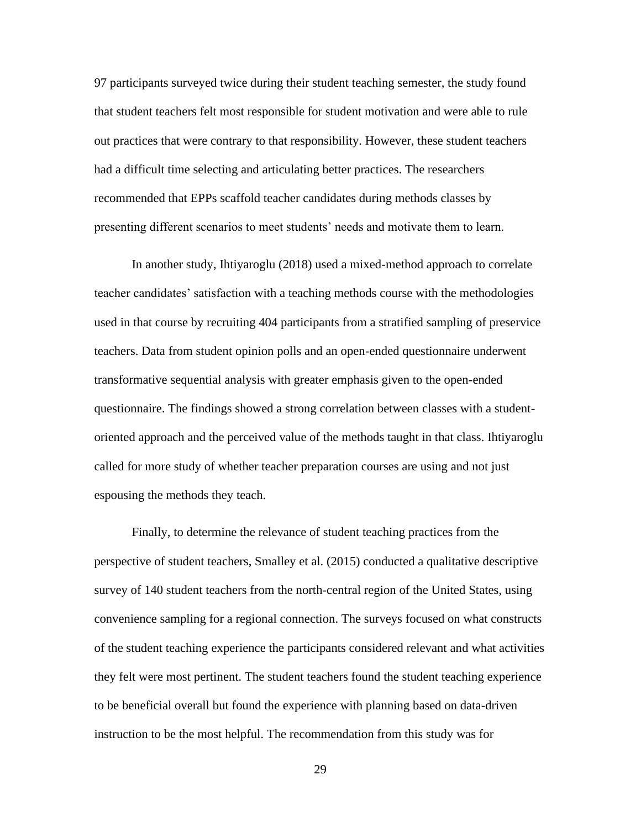97 participants surveyed twice during their student teaching semester, the study found that student teachers felt most responsible for student motivation and were able to rule out practices that were contrary to that responsibility. However, these student teachers had a difficult time selecting and articulating better practices. The researchers recommended that EPPs scaffold teacher candidates during methods classes by presenting different scenarios to meet students' needs and motivate them to learn.

In another study, Ihtiyaroglu (2018) used a mixed-method approach to correlate teacher candidates' satisfaction with a teaching methods course with the methodologies used in that course by recruiting 404 participants from a stratified sampling of preservice teachers. Data from student opinion polls and an open-ended questionnaire underwent transformative sequential analysis with greater emphasis given to the open-ended questionnaire. The findings showed a strong correlation between classes with a studentoriented approach and the perceived value of the methods taught in that class. Ihtiyaroglu called for more study of whether teacher preparation courses are using and not just espousing the methods they teach.

Finally, to determine the relevance of student teaching practices from the perspective of student teachers, Smalley et al. (2015) conducted a qualitative descriptive survey of 140 student teachers from the north-central region of the United States, using convenience sampling for a regional connection. The surveys focused on what constructs of the student teaching experience the participants considered relevant and what activities they felt were most pertinent. The student teachers found the student teaching experience to be beneficial overall but found the experience with planning based on data-driven instruction to be the most helpful. The recommendation from this study was for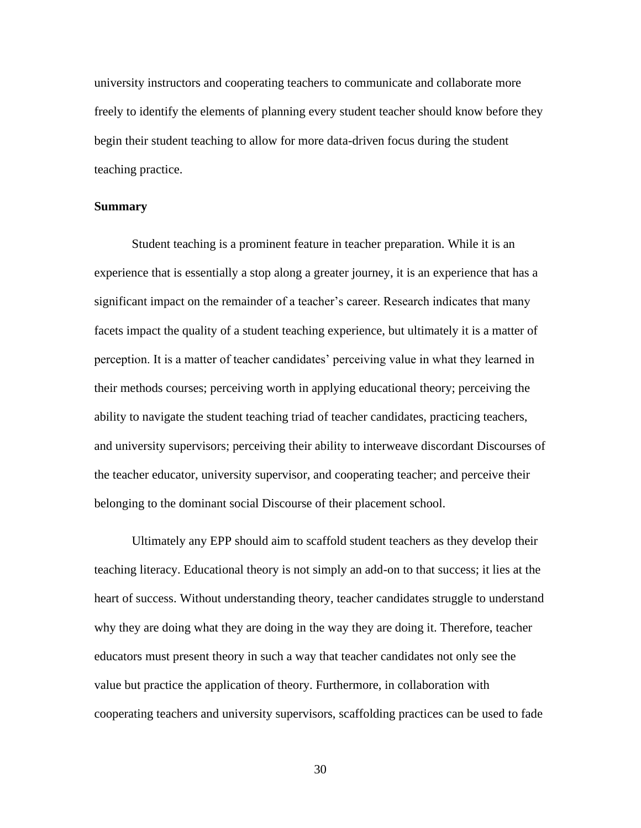university instructors and cooperating teachers to communicate and collaborate more freely to identify the elements of planning every student teacher should know before they begin their student teaching to allow for more data-driven focus during the student teaching practice.

# **Summary**

Student teaching is a prominent feature in teacher preparation. While it is an experience that is essentially a stop along a greater journey, it is an experience that has a significant impact on the remainder of a teacher's career. Research indicates that many facets impact the quality of a student teaching experience, but ultimately it is a matter of perception. It is a matter of teacher candidates' perceiving value in what they learned in their methods courses; perceiving worth in applying educational theory; perceiving the ability to navigate the student teaching triad of teacher candidates, practicing teachers, and university supervisors; perceiving their ability to interweave discordant Discourses of the teacher educator, university supervisor, and cooperating teacher; and perceive their belonging to the dominant social Discourse of their placement school.

Ultimately any EPP should aim to scaffold student teachers as they develop their teaching literacy. Educational theory is not simply an add-on to that success; it lies at the heart of success. Without understanding theory, teacher candidates struggle to understand why they are doing what they are doing in the way they are doing it. Therefore, teacher educators must present theory in such a way that teacher candidates not only see the value but practice the application of theory. Furthermore, in collaboration with cooperating teachers and university supervisors, scaffolding practices can be used to fade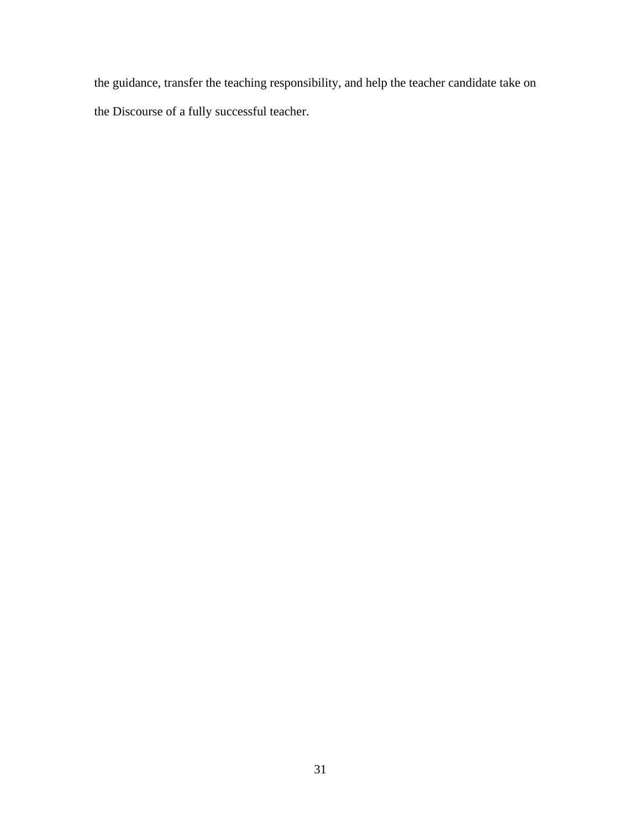the guidance, transfer the teaching responsibility, and help the teacher candidate take on the Discourse of a fully successful teacher.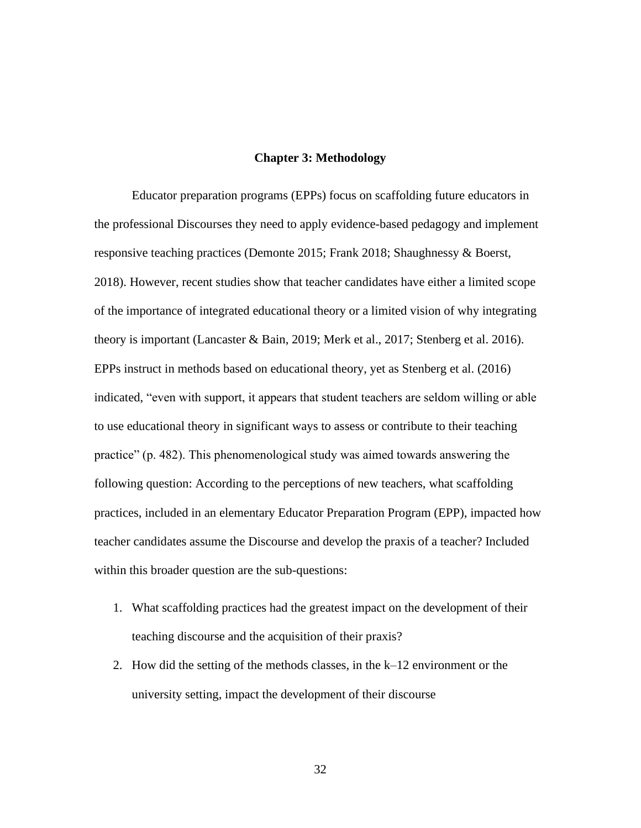## **Chapter 3: Methodology**

Educator preparation programs (EPPs) focus on scaffolding future educators in the professional Discourses they need to apply evidence-based pedagogy and implement responsive teaching practices (Demonte 2015; Frank 2018; Shaughnessy & Boerst, 2018). However, recent studies show that teacher candidates have either a limited scope of the importance of integrated educational theory or a limited vision of why integrating theory is important (Lancaster & Bain, 2019; Merk et al., 2017; Stenberg et al. 2016). EPPs instruct in methods based on educational theory, yet as Stenberg et al. (2016) indicated, "even with support, it appears that student teachers are seldom willing or able to use educational theory in significant ways to assess or contribute to their teaching practice" (p. 482). This phenomenological study was aimed towards answering the following question: According to the perceptions of new teachers, what scaffolding practices, included in an elementary Educator Preparation Program (EPP), impacted how teacher candidates assume the Discourse and develop the praxis of a teacher? Included within this broader question are the sub-questions:

- 1. What scaffolding practices had the greatest impact on the development of their teaching discourse and the acquisition of their praxis?
- 2. How did the setting of the methods classes, in the k–12 environment or the university setting, impact the development of their discourse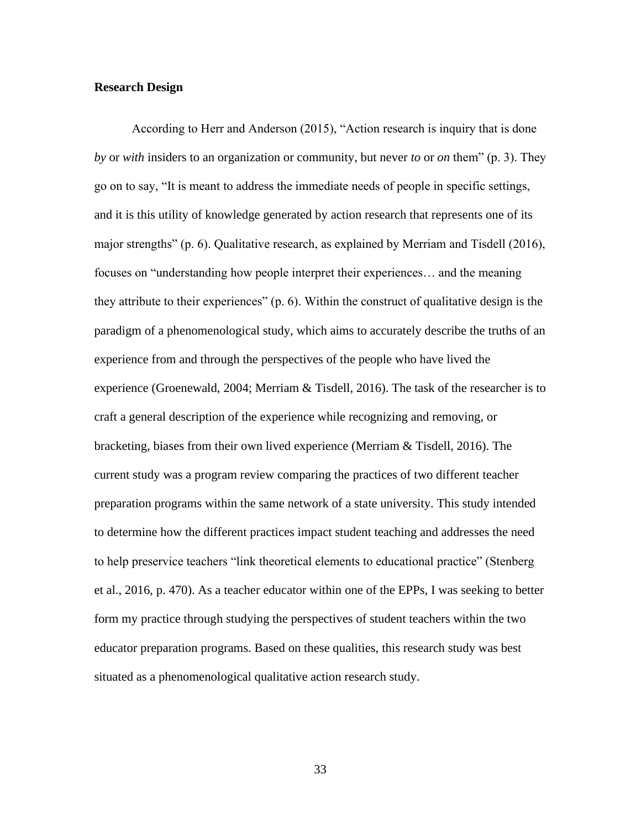## **Research Design**

According to Herr and Anderson (2015), "Action research is inquiry that is done *by* or *with* insiders to an organization or community, but never *to* or *on* them" (p. 3). They go on to say, "It is meant to address the immediate needs of people in specific settings, and it is this utility of knowledge generated by action research that represents one of its major strengths" (p. 6). Qualitative research, as explained by Merriam and Tisdell (2016), focuses on "understanding how people interpret their experiences… and the meaning they attribute to their experiences" (p. 6). Within the construct of qualitative design is the paradigm of a phenomenological study, which aims to accurately describe the truths of an experience from and through the perspectives of the people who have lived the experience (Groenewald, 2004; Merriam & Tisdell, 2016). The task of the researcher is to craft a general description of the experience while recognizing and removing, or bracketing, biases from their own lived experience (Merriam & Tisdell, 2016). The current study was a program review comparing the practices of two different teacher preparation programs within the same network of a state university. This study intended to determine how the different practices impact student teaching and addresses the need to help preservice teachers "link theoretical elements to educational practice" (Stenberg et al., 2016, p. 470). As a teacher educator within one of the EPPs, I was seeking to better form my practice through studying the perspectives of student teachers within the two educator preparation programs. Based on these qualities, this research study was best situated as a phenomenological qualitative action research study.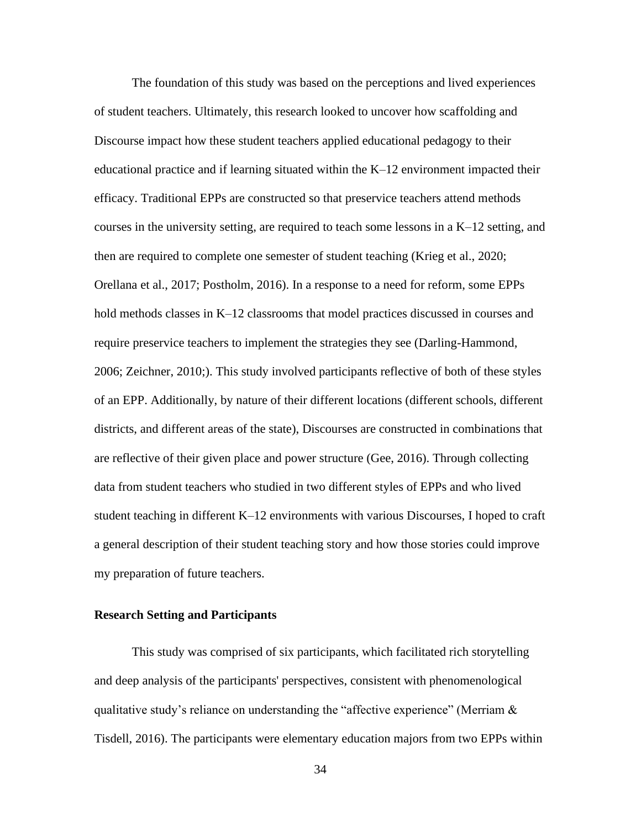The foundation of this study was based on the perceptions and lived experiences of student teachers. Ultimately, this research looked to uncover how scaffolding and Discourse impact how these student teachers applied educational pedagogy to their educational practice and if learning situated within the K–12 environment impacted their efficacy. Traditional EPPs are constructed so that preservice teachers attend methods courses in the university setting, are required to teach some lessons in a K–12 setting, and then are required to complete one semester of student teaching (Krieg et al., 2020; Orellana et al., 2017; Postholm, 2016). In a response to a need for reform, some EPPs hold methods classes in K–12 classrooms that model practices discussed in courses and require preservice teachers to implement the strategies they see (Darling-Hammond, 2006; Zeichner, 2010;). This study involved participants reflective of both of these styles of an EPP. Additionally, by nature of their different locations (different schools, different districts, and different areas of the state), Discourses are constructed in combinations that are reflective of their given place and power structure (Gee, 2016). Through collecting data from student teachers who studied in two different styles of EPPs and who lived student teaching in different K–12 environments with various Discourses, I hoped to craft a general description of their student teaching story and how those stories could improve my preparation of future teachers.

# **Research Setting and Participants**

This study was comprised of six participants, which facilitated rich storytelling and deep analysis of the participants' perspectives, consistent with phenomenological qualitative study's reliance on understanding the "affective experience" (Merriam  $\&$ Tisdell, 2016). The participants were elementary education majors from two EPPs within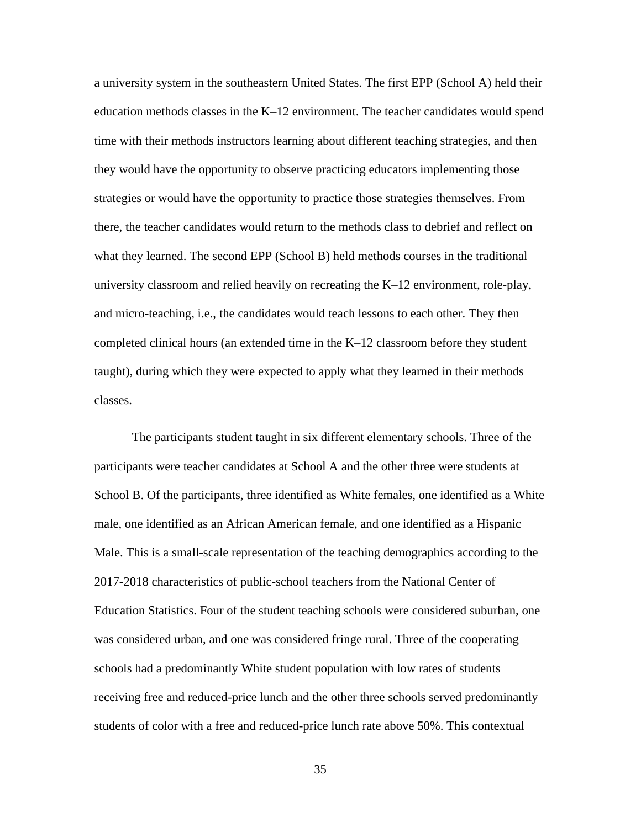a university system in the southeastern United States. The first EPP (School A) held their education methods classes in the K–12 environment. The teacher candidates would spend time with their methods instructors learning about different teaching strategies, and then they would have the opportunity to observe practicing educators implementing those strategies or would have the opportunity to practice those strategies themselves. From there, the teacher candidates would return to the methods class to debrief and reflect on what they learned. The second EPP (School B) held methods courses in the traditional university classroom and relied heavily on recreating the K–12 environment, role-play, and micro-teaching, i.e., the candidates would teach lessons to each other. They then completed clinical hours (an extended time in the K–12 classroom before they student taught), during which they were expected to apply what they learned in their methods classes.

The participants student taught in six different elementary schools. Three of the participants were teacher candidates at School A and the other three were students at School B. Of the participants, three identified as White females, one identified as a White male, one identified as an African American female, and one identified as a Hispanic Male. This is a small-scale representation of the teaching demographics according to the 2017-2018 characteristics of public-school teachers from the National Center of Education Statistics. Four of the student teaching schools were considered suburban, one was considered urban, and one was considered fringe rural. Three of the cooperating schools had a predominantly White student population with low rates of students receiving free and reduced-price lunch and the other three schools served predominantly students of color with a free and reduced-price lunch rate above 50%. This contextual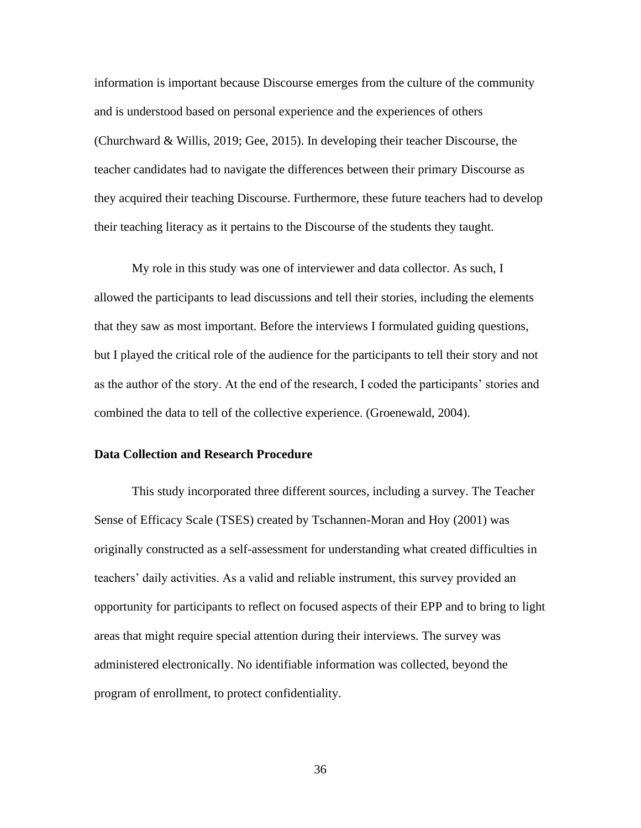information is important because Discourse emerges from the culture of the community and is understood based on personal experience and the experiences of others (Churchward & Willis, 2019; Gee, 2015). In developing their teacher Discourse, the teacher candidates had to navigate the differences between their primary Discourse as they acquired their teaching Discourse. Furthermore, these future teachers had to develop their teaching literacy as it pertains to the Discourse of the students they taught.

My role in this study was one of interviewer and data collector. As such, I allowed the participants to lead discussions and tell their stories, including the elements that they saw as most important. Before the interviews I formulated guiding questions, but I played the critical role of the audience for the participants to tell their story and not as the author of the story. At the end of the research, I coded the participants' stories and combined the data to tell of the collective experience. (Groenewald, 2004).

## **Data Collection and Research Procedure**

This study incorporated three different sources, including a survey. The Teacher Sense of Efficacy Scale (TSES) created by Tschannen-Moran and Hoy (2001) was originally constructed as a self-assessment for understanding what created difficulties in teachers' daily activities. As a valid and reliable instrument, this survey provided an opportunity for participants to reflect on focused aspects of their EPP and to bring to light areas that might require special attention during their interviews. The survey was administered electronically. No identifiable information was collected, beyond the program of enrollment, to protect confidentiality.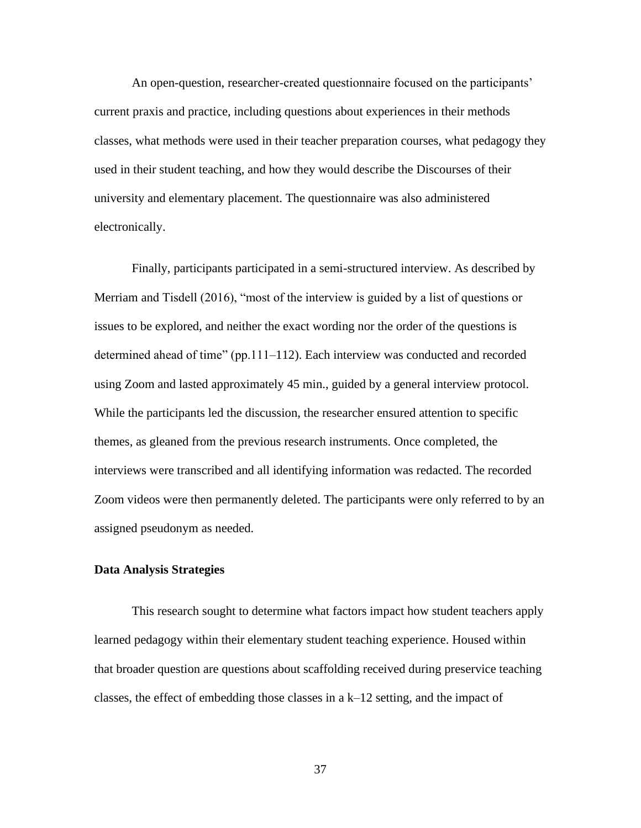An open-question, researcher-created questionnaire focused on the participants' current praxis and practice, including questions about experiences in their methods classes, what methods were used in their teacher preparation courses, what pedagogy they used in their student teaching, and how they would describe the Discourses of their university and elementary placement. The questionnaire was also administered electronically.

Finally, participants participated in a semi-structured interview. As described by Merriam and Tisdell (2016), "most of the interview is guided by a list of questions or issues to be explored, and neither the exact wording nor the order of the questions is determined ahead of time" (pp.111–112). Each interview was conducted and recorded using Zoom and lasted approximately 45 min., guided by a general interview protocol. While the participants led the discussion, the researcher ensured attention to specific themes, as gleaned from the previous research instruments. Once completed, the interviews were transcribed and all identifying information was redacted. The recorded Zoom videos were then permanently deleted. The participants were only referred to by an assigned pseudonym as needed.

## **Data Analysis Strategies**

This research sought to determine what factors impact how student teachers apply learned pedagogy within their elementary student teaching experience. Housed within that broader question are questions about scaffolding received during preservice teaching classes, the effect of embedding those classes in a k–12 setting, and the impact of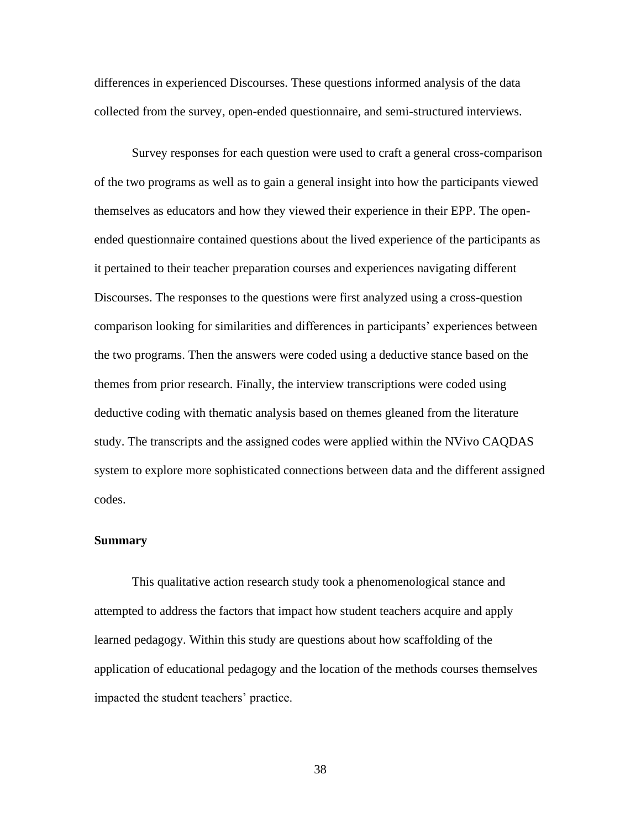differences in experienced Discourses. These questions informed analysis of the data collected from the survey, open-ended questionnaire, and semi-structured interviews.

Survey responses for each question were used to craft a general cross-comparison of the two programs as well as to gain a general insight into how the participants viewed themselves as educators and how they viewed their experience in their EPP. The openended questionnaire contained questions about the lived experience of the participants as it pertained to their teacher preparation courses and experiences navigating different Discourses. The responses to the questions were first analyzed using a cross-question comparison looking for similarities and differences in participants' experiences between the two programs. Then the answers were coded using a deductive stance based on the themes from prior research. Finally, the interview transcriptions were coded using deductive coding with thematic analysis based on themes gleaned from the literature study. The transcripts and the assigned codes were applied within the NVivo CAQDAS system to explore more sophisticated connections between data and the different assigned codes.

#### **Summary**

This qualitative action research study took a phenomenological stance and attempted to address the factors that impact how student teachers acquire and apply learned pedagogy. Within this study are questions about how scaffolding of the application of educational pedagogy and the location of the methods courses themselves impacted the student teachers' practice.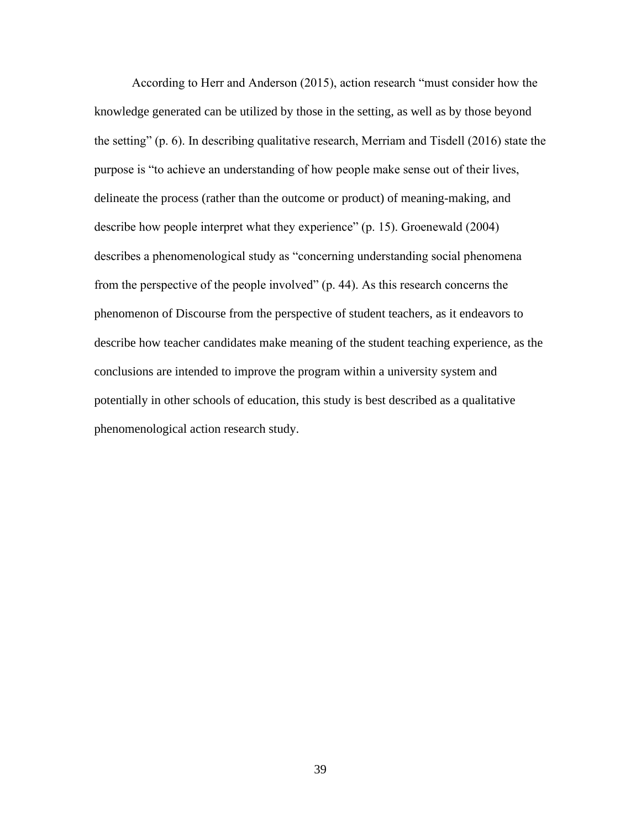According to Herr and Anderson (2015), action research "must consider how the knowledge generated can be utilized by those in the setting, as well as by those beyond the setting" (p. 6). In describing qualitative research, Merriam and Tisdell (2016) state the purpose is "to achieve an understanding of how people make sense out of their lives, delineate the process (rather than the outcome or product) of meaning-making, and describe how people interpret what they experience" (p. 15). Groenewald (2004) describes a phenomenological study as "concerning understanding social phenomena from the perspective of the people involved" (p. 44). As this research concerns the phenomenon of Discourse from the perspective of student teachers, as it endeavors to describe how teacher candidates make meaning of the student teaching experience, as the conclusions are intended to improve the program within a university system and potentially in other schools of education, this study is best described as a qualitative phenomenological action research study.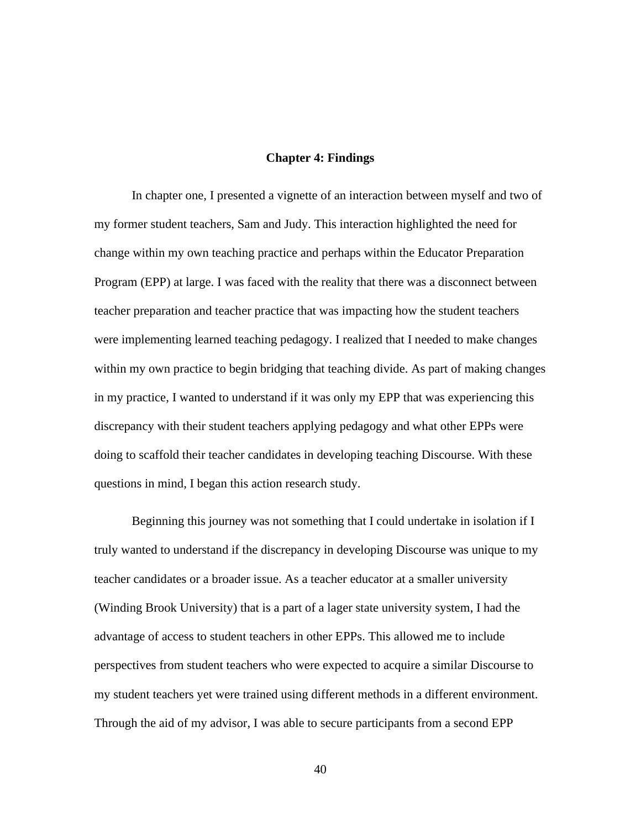### **Chapter 4: Findings**

In chapter one, I presented a vignette of an interaction between myself and two of my former student teachers, Sam and Judy. This interaction highlighted the need for change within my own teaching practice and perhaps within the Educator Preparation Program (EPP) at large. I was faced with the reality that there was a disconnect between teacher preparation and teacher practice that was impacting how the student teachers were implementing learned teaching pedagogy. I realized that I needed to make changes within my own practice to begin bridging that teaching divide. As part of making changes in my practice, I wanted to understand if it was only my EPP that was experiencing this discrepancy with their student teachers applying pedagogy and what other EPPs were doing to scaffold their teacher candidates in developing teaching Discourse. With these questions in mind, I began this action research study.

Beginning this journey was not something that I could undertake in isolation if I truly wanted to understand if the discrepancy in developing Discourse was unique to my teacher candidates or a broader issue. As a teacher educator at a smaller university (Winding Brook University) that is a part of a lager state university system, I had the advantage of access to student teachers in other EPPs. This allowed me to include perspectives from student teachers who were expected to acquire a similar Discourse to my student teachers yet were trained using different methods in a different environment. Through the aid of my advisor, I was able to secure participants from a second EPP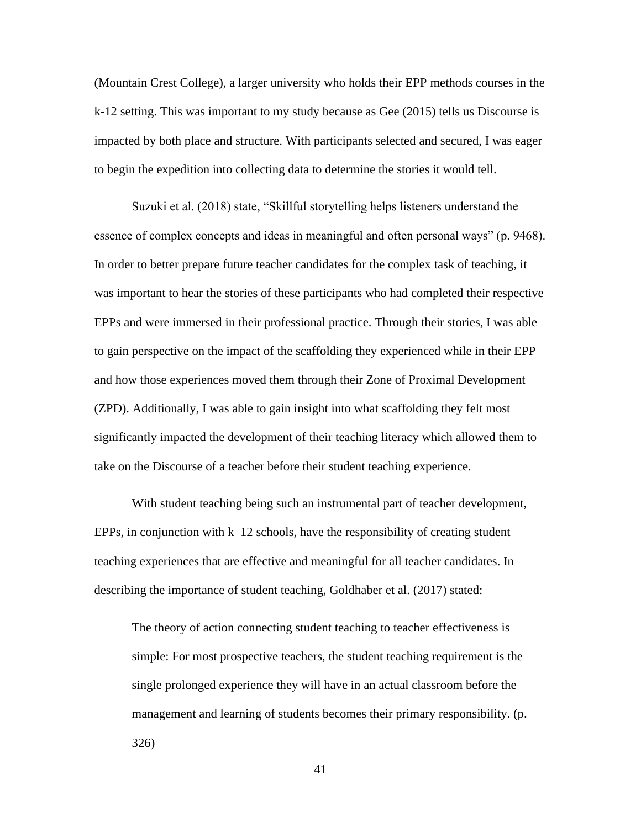(Mountain Crest College), a larger university who holds their EPP methods courses in the k-12 setting. This was important to my study because as Gee (2015) tells us Discourse is impacted by both place and structure. With participants selected and secured, I was eager to begin the expedition into collecting data to determine the stories it would tell.

Suzuki et al. (2018) state, "Skillful storytelling helps listeners understand the essence of complex concepts and ideas in meaningful and often personal ways" (p. 9468). In order to better prepare future teacher candidates for the complex task of teaching, it was important to hear the stories of these participants who had completed their respective EPPs and were immersed in their professional practice. Through their stories, I was able to gain perspective on the impact of the scaffolding they experienced while in their EPP and how those experiences moved them through their Zone of Proximal Development (ZPD). Additionally, I was able to gain insight into what scaffolding they felt most significantly impacted the development of their teaching literacy which allowed them to take on the Discourse of a teacher before their student teaching experience.

With student teaching being such an instrumental part of teacher development, EPPs, in conjunction with  $k-12$  schools, have the responsibility of creating student teaching experiences that are effective and meaningful for all teacher candidates. In describing the importance of student teaching, Goldhaber et al. (2017) stated:

The theory of action connecting student teaching to teacher effectiveness is simple: For most prospective teachers, the student teaching requirement is the single prolonged experience they will have in an actual classroom before the management and learning of students becomes their primary responsibility. (p. 326)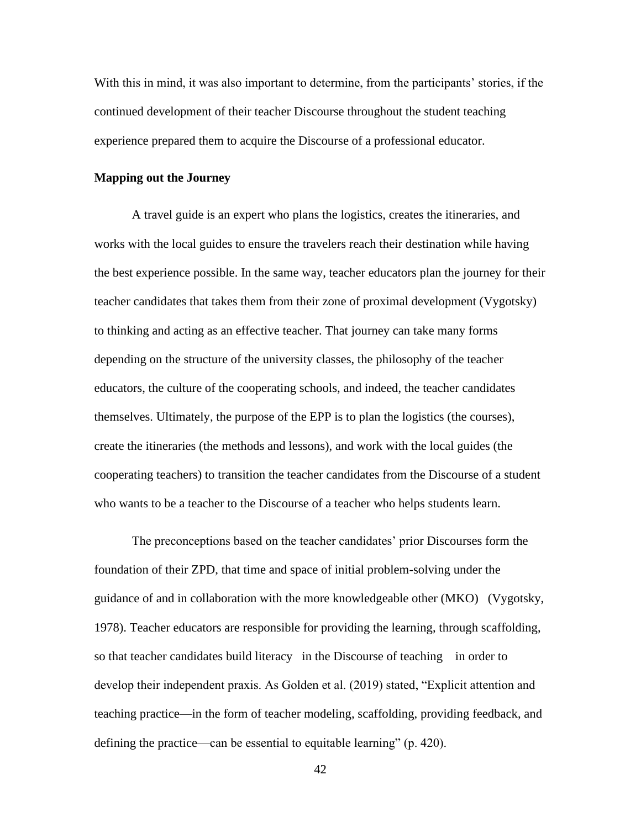With this in mind, it was also important to determine, from the participants' stories, if the continued development of their teacher Discourse throughout the student teaching experience prepared them to acquire the Discourse of a professional educator.

## **Mapping out the Journey**

A travel guide is an expert who plans the logistics, creates the itineraries, and works with the local guides to ensure the travelers reach their destination while having the best experience possible. In the same way, teacher educators plan the journey for their teacher candidates that takes them from their zone of proximal development (Vygotsky) to thinking and acting as an effective teacher. That journey can take many forms depending on the structure of the university classes, the philosophy of the teacher educators, the culture of the cooperating schools, and indeed, the teacher candidates themselves. Ultimately, the purpose of the EPP is to plan the logistics (the courses), create the itineraries (the methods and lessons), and work with the local guides (the cooperating teachers) to transition the teacher candidates from the Discourse of a student who wants to be a teacher to the Discourse of a teacher who helps students learn.

The preconceptions based on the teacher candidates' prior Discourses form the foundation of their ZPD, that time and space of initial problem-solving under the guidance of and in collaboration with the more knowledgeable other (MKO) (Vygotsky, 1978). Teacher educators are responsible for providing the learning, through scaffolding, so that teacher candidates build literacy in the Discourse of teaching in order to develop their independent praxis. As Golden et al. (2019) stated, "Explicit attention and teaching practice—in the form of teacher modeling, scaffolding, providing feedback, and defining the practice—can be essential to equitable learning" (p. 420).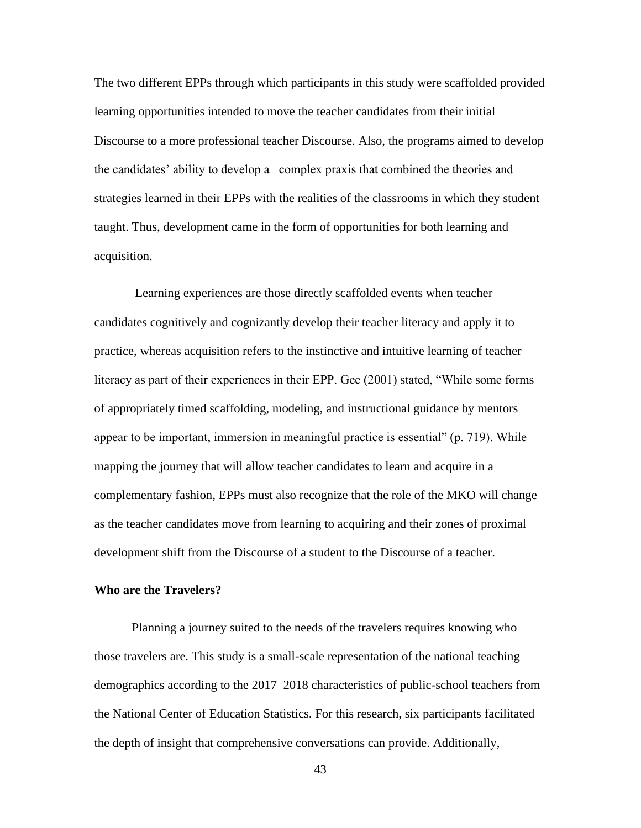The two different EPPs through which participants in this study were scaffolded provided learning opportunities intended to move the teacher candidates from their initial Discourse to a more professional teacher Discourse. Also, the programs aimed to develop the candidates' ability to develop a complex praxis that combined the theories and strategies learned in their EPPs with the realities of the classrooms in which they student taught. Thus, development came in the form of opportunities for both learning and acquisition.

Learning experiences are those directly scaffolded events when teacher candidates cognitively and cognizantly develop their teacher literacy and apply it to practice, whereas acquisition refers to the instinctive and intuitive learning of teacher literacy as part of their experiences in their EPP. Gee (2001) stated, "While some forms of appropriately timed scaffolding, modeling, and instructional guidance by mentors appear to be important, immersion in meaningful practice is essential" (p. 719). While mapping the journey that will allow teacher candidates to learn and acquire in a complementary fashion, EPPs must also recognize that the role of the MKO will change as the teacher candidates move from learning to acquiring and their zones of proximal development shift from the Discourse of a student to the Discourse of a teacher.

#### **Who are the Travelers?**

Planning a journey suited to the needs of the travelers requires knowing who those travelers are. This study is a small-scale representation of the national teaching demographics according to the 2017–2018 characteristics of public-school teachers from the National Center of Education Statistics. For this research, six participants facilitated the depth of insight that comprehensive conversations can provide. Additionally,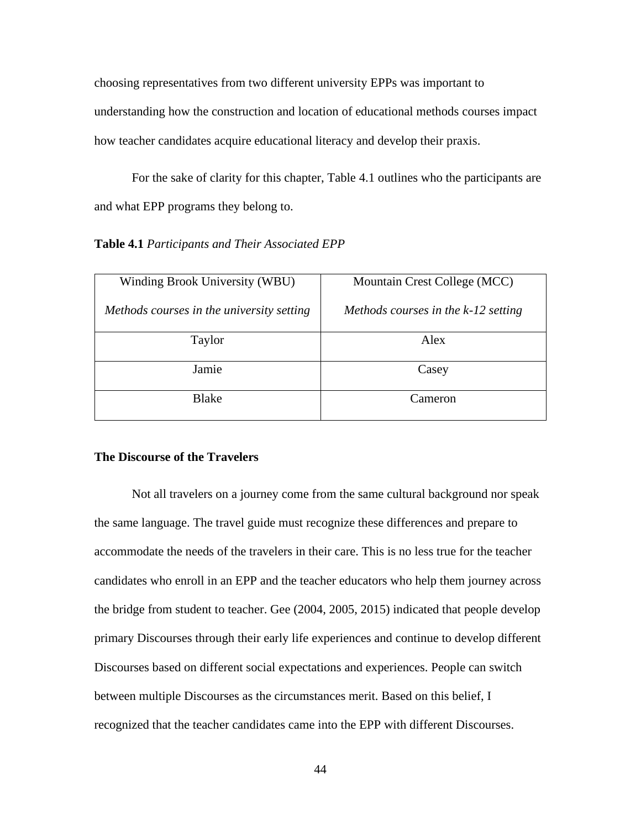choosing representatives from two different university EPPs was important to understanding how the construction and location of educational methods courses impact how teacher candidates acquire educational literacy and develop their praxis.

For the sake of clarity for this chapter, Table 4.1 outlines who the participants are and what EPP programs they belong to.

## **Table 4.1** *Participants and Their Associated EPP*

| Winding Brook University (WBU)            | Mountain Crest College (MCC)          |  |  |
|-------------------------------------------|---------------------------------------|--|--|
| Methods courses in the university setting | Methods courses in the $k-12$ setting |  |  |
| Taylor                                    | Alex                                  |  |  |
| Jamie                                     | Casey                                 |  |  |
| <b>Blake</b>                              | Cameron                               |  |  |

# **The Discourse of the Travelers**

Not all travelers on a journey come from the same cultural background nor speak the same language. The travel guide must recognize these differences and prepare to accommodate the needs of the travelers in their care. This is no less true for the teacher candidates who enroll in an EPP and the teacher educators who help them journey across the bridge from student to teacher. Gee (2004, 2005, 2015) indicated that people develop primary Discourses through their early life experiences and continue to develop different Discourses based on different social expectations and experiences. People can switch between multiple Discourses as the circumstances merit. Based on this belief, I recognized that the teacher candidates came into the EPP with different Discourses.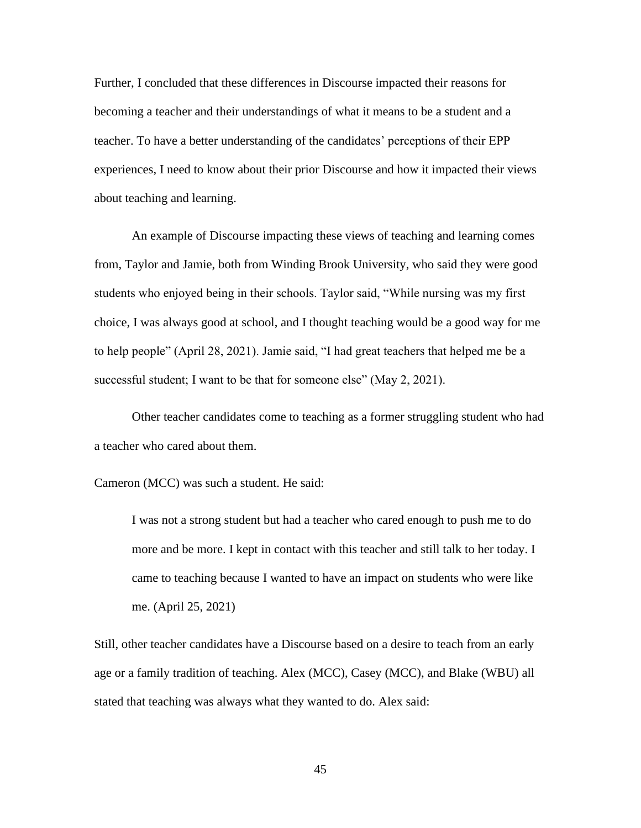Further, I concluded that these differences in Discourse impacted their reasons for becoming a teacher and their understandings of what it means to be a student and a teacher. To have a better understanding of the candidates' perceptions of their EPP experiences, I need to know about their prior Discourse and how it impacted their views about teaching and learning.

An example of Discourse impacting these views of teaching and learning comes from, Taylor and Jamie, both from Winding Brook University, who said they were good students who enjoyed being in their schools. Taylor said, "While nursing was my first choice, I was always good at school, and I thought teaching would be a good way for me to help people" (April 28, 2021). Jamie said, "I had great teachers that helped me be a successful student; I want to be that for someone else" (May 2, 2021).

Other teacher candidates come to teaching as a former struggling student who had a teacher who cared about them.

Cameron (MCC) was such a student. He said:

I was not a strong student but had a teacher who cared enough to push me to do more and be more. I kept in contact with this teacher and still talk to her today. I came to teaching because I wanted to have an impact on students who were like me. (April 25, 2021)

Still, other teacher candidates have a Discourse based on a desire to teach from an early age or a family tradition of teaching. Alex (MCC), Casey (MCC), and Blake (WBU) all stated that teaching was always what they wanted to do. Alex said: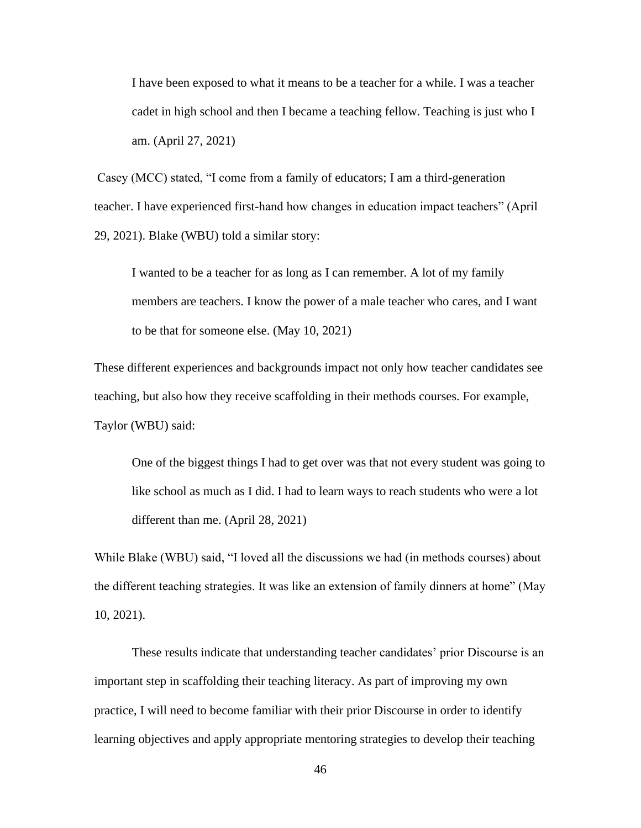I have been exposed to what it means to be a teacher for a while. I was a teacher cadet in high school and then I became a teaching fellow. Teaching is just who I am. (April 27, 2021)

Casey (MCC) stated, "I come from a family of educators; I am a third-generation teacher. I have experienced first-hand how changes in education impact teachers" (April 29, 2021). Blake (WBU) told a similar story:

I wanted to be a teacher for as long as I can remember. A lot of my family members are teachers. I know the power of a male teacher who cares, and I want to be that for someone else. (May 10, 2021)

These different experiences and backgrounds impact not only how teacher candidates see teaching, but also how they receive scaffolding in their methods courses. For example, Taylor (WBU) said:

One of the biggest things I had to get over was that not every student was going to like school as much as I did. I had to learn ways to reach students who were a lot different than me. (April 28, 2021)

While Blake (WBU) said, "I loved all the discussions we had (in methods courses) about the different teaching strategies. It was like an extension of family dinners at home" (May 10, 2021).

These results indicate that understanding teacher candidates' prior Discourse is an important step in scaffolding their teaching literacy. As part of improving my own practice, I will need to become familiar with their prior Discourse in order to identify learning objectives and apply appropriate mentoring strategies to develop their teaching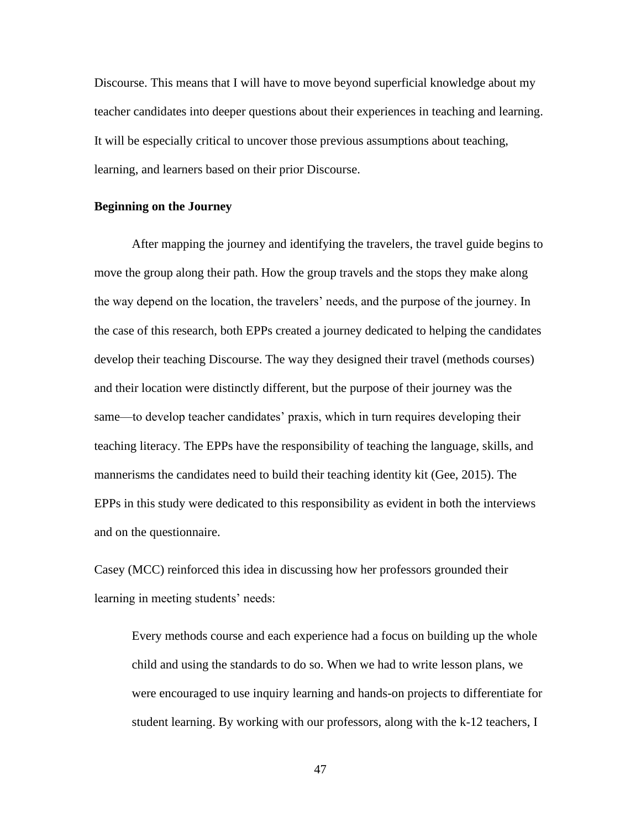Discourse. This means that I will have to move beyond superficial knowledge about my teacher candidates into deeper questions about their experiences in teaching and learning. It will be especially critical to uncover those previous assumptions about teaching, learning, and learners based on their prior Discourse.

### **Beginning on the Journey**

After mapping the journey and identifying the travelers, the travel guide begins to move the group along their path. How the group travels and the stops they make along the way depend on the location, the travelers' needs, and the purpose of the journey. In the case of this research, both EPPs created a journey dedicated to helping the candidates develop their teaching Discourse. The way they designed their travel (methods courses) and their location were distinctly different, but the purpose of their journey was the same—to develop teacher candidates' praxis, which in turn requires developing their teaching literacy. The EPPs have the responsibility of teaching the language, skills, and mannerisms the candidates need to build their teaching identity kit (Gee, 2015). The EPPs in this study were dedicated to this responsibility as evident in both the interviews and on the questionnaire.

Casey (MCC) reinforced this idea in discussing how her professors grounded their learning in meeting students' needs:

Every methods course and each experience had a focus on building up the whole child and using the standards to do so. When we had to write lesson plans, we were encouraged to use inquiry learning and hands-on projects to differentiate for student learning. By working with our professors, along with the k-12 teachers, I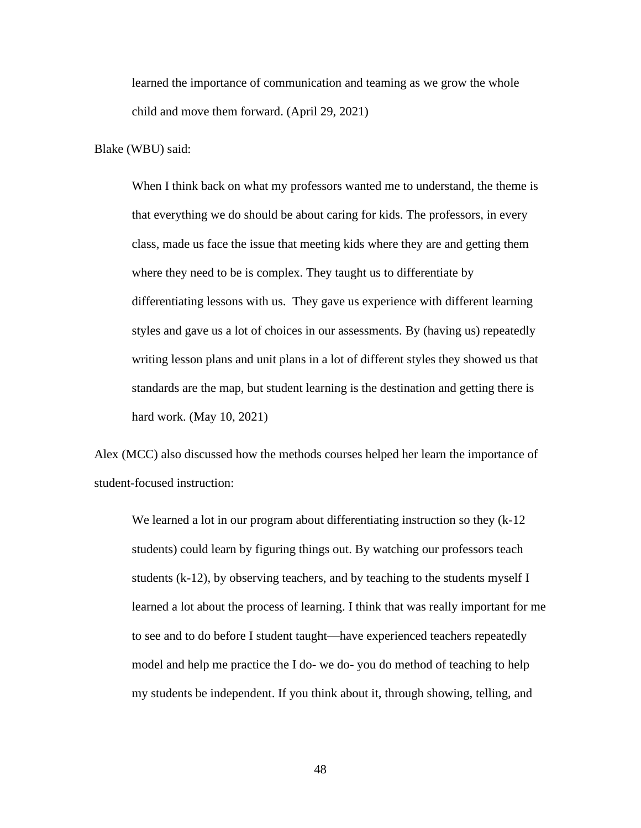learned the importance of communication and teaming as we grow the whole child and move them forward. (April 29, 2021)

Blake (WBU) said:

When I think back on what my professors wanted me to understand, the theme is that everything we do should be about caring for kids. The professors, in every class, made us face the issue that meeting kids where they are and getting them where they need to be is complex. They taught us to differentiate by differentiating lessons with us. They gave us experience with different learning styles and gave us a lot of choices in our assessments. By (having us) repeatedly writing lesson plans and unit plans in a lot of different styles they showed us that standards are the map, but student learning is the destination and getting there is hard work. (May 10, 2021)

Alex (MCC) also discussed how the methods courses helped her learn the importance of student-focused instruction:

We learned a lot in our program about differentiating instruction so they (k-12 students) could learn by figuring things out. By watching our professors teach students (k-12), by observing teachers, and by teaching to the students myself I learned a lot about the process of learning. I think that was really important for me to see and to do before I student taught—have experienced teachers repeatedly model and help me practice the I do- we do- you do method of teaching to help my students be independent. If you think about it, through showing, telling, and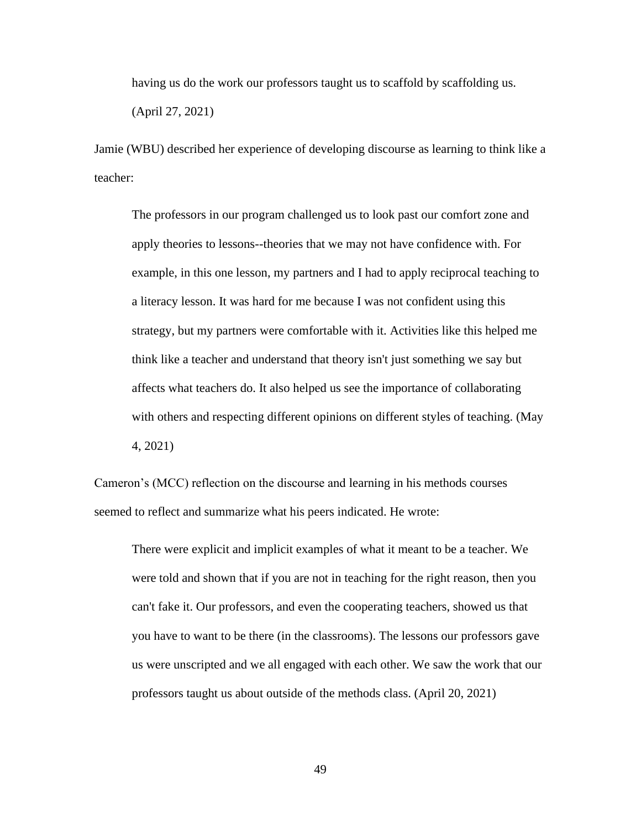having us do the work our professors taught us to scaffold by scaffolding us.

(April 27, 2021)

Jamie (WBU) described her experience of developing discourse as learning to think like a teacher:

The professors in our program challenged us to look past our comfort zone and apply theories to lessons--theories that we may not have confidence with. For example, in this one lesson, my partners and I had to apply reciprocal teaching to a literacy lesson. It was hard for me because I was not confident using this strategy, but my partners were comfortable with it. Activities like this helped me think like a teacher and understand that theory isn't just something we say but affects what teachers do. It also helped us see the importance of collaborating with others and respecting different opinions on different styles of teaching. (May 4, 2021)

Cameron's (MCC) reflection on the discourse and learning in his methods courses seemed to reflect and summarize what his peers indicated. He wrote:

There were explicit and implicit examples of what it meant to be a teacher. We were told and shown that if you are not in teaching for the right reason, then you can't fake it. Our professors, and even the cooperating teachers, showed us that you have to want to be there (in the classrooms). The lessons our professors gave us were unscripted and we all engaged with each other. We saw the work that our professors taught us about outside of the methods class. (April 20, 2021)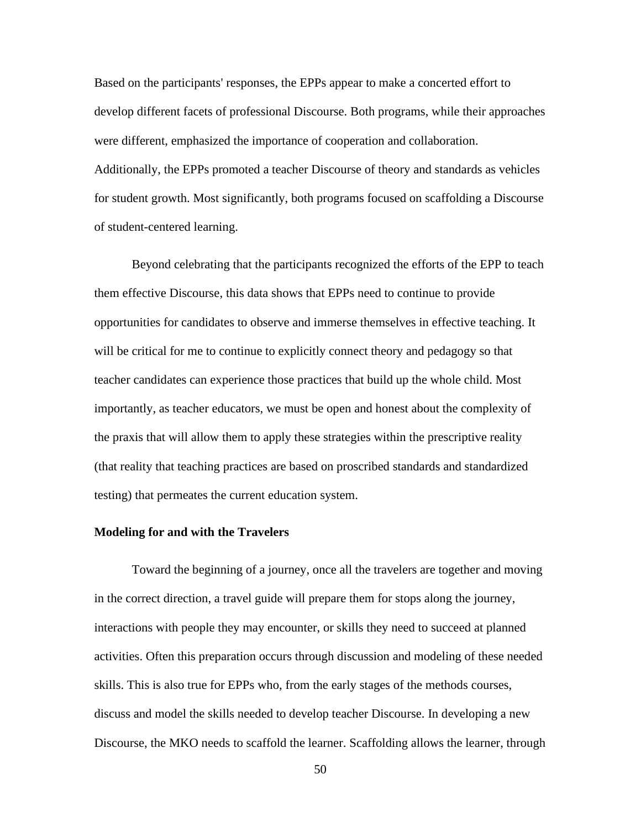Based on the participants' responses, the EPPs appear to make a concerted effort to develop different facets of professional Discourse. Both programs, while their approaches were different, emphasized the importance of cooperation and collaboration. Additionally, the EPPs promoted a teacher Discourse of theory and standards as vehicles for student growth. Most significantly, both programs focused on scaffolding a Discourse of student-centered learning.

Beyond celebrating that the participants recognized the efforts of the EPP to teach them effective Discourse, this data shows that EPPs need to continue to provide opportunities for candidates to observe and immerse themselves in effective teaching. It will be critical for me to continue to explicitly connect theory and pedagogy so that teacher candidates can experience those practices that build up the whole child. Most importantly, as teacher educators, we must be open and honest about the complexity of the praxis that will allow them to apply these strategies within the prescriptive reality (that reality that teaching practices are based on proscribed standards and standardized testing) that permeates the current education system.

#### **Modeling for and with the Travelers**

Toward the beginning of a journey, once all the travelers are together and moving in the correct direction, a travel guide will prepare them for stops along the journey, interactions with people they may encounter, or skills they need to succeed at planned activities. Often this preparation occurs through discussion and modeling of these needed skills. This is also true for EPPs who, from the early stages of the methods courses, discuss and model the skills needed to develop teacher Discourse. In developing a new Discourse, the MKO needs to scaffold the learner. Scaffolding allows the learner, through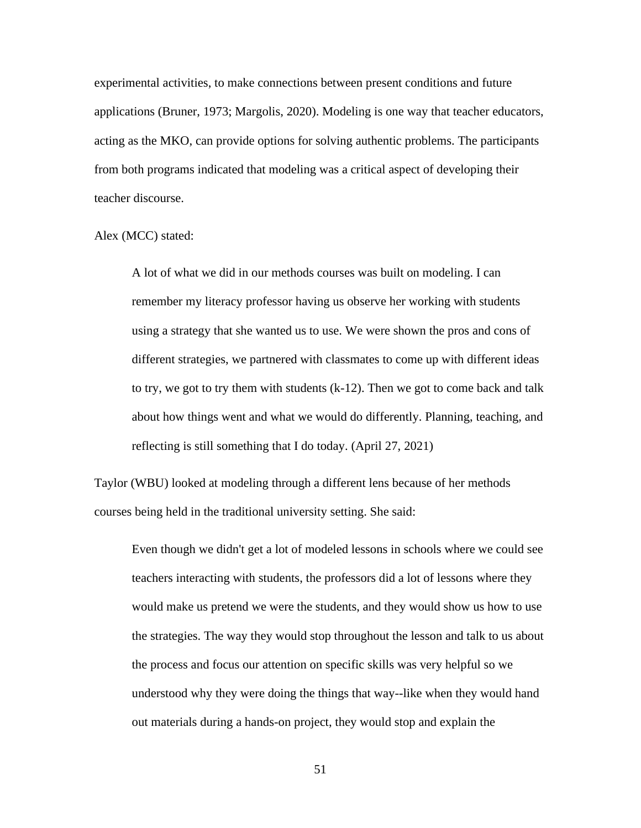experimental activities, to make connections between present conditions and future applications (Bruner, 1973; Margolis, 2020). Modeling is one way that teacher educators, acting as the MKO, can provide options for solving authentic problems. The participants from both programs indicated that modeling was a critical aspect of developing their teacher discourse.

Alex (MCC) stated:

A lot of what we did in our methods courses was built on modeling. I can remember my literacy professor having us observe her working with students using a strategy that she wanted us to use. We were shown the pros and cons of different strategies, we partnered with classmates to come up with different ideas to try, we got to try them with students (k-12). Then we got to come back and talk about how things went and what we would do differently. Planning, teaching, and reflecting is still something that I do today. (April 27, 2021)

Taylor (WBU) looked at modeling through a different lens because of her methods courses being held in the traditional university setting. She said:

Even though we didn't get a lot of modeled lessons in schools where we could see teachers interacting with students, the professors did a lot of lessons where they would make us pretend we were the students, and they would show us how to use the strategies. The way they would stop throughout the lesson and talk to us about the process and focus our attention on specific skills was very helpful so we understood why they were doing the things that way--like when they would hand out materials during a hands-on project, they would stop and explain the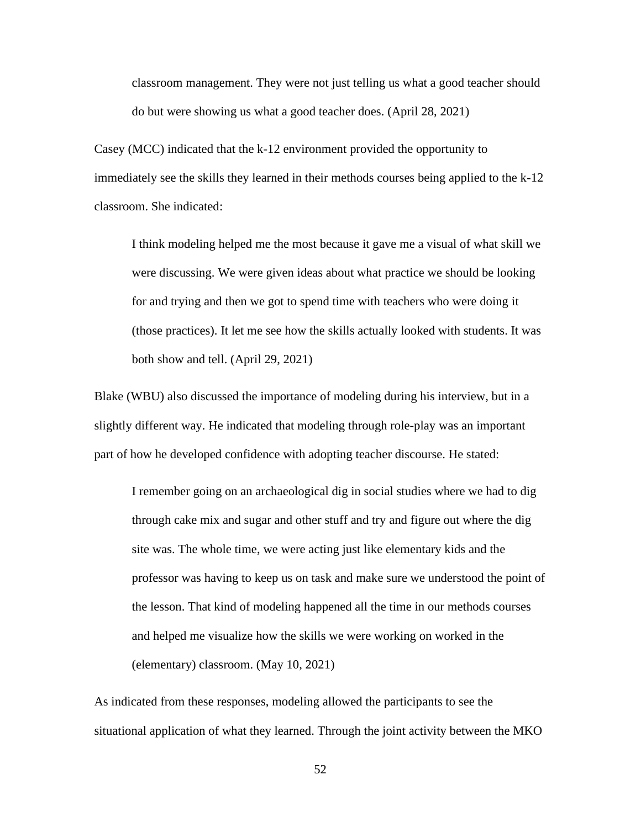classroom management. They were not just telling us what a good teacher should do but were showing us what a good teacher does. (April 28, 2021)

Casey (MCC) indicated that the k-12 environment provided the opportunity to immediately see the skills they learned in their methods courses being applied to the k-12 classroom. She indicated:

I think modeling helped me the most because it gave me a visual of what skill we were discussing. We were given ideas about what practice we should be looking for and trying and then we got to spend time with teachers who were doing it (those practices). It let me see how the skills actually looked with students. It was both show and tell. (April 29, 2021)

Blake (WBU) also discussed the importance of modeling during his interview, but in a slightly different way. He indicated that modeling through role-play was an important part of how he developed confidence with adopting teacher discourse. He stated:

I remember going on an archaeological dig in social studies where we had to dig through cake mix and sugar and other stuff and try and figure out where the dig site was. The whole time, we were acting just like elementary kids and the professor was having to keep us on task and make sure we understood the point of the lesson. That kind of modeling happened all the time in our methods courses and helped me visualize how the skills we were working on worked in the (elementary) classroom. (May 10, 2021)

As indicated from these responses, modeling allowed the participants to see the situational application of what they learned. Through the joint activity between the MKO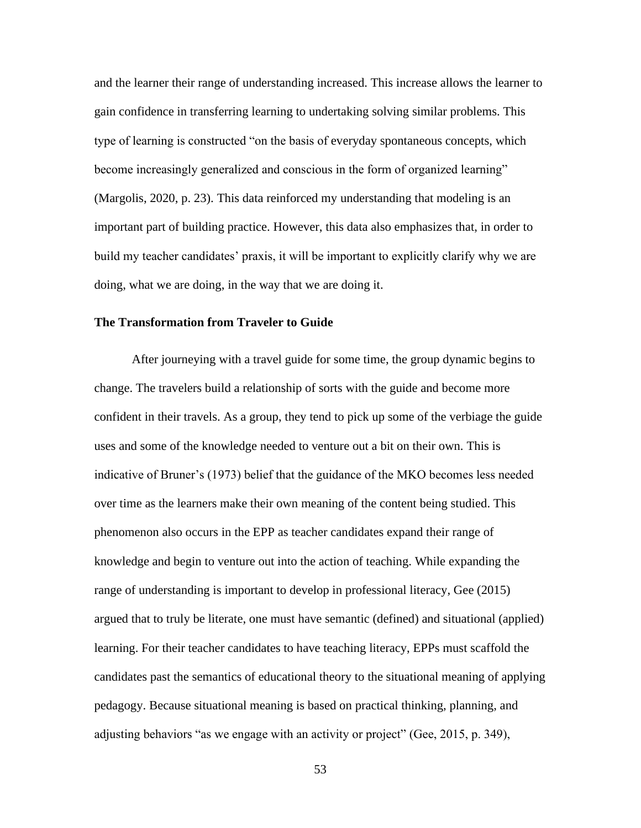and the learner their range of understanding increased. This increase allows the learner to gain confidence in transferring learning to undertaking solving similar problems. This type of learning is constructed "on the basis of everyday spontaneous concepts, which become increasingly generalized and conscious in the form of organized learning" (Margolis, 2020, p. 23). This data reinforced my understanding that modeling is an important part of building practice. However, this data also emphasizes that, in order to build my teacher candidates' praxis, it will be important to explicitly clarify why we are doing, what we are doing, in the way that we are doing it.

# **The Transformation from Traveler to Guide**

After journeying with a travel guide for some time, the group dynamic begins to change. The travelers build a relationship of sorts with the guide and become more confident in their travels. As a group, they tend to pick up some of the verbiage the guide uses and some of the knowledge needed to venture out a bit on their own. This is indicative of Bruner's (1973) belief that the guidance of the MKO becomes less needed over time as the learners make their own meaning of the content being studied. This phenomenon also occurs in the EPP as teacher candidates expand their range of knowledge and begin to venture out into the action of teaching. While expanding the range of understanding is important to develop in professional literacy, Gee (2015) argued that to truly be literate, one must have semantic (defined) and situational (applied) learning. For their teacher candidates to have teaching literacy, EPPs must scaffold the candidates past the semantics of educational theory to the situational meaning of applying pedagogy. Because situational meaning is based on practical thinking, planning, and adjusting behaviors "as we engage with an activity or project" (Gee, 2015, p. 349),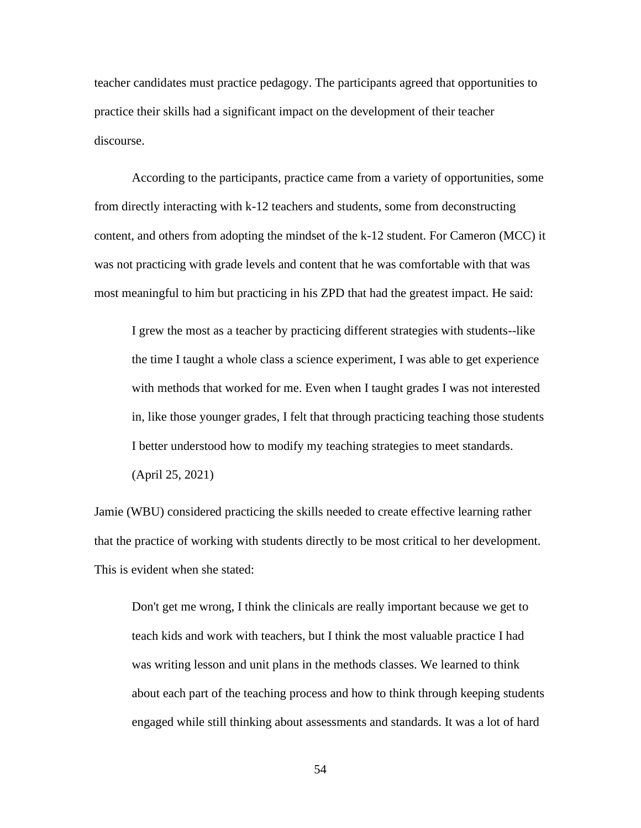teacher candidates must practice pedagogy. The participants agreed that opportunities to practice their skills had a significant impact on the development of their teacher discourse.

According to the participants, practice came from a variety of opportunities, some from directly interacting with k-12 teachers and students, some from deconstructing content, and others from adopting the mindset of the k-12 student. For Cameron (MCC) it was not practicing with grade levels and content that he was comfortable with that was most meaningful to him but practicing in his ZPD that had the greatest impact. He said:

I grew the most as a teacher by practicing different strategies with students--like the time I taught a whole class a science experiment, I was able to get experience with methods that worked for me. Even when I taught grades I was not interested in, like those younger grades, I felt that through practicing teaching those students I better understood how to modify my teaching strategies to meet standards. (April 25, 2021)

Jamie (WBU) considered practicing the skills needed to create effective learning rather that the practice of working with students directly to be most critical to her development. This is evident when she stated:

Don't get me wrong, I think the clinicals are really important because we get to teach kids and work with teachers, but I think the most valuable practice I had was writing lesson and unit plans in the methods classes. We learned to think about each part of the teaching process and how to think through keeping students engaged while still thinking about assessments and standards. It was a lot of hard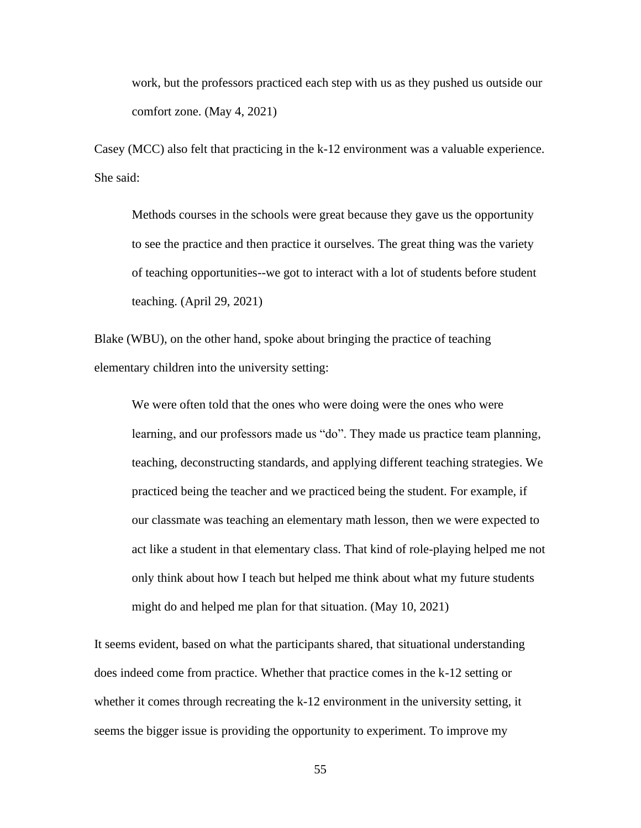work, but the professors practiced each step with us as they pushed us outside our comfort zone. (May 4, 2021)

Casey (MCC) also felt that practicing in the k-12 environment was a valuable experience. She said:

Methods courses in the schools were great because they gave us the opportunity to see the practice and then practice it ourselves. The great thing was the variety of teaching opportunities--we got to interact with a lot of students before student teaching. (April 29, 2021)

Blake (WBU), on the other hand, spoke about bringing the practice of teaching elementary children into the university setting:

We were often told that the ones who were doing were the ones who were learning, and our professors made us "do". They made us practice team planning, teaching, deconstructing standards, and applying different teaching strategies. We practiced being the teacher and we practiced being the student. For example, if our classmate was teaching an elementary math lesson, then we were expected to act like a student in that elementary class. That kind of role-playing helped me not only think about how I teach but helped me think about what my future students might do and helped me plan for that situation. (May 10, 2021)

It seems evident, based on what the participants shared, that situational understanding does indeed come from practice. Whether that practice comes in the k-12 setting or whether it comes through recreating the k-12 environment in the university setting, it seems the bigger issue is providing the opportunity to experiment. To improve my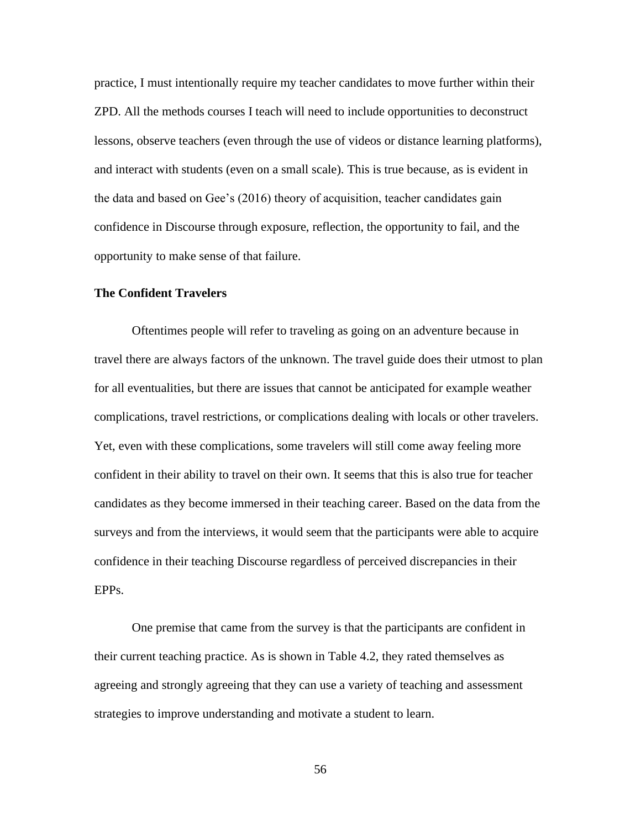practice, I must intentionally require my teacher candidates to move further within their ZPD. All the methods courses I teach will need to include opportunities to deconstruct lessons, observe teachers (even through the use of videos or distance learning platforms), and interact with students (even on a small scale). This is true because, as is evident in the data and based on Gee's (2016) theory of acquisition, teacher candidates gain confidence in Discourse through exposure, reflection, the opportunity to fail, and the opportunity to make sense of that failure.

# **The Confident Travelers**

Oftentimes people will refer to traveling as going on an adventure because in travel there are always factors of the unknown. The travel guide does their utmost to plan for all eventualities, but there are issues that cannot be anticipated for example weather complications, travel restrictions, or complications dealing with locals or other travelers. Yet, even with these complications, some travelers will still come away feeling more confident in their ability to travel on their own. It seems that this is also true for teacher candidates as they become immersed in their teaching career. Based on the data from the surveys and from the interviews, it would seem that the participants were able to acquire confidence in their teaching Discourse regardless of perceived discrepancies in their EPPs.

One premise that came from the survey is that the participants are confident in their current teaching practice. As is shown in Table 4.2, they rated themselves as agreeing and strongly agreeing that they can use a variety of teaching and assessment strategies to improve understanding and motivate a student to learn.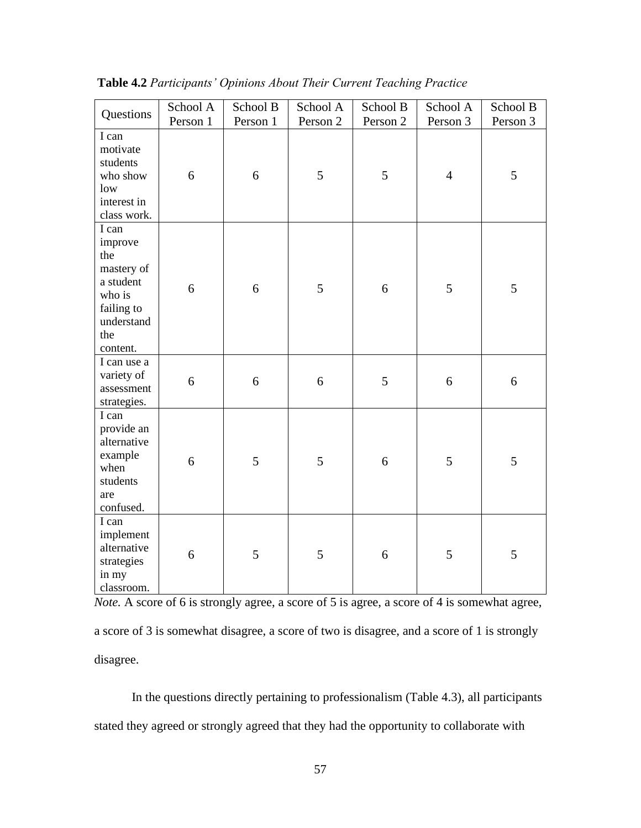| Questions                                                                                                   | School A | School B | School A         | School B | School A       | School B |
|-------------------------------------------------------------------------------------------------------------|----------|----------|------------------|----------|----------------|----------|
|                                                                                                             | Person 1 | Person 1 | Person 2         | Person 2 | Person 3       | Person 3 |
| I can<br>motivate<br>students<br>who show<br>low<br>interest in<br>class work.                              | 6        | 6        | 5                | 5        | $\overline{4}$ | 5        |
| I can<br>improve<br>the<br>mastery of<br>a student<br>who is<br>failing to<br>understand<br>the<br>content. | 6        | 6        | 5                | 6        | 5              | 5        |
| I can use a<br>variety of<br>assessment<br>strategies.                                                      | 6        | 6        | $\boldsymbol{6}$ | 5        | 6              | 6        |
| I can<br>provide an<br>alternative<br>example<br>when<br>students<br>are<br>confused.                       | 6        | 5        | 5                | 6        | 5              | 5        |
| I can<br>implement<br>alternative<br>strategies<br>in my<br>classroom.                                      | 6        | 5        | 5                | 6        | 5              | 5        |

**Table 4.2** *Participants' Opinions About Their Current Teaching Practice*

*Note.* A score of 6 is strongly agree, a score of 5 is agree, a score of 4 is somewhat agree, a score of 3 is somewhat disagree, a score of two is disagree, and a score of 1 is strongly disagree.

In the questions directly pertaining to professionalism (Table 4.3), all participants stated they agreed or strongly agreed that they had the opportunity to collaborate with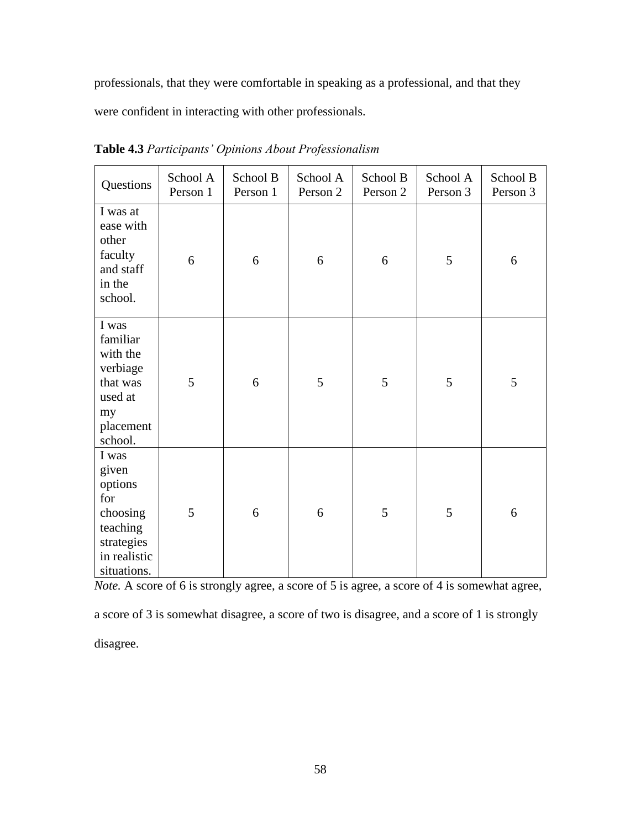professionals, that they were comfortable in speaking as a professional, and that they

were confident in interacting with other professionals.

| Questions                                                                                             | School A<br>Person 1 | School B<br>Person 1 | School A<br>Person 2 | School B<br>Person 2 | School A<br>Person 3 | School B<br>Person 3 |
|-------------------------------------------------------------------------------------------------------|----------------------|----------------------|----------------------|----------------------|----------------------|----------------------|
| I was at<br>ease with<br>other<br>faculty<br>and staff<br>in the<br>school.                           | 6                    | 6                    | 6                    | 6                    | 5                    | 6                    |
| I was<br>familiar<br>with the<br>verbiage<br>that was<br>used at<br>my<br>placement<br>school.        | 5                    | 6                    | 5                    | 5                    | 5                    | 5                    |
| I was<br>given<br>options<br>for<br>choosing<br>teaching<br>strategies<br>in realistic<br>situations. | 5                    | 6                    | 6                    | 5                    | 5                    | 6                    |

**Table 4.3** *Participants' Opinions About Professionalism*

*Note.* A score of 6 is strongly agree, a score of 5 is agree, a score of 4 is somewhat agree,

a score of 3 is somewhat disagree, a score of two is disagree, and a score of 1 is strongly disagree.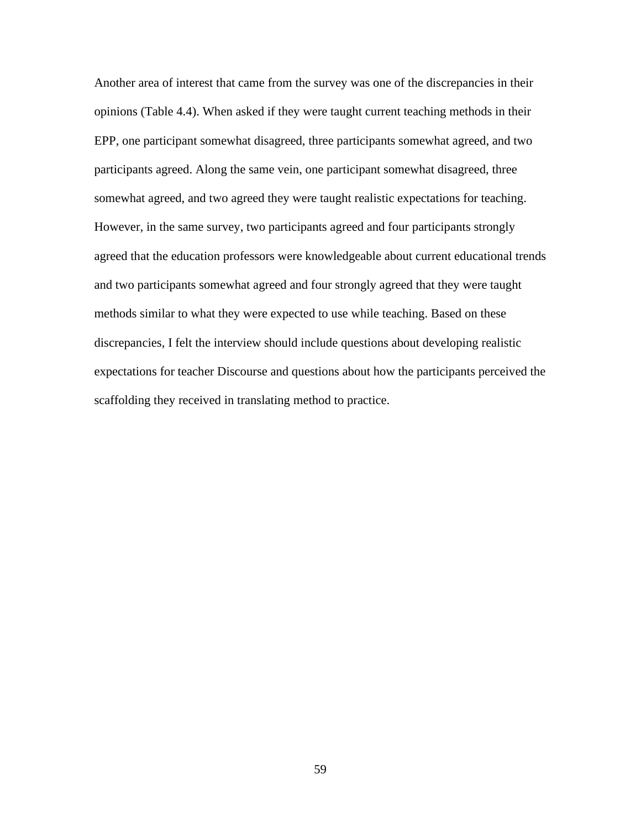Another area of interest that came from the survey was one of the discrepancies in their opinions (Table 4.4). When asked if they were taught current teaching methods in their EPP, one participant somewhat disagreed, three participants somewhat agreed, and two participants agreed. Along the same vein, one participant somewhat disagreed, three somewhat agreed, and two agreed they were taught realistic expectations for teaching. However, in the same survey, two participants agreed and four participants strongly agreed that the education professors were knowledgeable about current educational trends and two participants somewhat agreed and four strongly agreed that they were taught methods similar to what they were expected to use while teaching. Based on these discrepancies, I felt the interview should include questions about developing realistic expectations for teacher Discourse and questions about how the participants perceived the scaffolding they received in translating method to practice.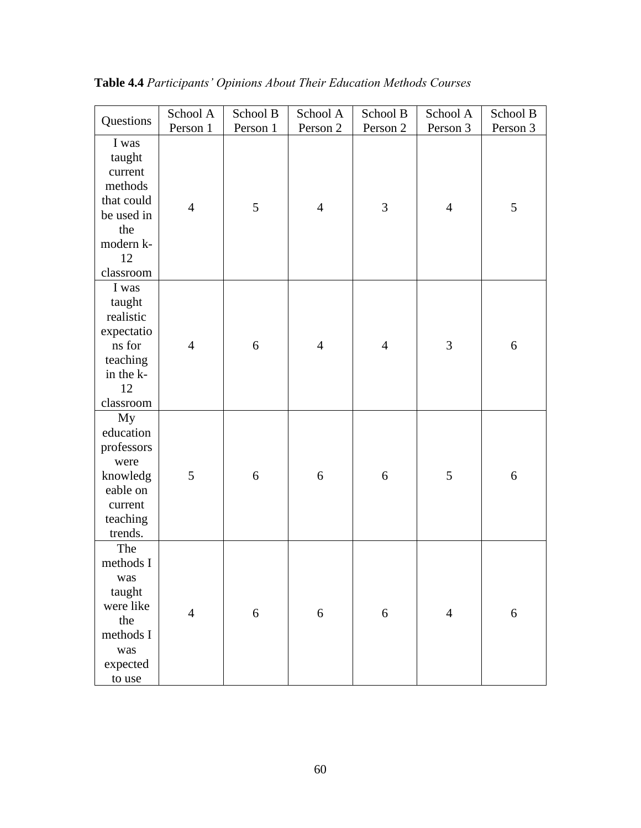|                                                                                                          | School A       | School B | School A         | School B       | School A       | School B         |
|----------------------------------------------------------------------------------------------------------|----------------|----------|------------------|----------------|----------------|------------------|
| Questions                                                                                                | Person 1       | Person 1 | Person 2         | Person 2       | Person 3       | Person 3         |
| I was<br>taught<br>current<br>methods<br>that could<br>be used in<br>the<br>modern k-<br>12<br>classroom | $\overline{4}$ | 5        | $\overline{4}$   | 3              | $\overline{4}$ | 5                |
| I was<br>taught<br>realistic<br>expectatio<br>ns for<br>teaching<br>in the k-<br>12<br>classroom         | $\overline{4}$ | 6        | $\overline{4}$   | $\overline{4}$ | 3              | $\boldsymbol{6}$ |
| My<br>education<br>professors<br>were<br>knowledg<br>eable on<br>current<br>teaching<br>trends.          | 5              | 6        | 6                | 6              | 5              | 6                |
| The<br>methods I<br>was<br>taught<br>were like<br>the<br>methods I<br>was<br>expected<br>to use          | $\overline{4}$ | 6        | $\boldsymbol{6}$ | 6              | $\overline{4}$ | $\boldsymbol{6}$ |

**Table 4.4** *Participants' Opinions About Their Education Methods Courses*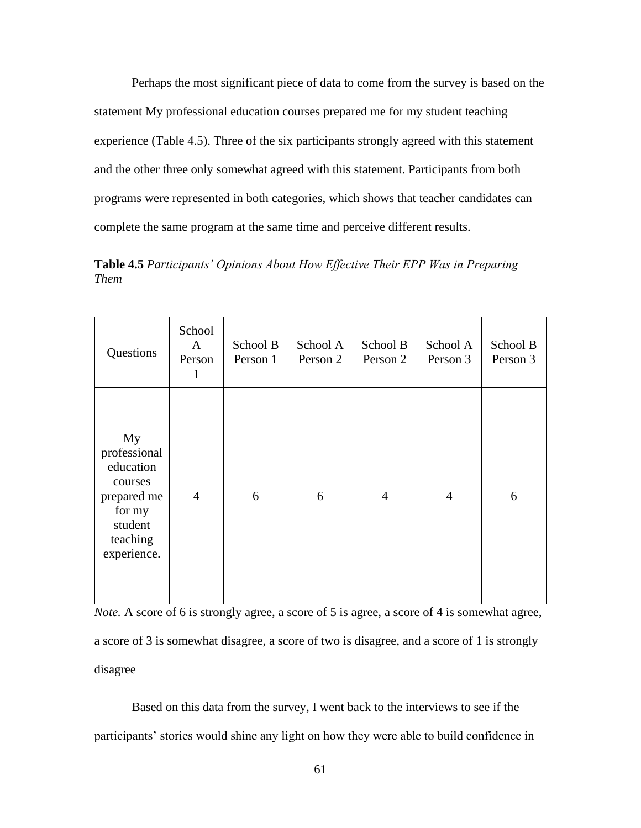Perhaps the most significant piece of data to come from the survey is based on the statement My professional education courses prepared me for my student teaching experience (Table 4.5). Three of the six participants strongly agreed with this statement and the other three only somewhat agreed with this statement. Participants from both programs were represented in both categories, which shows that teacher candidates can complete the same program at the same time and perceive different results.

**Table 4.5** *Participants' Opinions About How Effective Their EPP Was in Preparing Them*

| Questions                                                                                                 | School<br>A<br>Person<br>$\mathbf{1}$ | School B<br>Person 1 | School A<br>Person 2 | School B<br>Person 2 | School A<br>Person 3 | School B<br>Person 3 |
|-----------------------------------------------------------------------------------------------------------|---------------------------------------|----------------------|----------------------|----------------------|----------------------|----------------------|
| My<br>professional<br>education<br>courses<br>prepared me<br>for my<br>student<br>teaching<br>experience. | $\overline{4}$                        | 6                    | 6                    | $\overline{4}$       | $\overline{4}$       | 6                    |

*Note.* A score of 6 is strongly agree, a score of 5 is agree, a score of 4 is somewhat agree, a score of 3 is somewhat disagree, a score of two is disagree, and a score of 1 is strongly disagree

Based on this data from the survey, I went back to the interviews to see if the participants' stories would shine any light on how they were able to build confidence in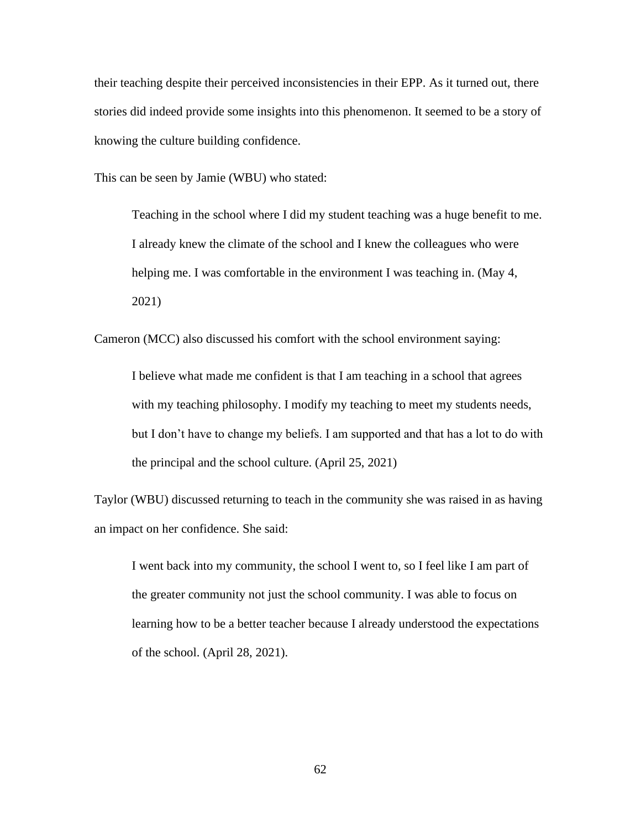their teaching despite their perceived inconsistencies in their EPP. As it turned out, there stories did indeed provide some insights into this phenomenon. It seemed to be a story of knowing the culture building confidence.

This can be seen by Jamie (WBU) who stated:

Teaching in the school where I did my student teaching was a huge benefit to me. I already knew the climate of the school and I knew the colleagues who were helping me. I was comfortable in the environment I was teaching in. (May 4, 2021)

Cameron (MCC) also discussed his comfort with the school environment saying:

I believe what made me confident is that I am teaching in a school that agrees with my teaching philosophy. I modify my teaching to meet my students needs, but I don't have to change my beliefs. I am supported and that has a lot to do with the principal and the school culture. (April 25, 2021)

Taylor (WBU) discussed returning to teach in the community she was raised in as having an impact on her confidence. She said:

I went back into my community, the school I went to, so I feel like I am part of the greater community not just the school community. I was able to focus on learning how to be a better teacher because I already understood the expectations of the school. (April 28, 2021).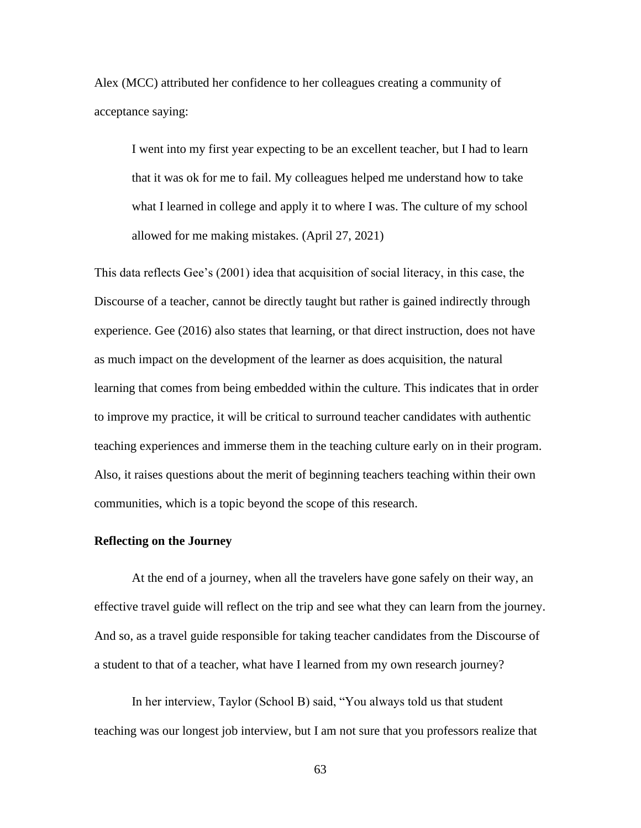Alex (MCC) attributed her confidence to her colleagues creating a community of acceptance saying:

I went into my first year expecting to be an excellent teacher, but I had to learn that it was ok for me to fail. My colleagues helped me understand how to take what I learned in college and apply it to where I was. The culture of my school allowed for me making mistakes. (April 27, 2021)

This data reflects Gee's (2001) idea that acquisition of social literacy, in this case, the Discourse of a teacher, cannot be directly taught but rather is gained indirectly through experience. Gee (2016) also states that learning, or that direct instruction, does not have as much impact on the development of the learner as does acquisition, the natural learning that comes from being embedded within the culture. This indicates that in order to improve my practice, it will be critical to surround teacher candidates with authentic teaching experiences and immerse them in the teaching culture early on in their program. Also, it raises questions about the merit of beginning teachers teaching within their own communities, which is a topic beyond the scope of this research.

# **Reflecting on the Journey**

At the end of a journey, when all the travelers have gone safely on their way, an effective travel guide will reflect on the trip and see what they can learn from the journey. And so, as a travel guide responsible for taking teacher candidates from the Discourse of a student to that of a teacher, what have I learned from my own research journey?

In her interview, Taylor (School B) said, "You always told us that student teaching was our longest job interview, but I am not sure that you professors realize that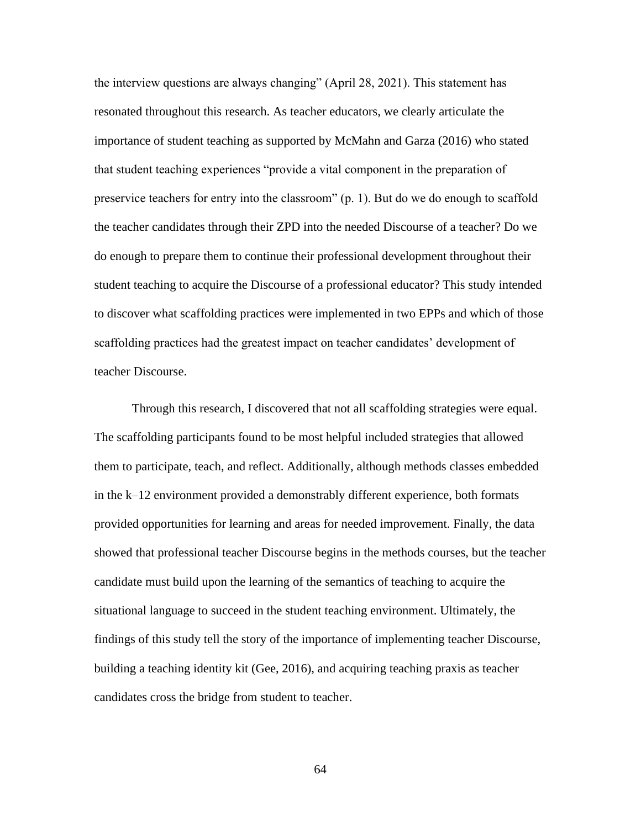the interview questions are always changing" (April 28, 2021). This statement has resonated throughout this research. As teacher educators, we clearly articulate the importance of student teaching as supported by McMahn and Garza (2016) who stated that student teaching experiences "provide a vital component in the preparation of preservice teachers for entry into the classroom" (p. 1). But do we do enough to scaffold the teacher candidates through their ZPD into the needed Discourse of a teacher? Do we do enough to prepare them to continue their professional development throughout their student teaching to acquire the Discourse of a professional educator? This study intended to discover what scaffolding practices were implemented in two EPPs and which of those scaffolding practices had the greatest impact on teacher candidates' development of teacher Discourse.

Through this research, I discovered that not all scaffolding strategies were equal. The scaffolding participants found to be most helpful included strategies that allowed them to participate, teach, and reflect. Additionally, although methods classes embedded in the k–12 environment provided a demonstrably different experience, both formats provided opportunities for learning and areas for needed improvement. Finally, the data showed that professional teacher Discourse begins in the methods courses, but the teacher candidate must build upon the learning of the semantics of teaching to acquire the situational language to succeed in the student teaching environment. Ultimately, the findings of this study tell the story of the importance of implementing teacher Discourse, building a teaching identity kit (Gee, 2016), and acquiring teaching praxis as teacher candidates cross the bridge from student to teacher.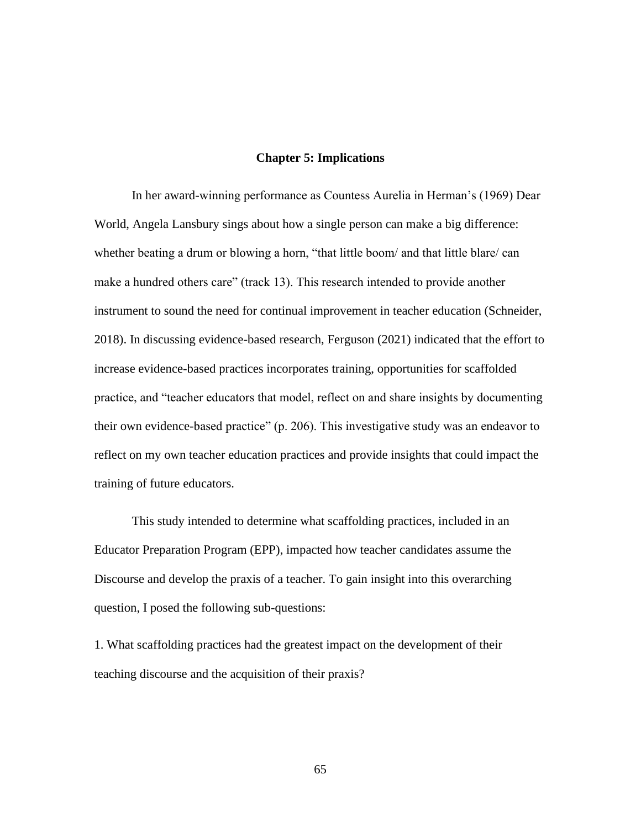# **Chapter 5: Implications**

In her award-winning performance as Countess Aurelia in Herman's (1969) Dear World, Angela Lansbury sings about how a single person can make a big difference: whether beating a drum or blowing a horn, "that little boom/ and that little blare/ can make a hundred others care" (track 13). This research intended to provide another instrument to sound the need for continual improvement in teacher education (Schneider, 2018). In discussing evidence-based research, Ferguson (2021) indicated that the effort to increase evidence-based practices incorporates training, opportunities for scaffolded practice, and "teacher educators that model, reflect on and share insights by documenting their own evidence-based practice" (p. 206). This investigative study was an endeavor to reflect on my own teacher education practices and provide insights that could impact the training of future educators.

This study intended to determine what scaffolding practices, included in an Educator Preparation Program (EPP), impacted how teacher candidates assume the Discourse and develop the praxis of a teacher. To gain insight into this overarching question, I posed the following sub-questions:

1. What scaffolding practices had the greatest impact on the development of their teaching discourse and the acquisition of their praxis?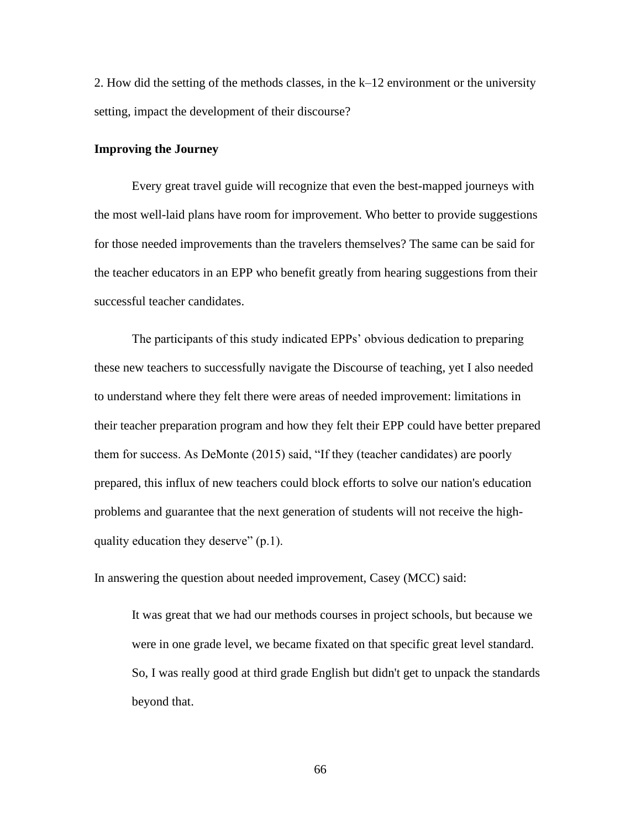2. How did the setting of the methods classes, in the k–12 environment or the university setting, impact the development of their discourse?

# **Improving the Journey**

Every great travel guide will recognize that even the best-mapped journeys with the most well-laid plans have room for improvement. Who better to provide suggestions for those needed improvements than the travelers themselves? The same can be said for the teacher educators in an EPP who benefit greatly from hearing suggestions from their successful teacher candidates.

The participants of this study indicated EPPs' obvious dedication to preparing these new teachers to successfully navigate the Discourse of teaching, yet I also needed to understand where they felt there were areas of needed improvement: limitations in their teacher preparation program and how they felt their EPP could have better prepared them for success. As DeMonte (2015) said, "If they (teacher candidates) are poorly prepared, this influx of new teachers could block efforts to solve our nation's education problems and guarantee that the next generation of students will not receive the highquality education they deserve" (p.1).

In answering the question about needed improvement, Casey (MCC) said:

It was great that we had our methods courses in project schools, but because we were in one grade level, we became fixated on that specific great level standard. So, I was really good at third grade English but didn't get to unpack the standards beyond that.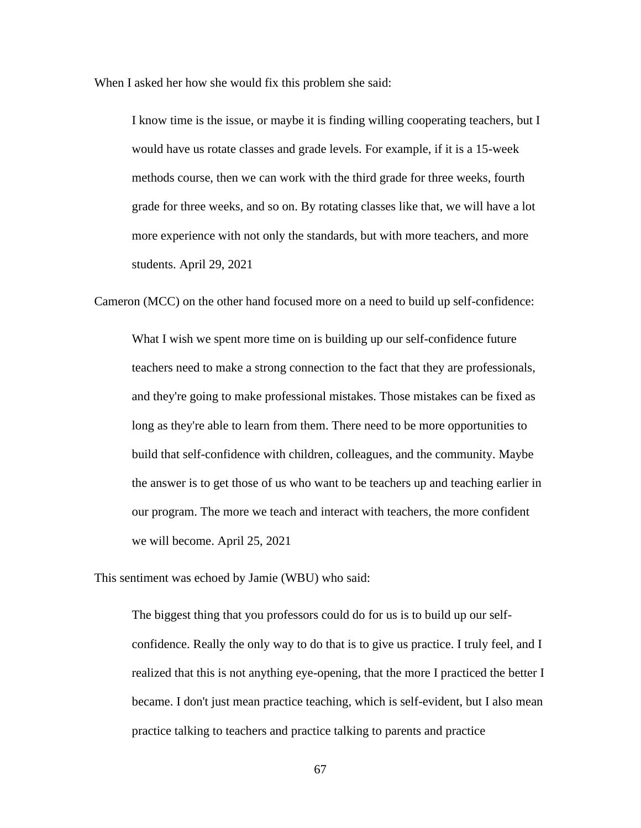When I asked her how she would fix this problem she said:

I know time is the issue, or maybe it is finding willing cooperating teachers, but I would have us rotate classes and grade levels. For example, if it is a 15-week methods course, then we can work with the third grade for three weeks, fourth grade for three weeks, and so on. By rotating classes like that, we will have a lot more experience with not only the standards, but with more teachers, and more students. April 29, 2021

Cameron (MCC) on the other hand focused more on a need to build up self-confidence:

What I wish we spent more time on is building up our self-confidence future teachers need to make a strong connection to the fact that they are professionals, and they're going to make professional mistakes. Those mistakes can be fixed as long as they're able to learn from them. There need to be more opportunities to build that self-confidence with children, colleagues, and the community. Maybe the answer is to get those of us who want to be teachers up and teaching earlier in our program. The more we teach and interact with teachers, the more confident we will become. April 25, 2021

This sentiment was echoed by Jamie (WBU) who said:

The biggest thing that you professors could do for us is to build up our selfconfidence. Really the only way to do that is to give us practice. I truly feel, and I realized that this is not anything eye-opening, that the more I practiced the better I became. I don't just mean practice teaching, which is self-evident, but I also mean practice talking to teachers and practice talking to parents and practice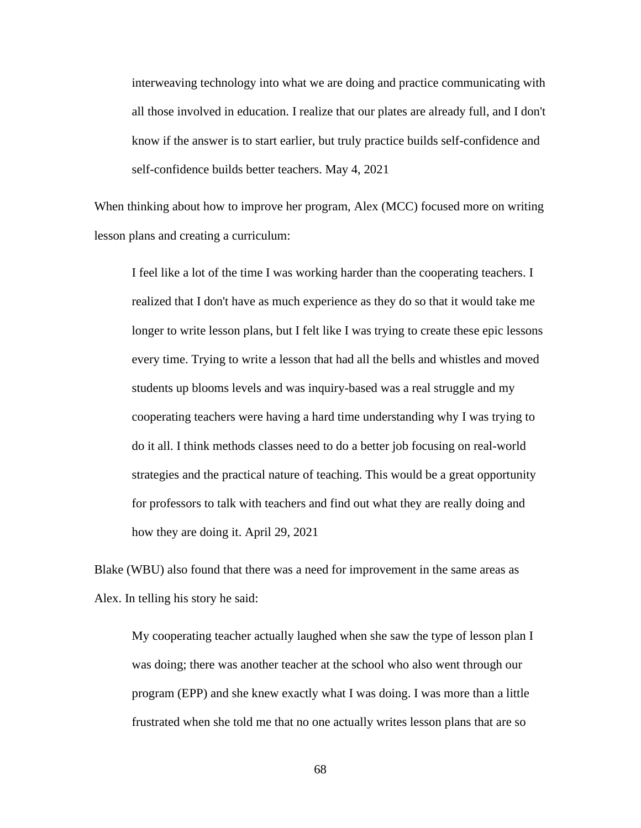interweaving technology into what we are doing and practice communicating with all those involved in education. I realize that our plates are already full, and I don't know if the answer is to start earlier, but truly practice builds self-confidence and self-confidence builds better teachers. May 4, 2021

When thinking about how to improve her program, Alex (MCC) focused more on writing lesson plans and creating a curriculum:

I feel like a lot of the time I was working harder than the cooperating teachers. I realized that I don't have as much experience as they do so that it would take me longer to write lesson plans, but I felt like I was trying to create these epic lessons every time. Trying to write a lesson that had all the bells and whistles and moved students up blooms levels and was inquiry-based was a real struggle and my cooperating teachers were having a hard time understanding why I was trying to do it all. I think methods classes need to do a better job focusing on real-world strategies and the practical nature of teaching. This would be a great opportunity for professors to talk with teachers and find out what they are really doing and how they are doing it. April 29, 2021

Blake (WBU) also found that there was a need for improvement in the same areas as Alex. In telling his story he said:

My cooperating teacher actually laughed when she saw the type of lesson plan I was doing; there was another teacher at the school who also went through our program (EPP) and she knew exactly what I was doing. I was more than a little frustrated when she told me that no one actually writes lesson plans that are so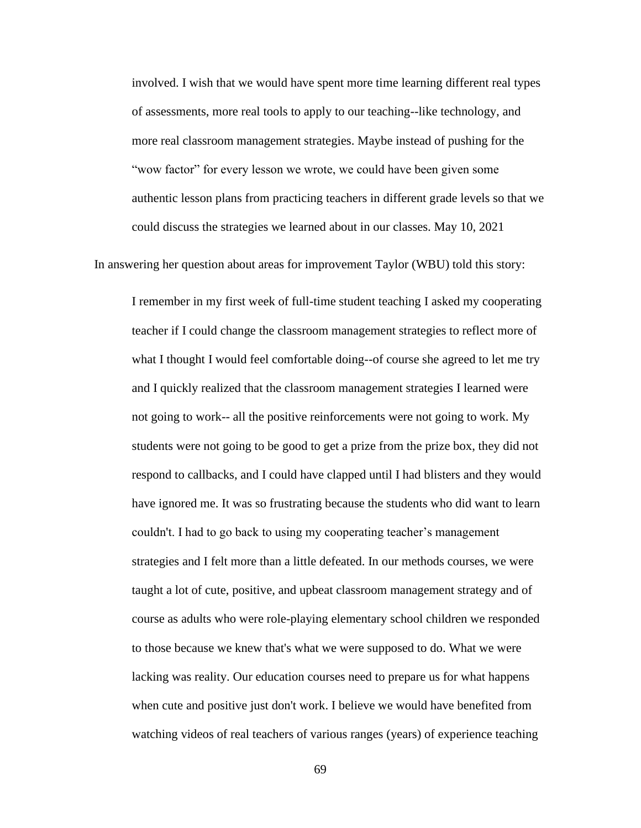involved. I wish that we would have spent more time learning different real types of assessments, more real tools to apply to our teaching--like technology, and more real classroom management strategies. Maybe instead of pushing for the "wow factor" for every lesson we wrote, we could have been given some authentic lesson plans from practicing teachers in different grade levels so that we could discuss the strategies we learned about in our classes. May 10, 2021

In answering her question about areas for improvement Taylor (WBU) told this story:

I remember in my first week of full-time student teaching I asked my cooperating teacher if I could change the classroom management strategies to reflect more of what I thought I would feel comfortable doing--of course she agreed to let me try and I quickly realized that the classroom management strategies I learned were not going to work-- all the positive reinforcements were not going to work. My students were not going to be good to get a prize from the prize box, they did not respond to callbacks, and I could have clapped until I had blisters and they would have ignored me. It was so frustrating because the students who did want to learn couldn't. I had to go back to using my cooperating teacher's management strategies and I felt more than a little defeated. In our methods courses, we were taught a lot of cute, positive, and upbeat classroom management strategy and of course as adults who were role-playing elementary school children we responded to those because we knew that's what we were supposed to do. What we were lacking was reality. Our education courses need to prepare us for what happens when cute and positive just don't work. I believe we would have benefited from watching videos of real teachers of various ranges (years) of experience teaching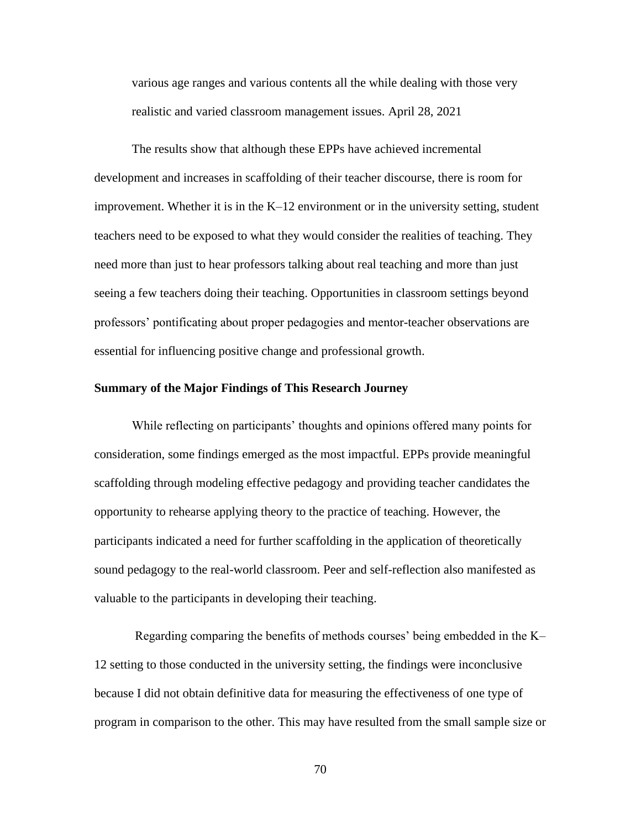various age ranges and various contents all the while dealing with those very realistic and varied classroom management issues. April 28, 2021

The results show that although these EPPs have achieved incremental development and increases in scaffolding of their teacher discourse, there is room for improvement. Whether it is in the K–12 environment or in the university setting, student teachers need to be exposed to what they would consider the realities of teaching. They need more than just to hear professors talking about real teaching and more than just seeing a few teachers doing their teaching. Opportunities in classroom settings beyond professors' pontificating about proper pedagogies and mentor-teacher observations are essential for influencing positive change and professional growth.

# **Summary of the Major Findings of This Research Journey**

While reflecting on participants' thoughts and opinions offered many points for consideration, some findings emerged as the most impactful. EPPs provide meaningful scaffolding through modeling effective pedagogy and providing teacher candidates the opportunity to rehearse applying theory to the practice of teaching. However, the participants indicated a need for further scaffolding in the application of theoretically sound pedagogy to the real-world classroom. Peer and self-reflection also manifested as valuable to the participants in developing their teaching.

Regarding comparing the benefits of methods courses' being embedded in the K– 12 setting to those conducted in the university setting, the findings were inconclusive because I did not obtain definitive data for measuring the effectiveness of one type of program in comparison to the other. This may have resulted from the small sample size or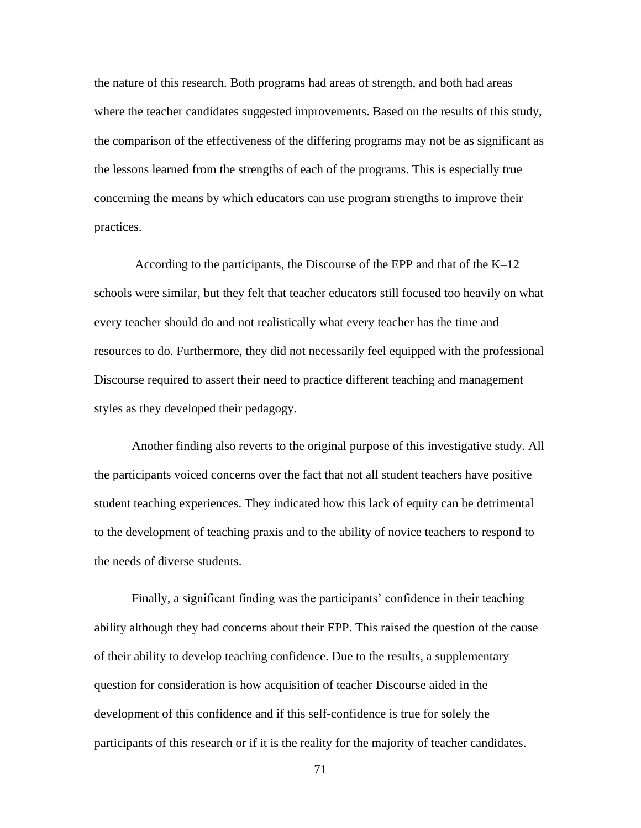the nature of this research. Both programs had areas of strength, and both had areas where the teacher candidates suggested improvements. Based on the results of this study, the comparison of the effectiveness of the differing programs may not be as significant as the lessons learned from the strengths of each of the programs. This is especially true concerning the means by which educators can use program strengths to improve their practices.

According to the participants, the Discourse of the EPP and that of the K–12 schools were similar, but they felt that teacher educators still focused too heavily on what every teacher should do and not realistically what every teacher has the time and resources to do. Furthermore, they did not necessarily feel equipped with the professional Discourse required to assert their need to practice different teaching and management styles as they developed their pedagogy.

Another finding also reverts to the original purpose of this investigative study. All the participants voiced concerns over the fact that not all student teachers have positive student teaching experiences. They indicated how this lack of equity can be detrimental to the development of teaching praxis and to the ability of novice teachers to respond to the needs of diverse students.

Finally, a significant finding was the participants' confidence in their teaching ability although they had concerns about their EPP. This raised the question of the cause of their ability to develop teaching confidence. Due to the results, a supplementary question for consideration is how acquisition of teacher Discourse aided in the development of this confidence and if this self-confidence is true for solely the participants of this research or if it is the reality for the majority of teacher candidates.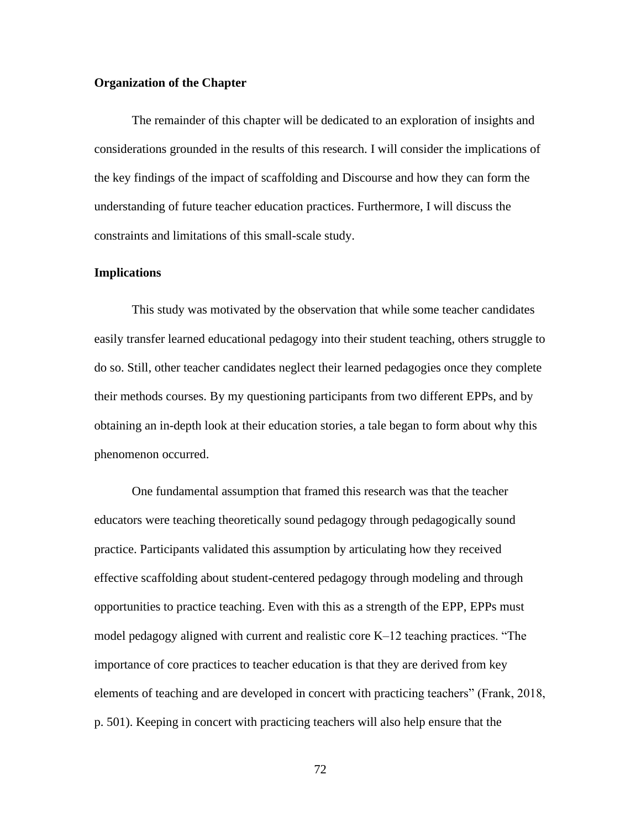# **Organization of the Chapter**

The remainder of this chapter will be dedicated to an exploration of insights and considerations grounded in the results of this research. I will consider the implications of the key findings of the impact of scaffolding and Discourse and how they can form the understanding of future teacher education practices. Furthermore, I will discuss the constraints and limitations of this small-scale study.

#### **Implications**

This study was motivated by the observation that while some teacher candidates easily transfer learned educational pedagogy into their student teaching, others struggle to do so. Still, other teacher candidates neglect their learned pedagogies once they complete their methods courses. By my questioning participants from two different EPPs, and by obtaining an in-depth look at their education stories, a tale began to form about why this phenomenon occurred.

One fundamental assumption that framed this research was that the teacher educators were teaching theoretically sound pedagogy through pedagogically sound practice. Participants validated this assumption by articulating how they received effective scaffolding about student-centered pedagogy through modeling and through opportunities to practice teaching. Even with this as a strength of the EPP, EPPs must model pedagogy aligned with current and realistic core K–12 teaching practices. "The importance of core practices to teacher education is that they are derived from key elements of teaching and are developed in concert with practicing teachers" (Frank, 2018, p. 501). Keeping in concert with practicing teachers will also help ensure that the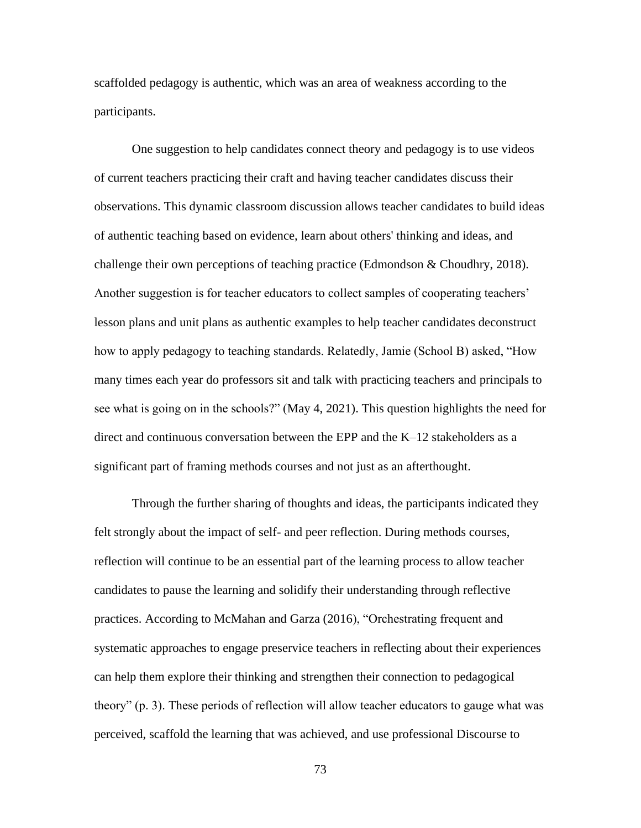scaffolded pedagogy is authentic, which was an area of weakness according to the participants.

One suggestion to help candidates connect theory and pedagogy is to use videos of current teachers practicing their craft and having teacher candidates discuss their observations. This dynamic classroom discussion allows teacher candidates to build ideas of authentic teaching based on evidence, learn about others' thinking and ideas, and challenge their own perceptions of teaching practice (Edmondson & Choudhry, 2018). Another suggestion is for teacher educators to collect samples of cooperating teachers' lesson plans and unit plans as authentic examples to help teacher candidates deconstruct how to apply pedagogy to teaching standards. Relatedly, Jamie (School B) asked, "How many times each year do professors sit and talk with practicing teachers and principals to see what is going on in the schools?" (May 4, 2021). This question highlights the need for direct and continuous conversation between the EPP and the K–12 stakeholders as a significant part of framing methods courses and not just as an afterthought.

Through the further sharing of thoughts and ideas, the participants indicated they felt strongly about the impact of self- and peer reflection. During methods courses, reflection will continue to be an essential part of the learning process to allow teacher candidates to pause the learning and solidify their understanding through reflective practices. According to McMahan and Garza (2016), "Orchestrating frequent and systematic approaches to engage preservice teachers in reflecting about their experiences can help them explore their thinking and strengthen their connection to pedagogical theory" (p. 3). These periods of reflection will allow teacher educators to gauge what was perceived, scaffold the learning that was achieved, and use professional Discourse to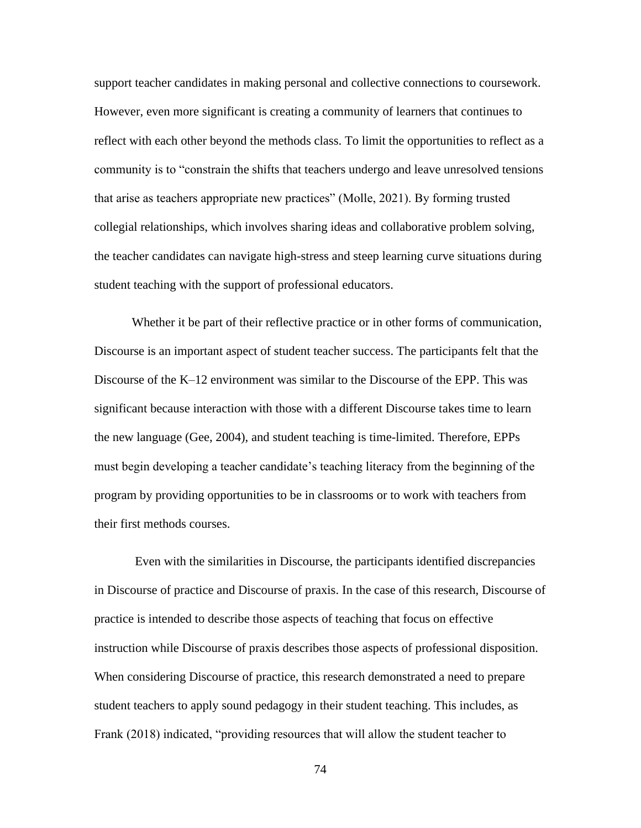support teacher candidates in making personal and collective connections to coursework. However, even more significant is creating a community of learners that continues to reflect with each other beyond the methods class. To limit the opportunities to reflect as a community is to "constrain the shifts that teachers undergo and leave unresolved tensions that arise as teachers appropriate new practices" (Molle, 2021). By forming trusted collegial relationships, which involves sharing ideas and collaborative problem solving, the teacher candidates can navigate high-stress and steep learning curve situations during student teaching with the support of professional educators.

Whether it be part of their reflective practice or in other forms of communication, Discourse is an important aspect of student teacher success. The participants felt that the Discourse of the K–12 environment was similar to the Discourse of the EPP. This was significant because interaction with those with a different Discourse takes time to learn the new language (Gee, 2004), and student teaching is time-limited. Therefore, EPPs must begin developing a teacher candidate's teaching literacy from the beginning of the program by providing opportunities to be in classrooms or to work with teachers from their first methods courses.

Even with the similarities in Discourse, the participants identified discrepancies in Discourse of practice and Discourse of praxis. In the case of this research, Discourse of practice is intended to describe those aspects of teaching that focus on effective instruction while Discourse of praxis describes those aspects of professional disposition. When considering Discourse of practice, this research demonstrated a need to prepare student teachers to apply sound pedagogy in their student teaching. This includes, as Frank (2018) indicated, "providing resources that will allow the student teacher to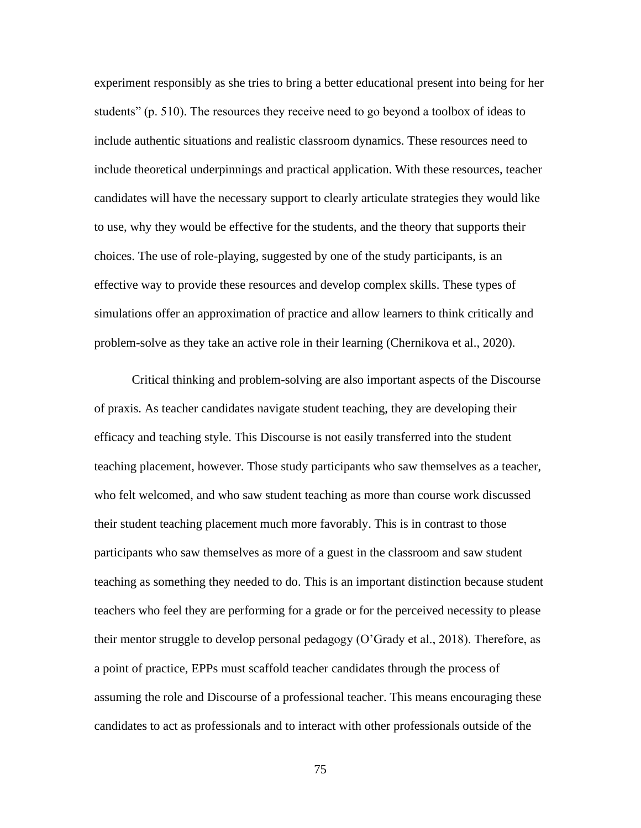experiment responsibly as she tries to bring a better educational present into being for her students" (p. 510). The resources they receive need to go beyond a toolbox of ideas to include authentic situations and realistic classroom dynamics. These resources need to include theoretical underpinnings and practical application. With these resources, teacher candidates will have the necessary support to clearly articulate strategies they would like to use, why they would be effective for the students, and the theory that supports their choices. The use of role-playing, suggested by one of the study participants, is an effective way to provide these resources and develop complex skills. These types of simulations offer an approximation of practice and allow learners to think critically and problem-solve as they take an active role in their learning (Chernikova et al., 2020).

Critical thinking and problem-solving are also important aspects of the Discourse of praxis. As teacher candidates navigate student teaching, they are developing their efficacy and teaching style. This Discourse is not easily transferred into the student teaching placement, however. Those study participants who saw themselves as a teacher, who felt welcomed, and who saw student teaching as more than course work discussed their student teaching placement much more favorably. This is in contrast to those participants who saw themselves as more of a guest in the classroom and saw student teaching as something they needed to do. This is an important distinction because student teachers who feel they are performing for a grade or for the perceived necessity to please their mentor struggle to develop personal pedagogy (O'Grady et al., 2018). Therefore, as a point of practice, EPPs must scaffold teacher candidates through the process of assuming the role and Discourse of a professional teacher. This means encouraging these candidates to act as professionals and to interact with other professionals outside of the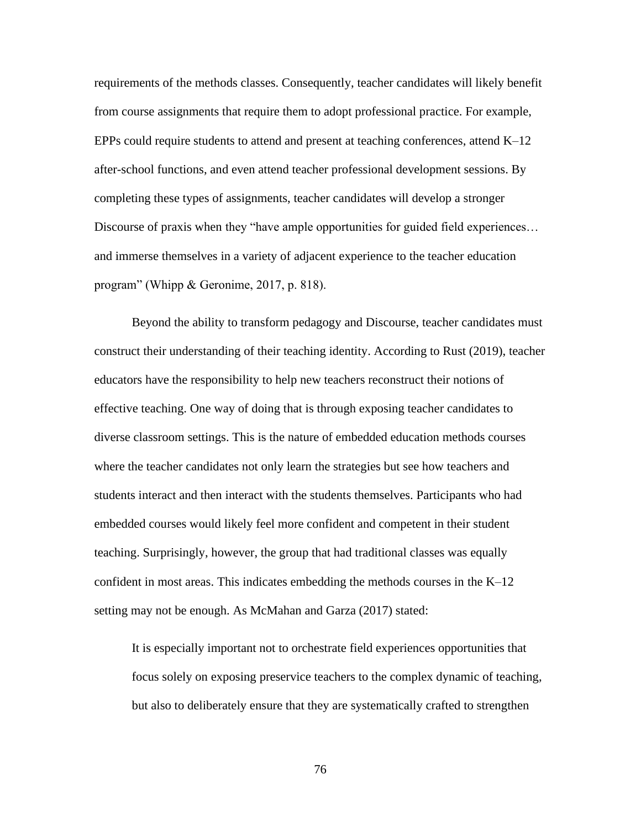requirements of the methods classes. Consequently, teacher candidates will likely benefit from course assignments that require them to adopt professional practice. For example, EPPs could require students to attend and present at teaching conferences, attend  $K-12$ after-school functions, and even attend teacher professional development sessions. By completing these types of assignments, teacher candidates will develop a stronger Discourse of praxis when they "have ample opportunities for guided field experiences... and immerse themselves in a variety of adjacent experience to the teacher education program" (Whipp & Geronime, 2017, p. 818).

Beyond the ability to transform pedagogy and Discourse, teacher candidates must construct their understanding of their teaching identity. According to Rust (2019), teacher educators have the responsibility to help new teachers reconstruct their notions of effective teaching. One way of doing that is through exposing teacher candidates to diverse classroom settings. This is the nature of embedded education methods courses where the teacher candidates not only learn the strategies but see how teachers and students interact and then interact with the students themselves. Participants who had embedded courses would likely feel more confident and competent in their student teaching. Surprisingly, however, the group that had traditional classes was equally confident in most areas. This indicates embedding the methods courses in the K–12 setting may not be enough. As McMahan and Garza (2017) stated:

It is especially important not to orchestrate field experiences opportunities that focus solely on exposing preservice teachers to the complex dynamic of teaching, but also to deliberately ensure that they are systematically crafted to strengthen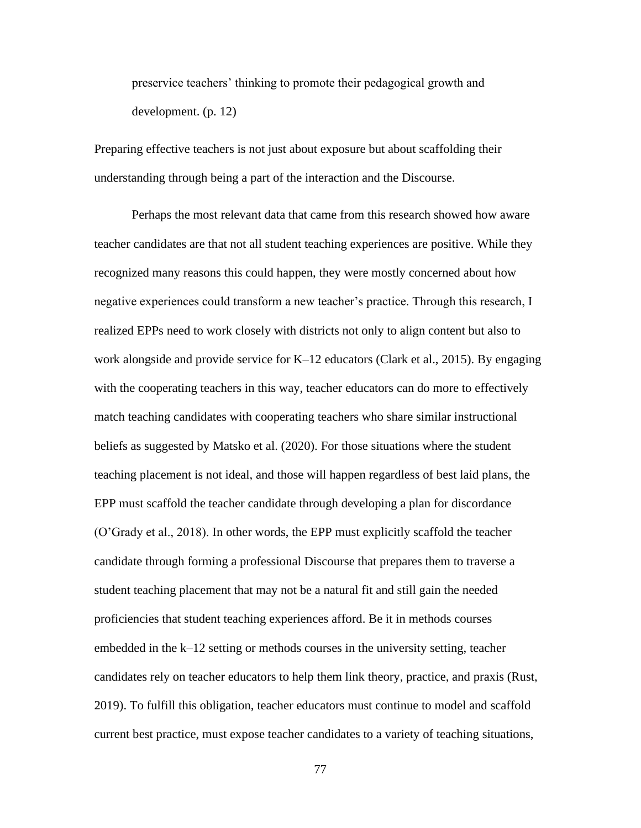preservice teachers' thinking to promote their pedagogical growth and development. (p. 12)

Preparing effective teachers is not just about exposure but about scaffolding their understanding through being a part of the interaction and the Discourse.

Perhaps the most relevant data that came from this research showed how aware teacher candidates are that not all student teaching experiences are positive. While they recognized many reasons this could happen, they were mostly concerned about how negative experiences could transform a new teacher's practice. Through this research, I realized EPPs need to work closely with districts not only to align content but also to work alongside and provide service for K–12 educators (Clark et al., 2015). By engaging with the cooperating teachers in this way, teacher educators can do more to effectively match teaching candidates with cooperating teachers who share similar instructional beliefs as suggested by Matsko et al. (2020). For those situations where the student teaching placement is not ideal, and those will happen regardless of best laid plans, the EPP must scaffold the teacher candidate through developing a plan for discordance (O'Grady et al., 2018). In other words, the EPP must explicitly scaffold the teacher candidate through forming a professional Discourse that prepares them to traverse a student teaching placement that may not be a natural fit and still gain the needed proficiencies that student teaching experiences afford. Be it in methods courses embedded in the k–12 setting or methods courses in the university setting, teacher candidates rely on teacher educators to help them link theory, practice, and praxis (Rust, 2019). To fulfill this obligation, teacher educators must continue to model and scaffold current best practice, must expose teacher candidates to a variety of teaching situations,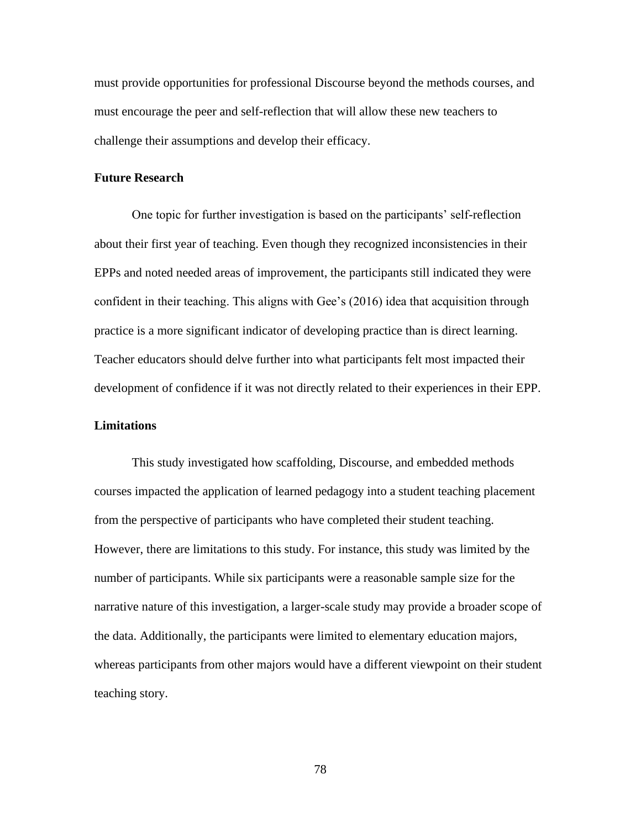must provide opportunities for professional Discourse beyond the methods courses, and must encourage the peer and self-reflection that will allow these new teachers to challenge their assumptions and develop their efficacy.

## **Future Research**

One topic for further investigation is based on the participants' self-reflection about their first year of teaching. Even though they recognized inconsistencies in their EPPs and noted needed areas of improvement, the participants still indicated they were confident in their teaching. This aligns with Gee's (2016) idea that acquisition through practice is a more significant indicator of developing practice than is direct learning. Teacher educators should delve further into what participants felt most impacted their development of confidence if it was not directly related to their experiences in their EPP.

# **Limitations**

This study investigated how scaffolding, Discourse, and embedded methods courses impacted the application of learned pedagogy into a student teaching placement from the perspective of participants who have completed their student teaching. However, there are limitations to this study. For instance, this study was limited by the number of participants. While six participants were a reasonable sample size for the narrative nature of this investigation, a larger-scale study may provide a broader scope of the data. Additionally, the participants were limited to elementary education majors, whereas participants from other majors would have a different viewpoint on their student teaching story.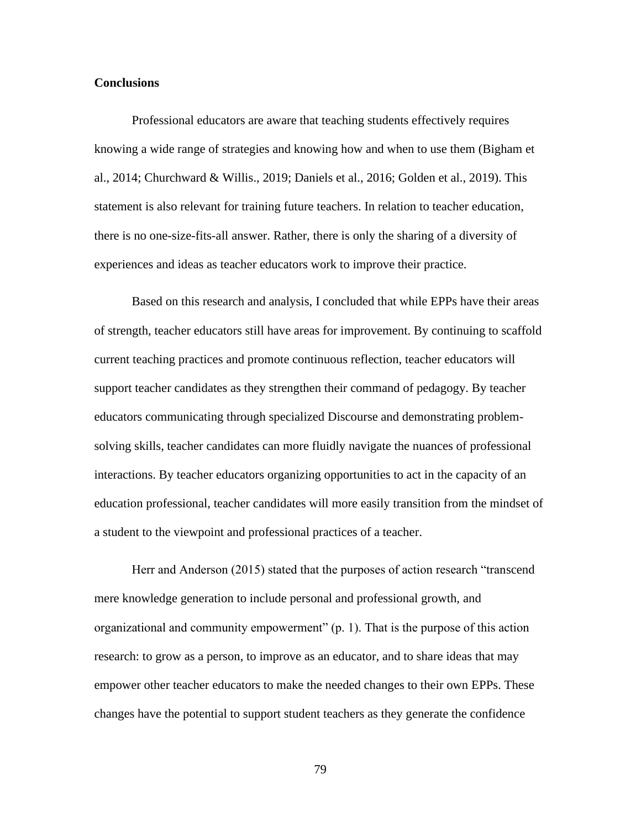## **Conclusions**

Professional educators are aware that teaching students effectively requires knowing a wide range of strategies and knowing how and when to use them (Bigham et al., 2014; Churchward & Willis., 2019; Daniels et al., 2016; Golden et al., 2019). This statement is also relevant for training future teachers. In relation to teacher education, there is no one-size-fits-all answer. Rather, there is only the sharing of a diversity of experiences and ideas as teacher educators work to improve their practice.

Based on this research and analysis, I concluded that while EPPs have their areas of strength, teacher educators still have areas for improvement. By continuing to scaffold current teaching practices and promote continuous reflection, teacher educators will support teacher candidates as they strengthen their command of pedagogy. By teacher educators communicating through specialized Discourse and demonstrating problemsolving skills, teacher candidates can more fluidly navigate the nuances of professional interactions. By teacher educators organizing opportunities to act in the capacity of an education professional, teacher candidates will more easily transition from the mindset of a student to the viewpoint and professional practices of a teacher.

Herr and Anderson (2015) stated that the purposes of action research "transcend mere knowledge generation to include personal and professional growth, and organizational and community empowerment" (p. 1). That is the purpose of this action research: to grow as a person, to improve as an educator, and to share ideas that may empower other teacher educators to make the needed changes to their own EPPs. These changes have the potential to support student teachers as they generate the confidence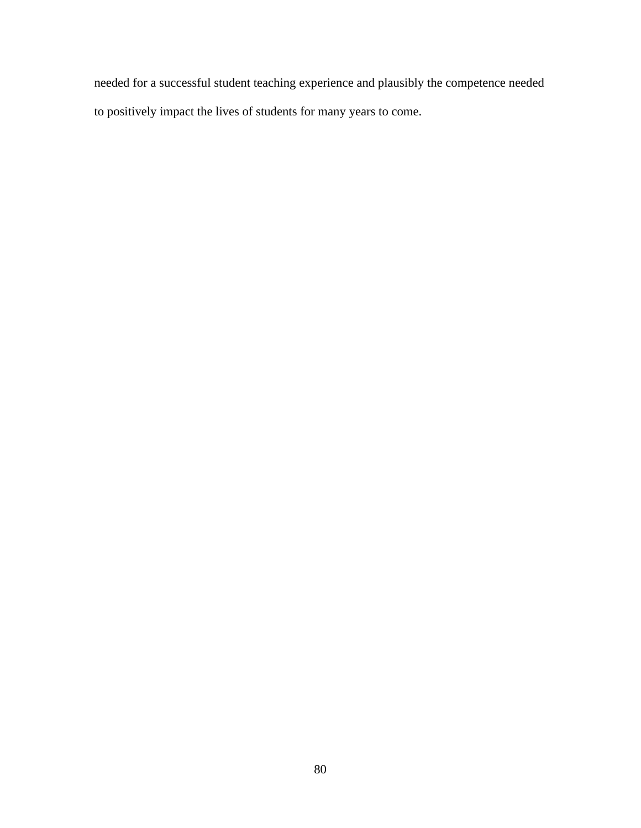needed for a successful student teaching experience and plausibly the competence needed to positively impact the lives of students for many years to come.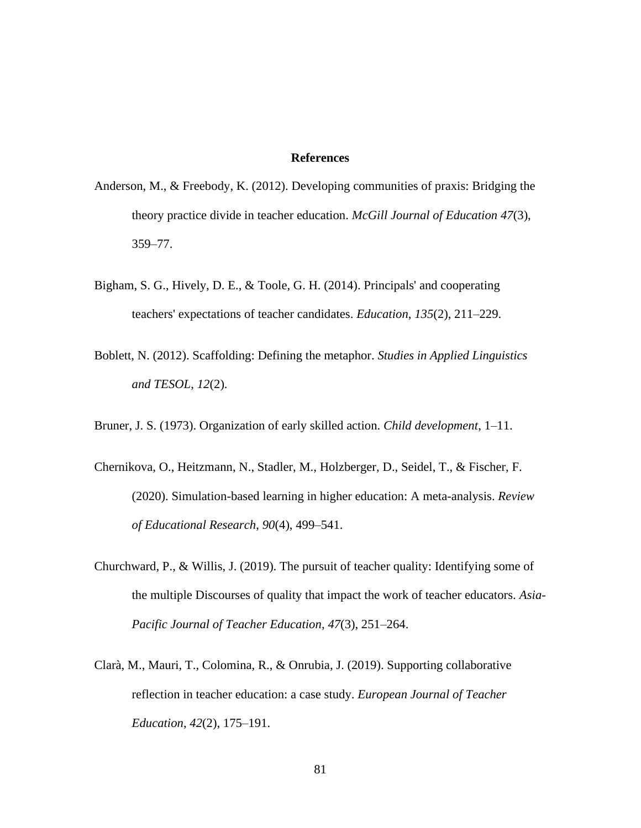# **References**

- Anderson, M., & Freebody, K. (2012). Developing communities of praxis: Bridging the theory practice divide in teacher education. *McGill Journal of Education 47*(3), 359–77.
- Bigham, S. G., Hively, D. E., & Toole, G. H. (2014). Principals' and cooperating teachers' expectations of teacher candidates. *Education*, *135*(2), 211–229.
- Boblett, N. (2012). Scaffolding: Defining the metaphor. *Studies in Applied Linguistics and TESOL*, *12*(2).
- Bruner, J. S. (1973). Organization of early skilled action. *Child development*, 1–11.
- Chernikova, O., Heitzmann, N., Stadler, M., Holzberger, D., Seidel, T., & Fischer, F. (2020). Simulation-based learning in higher education: A meta-analysis. *Review of Educational Research*, *90*(4), 499–541.
- Churchward, P., & Willis, J. (2019). The pursuit of teacher quality: Identifying some of the multiple Discourses of quality that impact the work of teacher educators. *Asia-Pacific Journal of Teacher Education*, *47*(3), 251–264.
- Clarà, M., Mauri, T., Colomina, R., & Onrubia, J. (2019). Supporting collaborative reflection in teacher education: a case study. *European Journal of Teacher Education*, *42*(2), 175–191.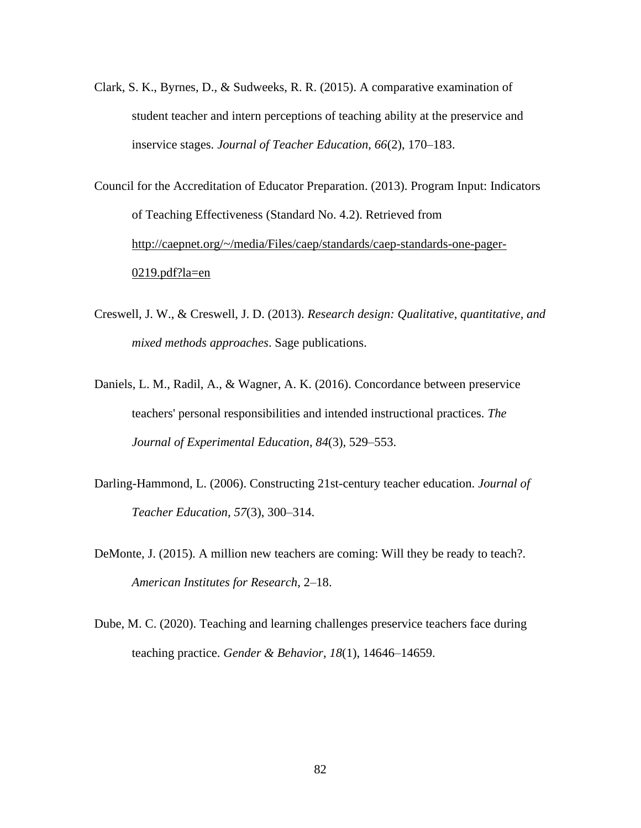Clark, S. K., Byrnes, D., & Sudweeks, R. R. (2015). A comparative examination of student teacher and intern perceptions of teaching ability at the preservice and inservice stages. *Journal of Teacher Education*, *66*(2), 170–183.

Council for the Accreditation of Educator Preparation. (2013). Program Input: Indicators of Teaching Effectiveness (Standard No. 4.2). Retrieved from [http://caepnet.org/~/media/Files/caep/standards/caep-standards-one-pager-](http://caepnet.org/~/media/Files/caep/standards/caep-standards-one-pager-0219.pdf?la=en)[0219.pdf?la=en](http://caepnet.org/~/media/Files/caep/standards/caep-standards-one-pager-0219.pdf?la=en)

- Creswell, J. W., & Creswell, J. D. (2013). *Research design: Qualitative, quantitative, and mixed methods approaches*. Sage publications.
- Daniels, L. M., Radil, A., & Wagner, A. K. (2016). Concordance between preservice teachers' personal responsibilities and intended instructional practices. *The Journal of Experimental Education*, *84*(3), 529–553.
- Darling-Hammond, L. (2006). Constructing 21st-century teacher education. *Journal of Teacher Education*, *57*(3), 300–314.
- DeMonte, J. (2015). A million new teachers are coming: Will they be ready to teach?. *American Institutes for Research*, 2–18.
- Dube, M. C. (2020). Teaching and learning challenges preservice teachers face during teaching practice. *Gender & Behavior*, *18*(1), 14646–14659.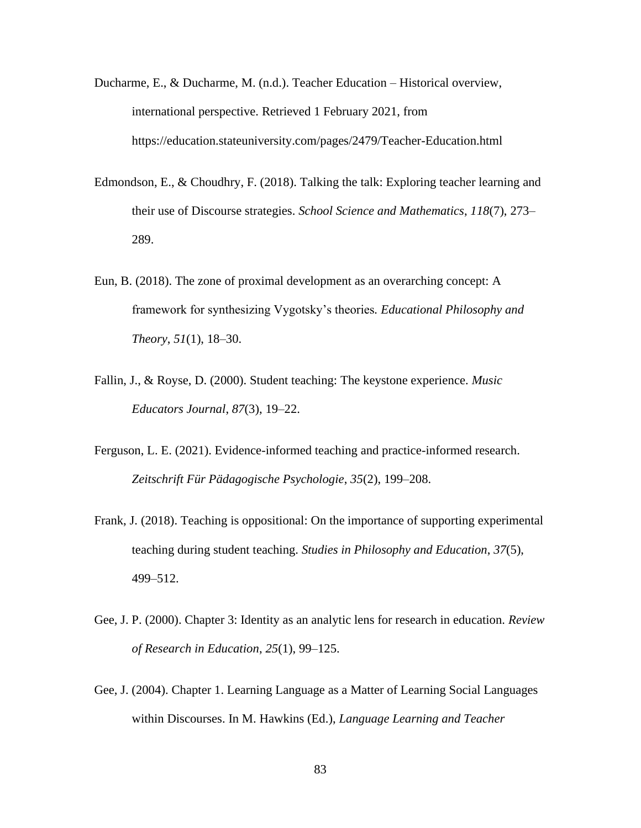- Ducharme, E., & Ducharme, M. (n.d.). Teacher Education Historical overview, international perspective. Retrieved 1 February 2021, from https://education.stateuniversity.com/pages/2479/Teacher-Education.html
- Edmondson, E., & Choudhry, F. (2018). Talking the talk: Exploring teacher learning and their use of Discourse strategies. *School Science and Mathematics*, *118*(7), 273– 289.
- Eun, B. (2018). The zone of proximal development as an overarching concept: A framework for synthesizing Vygotsky's theories*. Educational Philosophy and Theory*, *51*(1), 18–30.
- Fallin, J., & Royse, D. (2000). Student teaching: The keystone experience. *Music Educators Journal*, *87*(3), 19–22.
- Ferguson, L. E. (2021). Evidence-informed teaching and practice-informed research. *Zeitschrift Für Pädagogische Psychologie*, *35*(2), 199–208.
- Frank, J. (2018). Teaching is oppositional: On the importance of supporting experimental teaching during student teaching. *Studies in Philosophy and Education*, *37*(5), 499–512.
- Gee, J. P. (2000). Chapter 3: Identity as an analytic lens for research in education. *Review of Research in Education*, *25*(1), 99–125.
- Gee, J. (2004). Chapter 1. Learning Language as a Matter of Learning Social Languages within Discourses. In M. Hawkins (Ed.), *Language Learning and Teacher*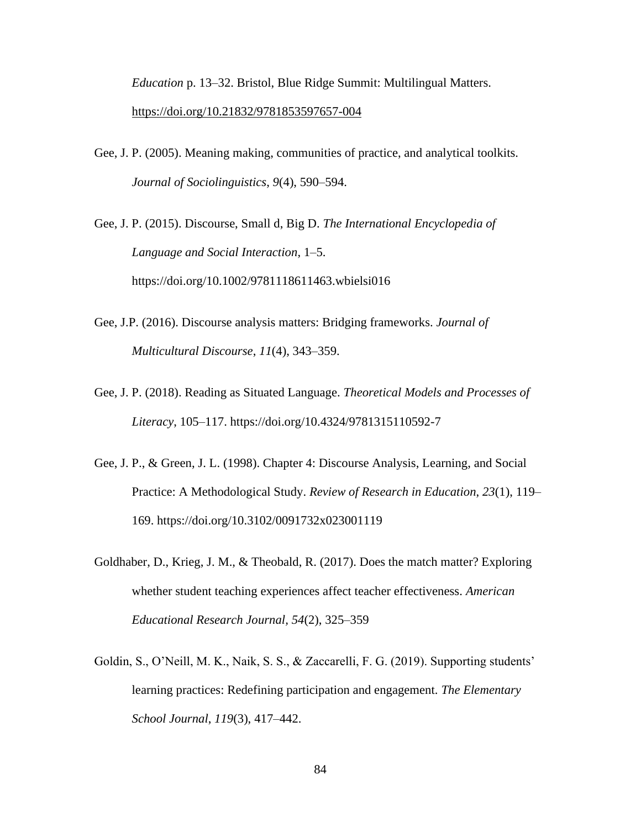*Education* p. 13–32. Bristol, Blue Ridge Summit: Multilingual Matters. <https://doi.org/10.21832/9781853597657-004>

Gee, J. P. (2005). Meaning making, communities of practice, and analytical toolkits. *Journal of Sociolinguistics*, *9*(4), 590–594.

Gee, J. P. (2015). Discourse, Small d, Big D. *The International Encyclopedia of Language and Social Interaction*, 1–5. https://doi.org/10.1002/9781118611463.wbielsi016

- Gee, J.P. (2016). Discourse analysis matters: Bridging frameworks. *Journal of Multicultural Discourse*, *11*(4), 343–359.
- Gee, J. P. (2018). Reading as Situated Language. *Theoretical Models and Processes of Literacy*, 105–117. https://doi.org/10.4324/9781315110592-7
- Gee, J. P., & Green, J. L. (1998). Chapter 4: Discourse Analysis, Learning, and Social Practice: A Methodological Study. *Review of Research in Education*, *23*(1), 119– 169. https://doi.org/10.3102/0091732x023001119
- Goldhaber, D., Krieg, J. M., & Theobald, R. (2017). Does the match matter? Exploring whether student teaching experiences affect teacher effectiveness. *American Educational Research Journal, 54*(2), 325–359
- Goldin, S., O'Neill, M. K., Naik, S. S., & Zaccarelli, F. G. (2019). Supporting students' learning practices: Redefining participation and engagement. *The Elementary School Journal*, *119*(3), 417–442.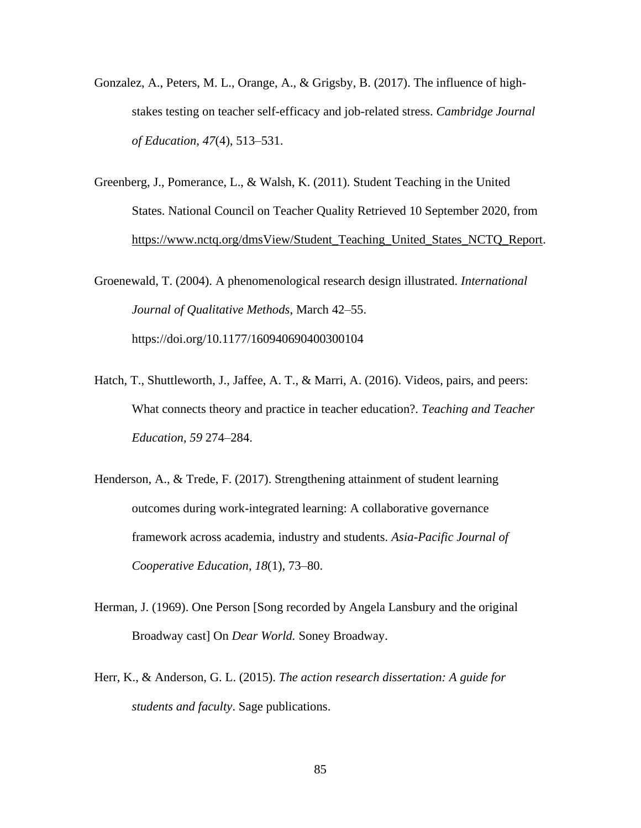- Gonzalez, A., Peters, M. L., Orange, A., & Grigsby, B. (2017). The influence of highstakes testing on teacher self-efficacy and job-related stress. *Cambridge Journal of Education*, *47*(4), 513–531.
- Greenberg, J., Pomerance, L., & Walsh, K. (2011). Student Teaching in the United States. National Council on Teacher Quality Retrieved 10 September 2020, from [https://www.nctq.org/dmsView/Student\\_Teaching\\_United\\_States\\_NCTQ\\_Report.](https://www.nctq.org/dmsView/Student_Teaching_United_States_NCTQ_Report)

Groenewald, T. (2004). A phenomenological research design illustrated. *International Journal of Qualitative Methods*, March 42–55. https://doi.org/10.1177/160940690400300104

- Hatch, T., Shuttleworth, J., Jaffee, A. T., & Marri, A. (2016). Videos, pairs, and peers: What connects theory and practice in teacher education?. *Teaching and Teacher Education*, *59* 274–284.
- Henderson, A., & Trede, F. (2017). Strengthening attainment of student learning outcomes during work-integrated learning: A collaborative governance framework across academia, industry and students. *Asia-Pacific Journal of Cooperative Education*, *18*(1), 73–80.
- Herman, J. (1969). One Person [Song recorded by Angela Lansbury and the original Broadway cast] On *Dear World.* Soney Broadway.
- Herr, K., & Anderson, G. L. (2015). *The action research dissertation: A guide for students and faculty*. Sage publications.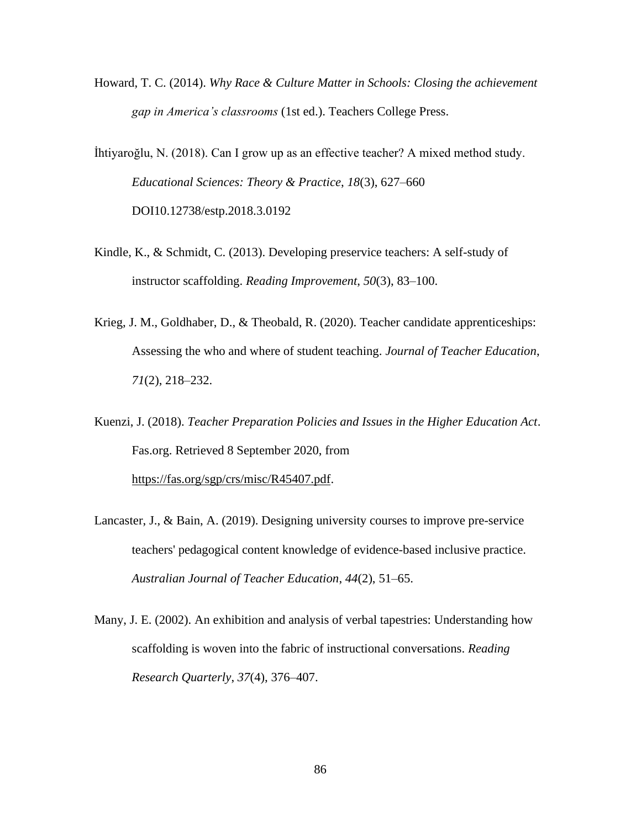- Howard, T. C. (2014). *Why Race & Culture Matter in Schools: Closing the achievement gap in America's classrooms* (1st ed.). Teachers College Press.
- İhtiyaroğlu, N. (2018). Can I grow up as an effective teacher? A mixed method study. *Educational Sciences: Theory & Practice*, *18*(3), 627–660 DOI10.12738/estp.2018.3.0192
- Kindle, K., & Schmidt, C. (2013). Developing preservice teachers: A self-study of instructor scaffolding. *Reading Improvement*, *50*(3), 83–100.
- Krieg, J. M., Goldhaber, D., & Theobald, R. (2020). Teacher candidate apprenticeships: Assessing the who and where of student teaching. *Journal of Teacher Education*, *71*(2), 218–232.
- Kuenzi, J. (2018). *Teacher Preparation Policies and Issues in the Higher Education Act*. Fas.org. Retrieved 8 September 2020, from [https://fas.org/sgp/crs/misc/R45407.pdf.](https://fas.org/sgp/crs/misc/R45407.pdf)
- Lancaster, J., & Bain, A. (2019). Designing university courses to improve pre-service teachers' pedagogical content knowledge of evidence-based inclusive practice. *Australian Journal of Teacher Education*, *44*(2), 51–65.
- Many, J. E. (2002). An exhibition and analysis of verbal tapestries: Understanding how scaffolding is woven into the fabric of instructional conversations. *Reading Research Quarterly*, *37*(4), 376–407.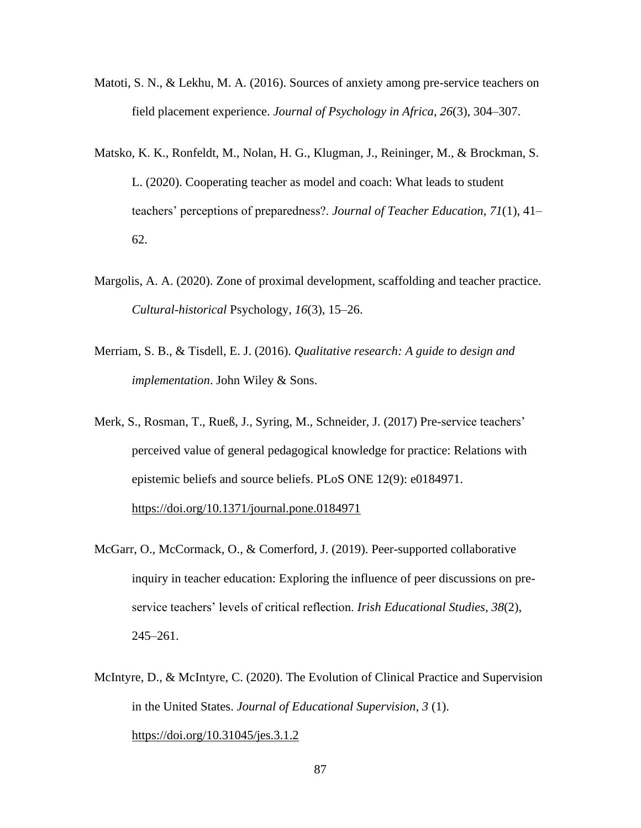- Matoti, S. N., & Lekhu, M. A. (2016). Sources of anxiety among pre-service teachers on field placement experience. *Journal of Psychology in Africa*, *26*(3), 304–307.
- Matsko, K. K., Ronfeldt, M., Nolan, H. G., Klugman, J., Reininger, M., & Brockman, S. L. (2020). Cooperating teacher as model and coach: What leads to student teachers' perceptions of preparedness?. *Journal of Teacher Education*, *71*(1), 41– 62.
- Margolis, A. A. (2020). Zone of proximal development, scaffolding and teacher practice. *Cultural-historical* Psychology, *16*(3), 15–26.
- Merriam, S. B., & Tisdell, E. J. (2016). *Qualitative research: A guide to design and implementation*. John Wiley & Sons.
- Merk, S., Rosman, T., Rueß, J., Syring, M., Schneider, J. (2017) Pre-service teachers' perceived value of general pedagogical knowledge for practice: Relations with epistemic beliefs and source beliefs. PLoS ONE 12(9): e0184971. <https://doi.org/10.1371/journal.pone.0184971>
- McGarr, O., McCormack, O., & Comerford, J. (2019). Peer-supported collaborative inquiry in teacher education: Exploring the influence of peer discussions on preservice teachers' levels of critical reflection. *Irish Educational Studies*, *38*(2), 245–261.
- McIntyre, D., & McIntyre, C. (2020). The Evolution of Clinical Practice and Supervision in the United States. *Journal of Educational Supervision, 3* (1). <https://doi.org/10.31045/jes.3.1.2>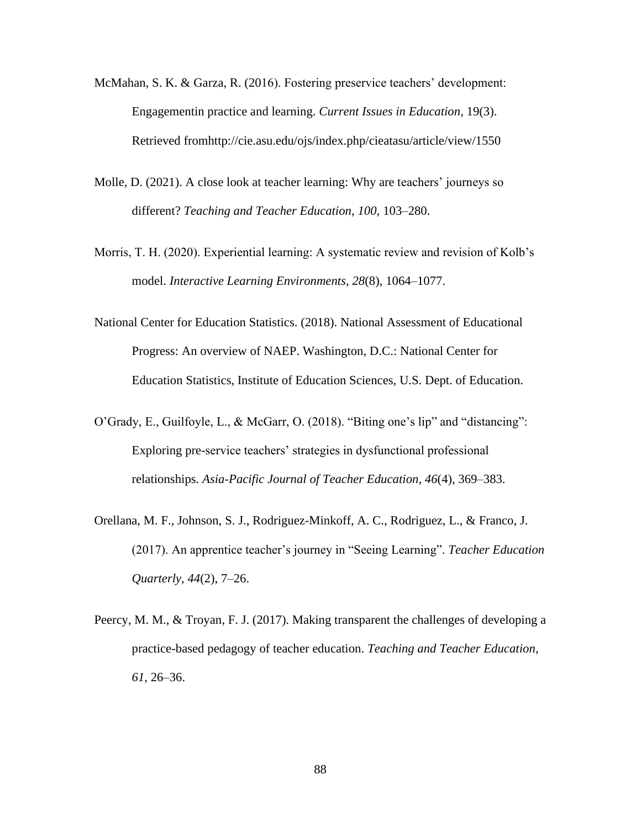- McMahan, S. K. & Garza, R. (2016). Fostering preservice teachers' development: Engagementin practice and learning. *Current Issues in Education*, 19(3). Retrieved fromhttp://cie.asu.edu/ojs/index.php/cieatasu/article/view/1550
- Molle, D. (2021). A close look at teacher learning: Why are teachers' journeys so different? *Teaching and Teacher Education*, *100*, 103–280.
- Morris, T. H. (2020). Experiential learning: A systematic review and revision of Kolb's model. *Interactive Learning Environments*, *28*(8), 1064–1077.
- National Center for Education Statistics. (2018). National Assessment of Educational Progress: An overview of NAEP. Washington, D.C.: National Center for Education Statistics, Institute of Education Sciences, U.S. Dept. of Education.
- O'Grady, E., Guilfoyle, L., & McGarr, O. (2018). "Biting one's lip" and "distancing": Exploring pre-service teachers' strategies in dysfunctional professional relationships. *Asia-Pacific Journal of Teacher Education*, *46*(4), 369–383.
- Orellana, M. F., Johnson, S. J., Rodriguez-Minkoff, A. C., Rodriguez, L., & Franco, J. (2017). An apprentice teacher's journey in "Seeing Learning". *Teacher Education Quarterly*, *44*(2), 7–26.
- Peercy, M. M., & Troyan, F. J. (2017). Making transparent the challenges of developing a practice-based pedagogy of teacher education. *Teaching and Teacher Education*, *61*, 26–36.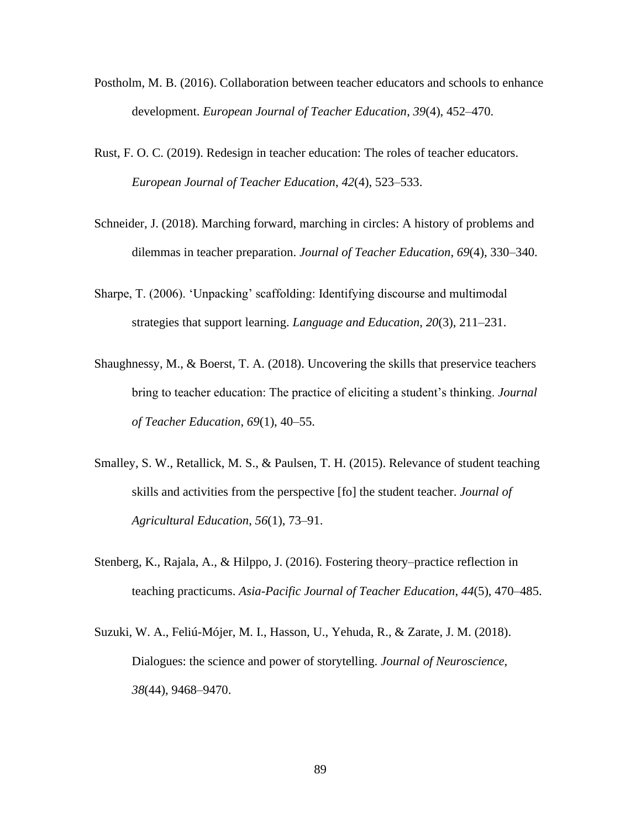- Postholm, M. B. (2016). Collaboration between teacher educators and schools to enhance development. *European Journal of Teacher Education*, *39*(4), 452–470.
- Rust, F. O. C. (2019). Redesign in teacher education: The roles of teacher educators. *European Journal of Teacher Education*, *42*(4), 523–533.
- Schneider, J. (2018). Marching forward, marching in circles: A history of problems and dilemmas in teacher preparation. *Journal of Teacher Education*, *69*(4), 330–340.
- Sharpe, T. (2006). 'Unpacking' scaffolding: Identifying discourse and multimodal strategies that support learning. *Language and Education*, *20*(3), 211–231.
- Shaughnessy, M., & Boerst, T. A. (2018). Uncovering the skills that preservice teachers bring to teacher education: The practice of eliciting a student's thinking. *Journal of Teacher Education*, *69*(1), 40–55.
- Smalley, S. W., Retallick, M. S., & Paulsen, T. H. (2015). Relevance of student teaching skills and activities from the perspective [fo] the student teacher. *Journal of Agricultural Education*, *56*(1), 73–91.
- Stenberg, K., Rajala, A., & Hilppo, J. (2016). Fostering theory–practice reflection in teaching practicums. *Asia-Pacific Journal of Teacher Education*, *44*(5), 470–485.
- Suzuki, W. A., Feliú-Mójer, M. I., Hasson, U., Yehuda, R., & Zarate, J. M. (2018). Dialogues: the science and power of storytelling. *Journal of Neuroscience*, *38*(44), 9468–9470.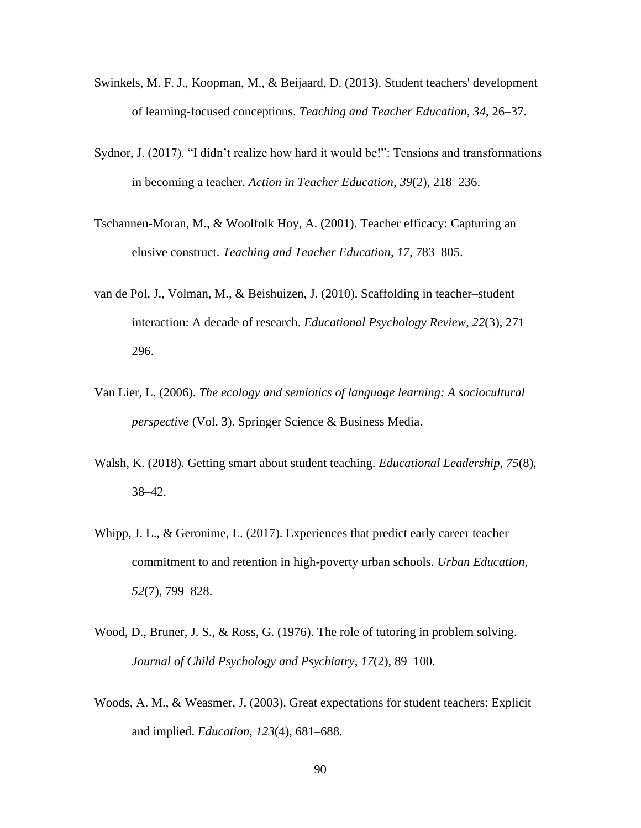- Swinkels, M. F. J., Koopman, M., & Beijaard, D. (2013). Student teachers' development of learning-focused conceptions. *Teaching and Teacher Education*, *34*, 26–37.
- Sydnor, J. (2017). "I didn't realize how hard it would be!": Tensions and transformations in becoming a teacher. *Action in Teacher Education*, *39*(2), 218–236.
- Tschannen-Moran, M., & Woolfolk Hoy, A. (2001). Teacher efficacy: Capturing an elusive construct. *Teaching and Teacher Education*, *17*, 783–805.
- van de Pol, J., Volman, M., & Beishuizen, J. (2010). Scaffolding in teacher–student interaction: A decade of research. *Educational Psychology Review*, *22*(3), 271– 296.
- Van Lier, L. (2006). *The ecology and semiotics of language learning: A sociocultural perspective* (Vol. 3). Springer Science & Business Media.
- Walsh, K. (2018). Getting smart about student teaching. *Educational Leadership*, *75*(8), 38–42.
- Whipp, J. L., & Geronime, L. (2017). Experiences that predict early career teacher commitment to and retention in high-poverty urban schools. *Urban Education*, *52*(7), 799–828.
- Wood, D., Bruner, J. S., & Ross, G. (1976). The role of tutoring in problem solving. *Journal of Child Psychology and Psychiatry*, *17*(2), 89–100.
- Woods, A. M., & Weasmer, J. (2003). Great expectations for student teachers: Explicit and implied. *Education*, *123*(4), 681–688.